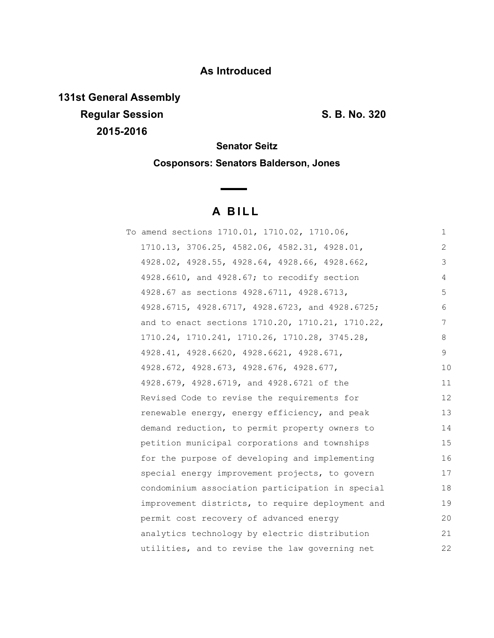## **As Introduced**

**131st General Assembly Regular Session S. B. No. 320 2015-2016**

**Senator Seitz**

**Cosponsors: Senators Balderson, Jones**

# **A B I L L**

<u> The Common State State State State State State State State State State State State State State State State State State State State State State State State State State State State State State State State State State State</u>

| To amend sections 1710.01, 1710.02, 1710.06,     | 1  |
|--------------------------------------------------|----|
| 1710.13, 3706.25, 4582.06, 4582.31, 4928.01,     | 2  |
| 4928.02, 4928.55, 4928.64, 4928.66, 4928.662,    | 3  |
| 4928.6610, and 4928.67; to recodify section      | 4  |
| 4928.67 as sections 4928.6711, 4928.6713,        | 5  |
| 4928.6715, 4928.6717, 4928.6723, and 4928.6725;  | 6  |
| and to enact sections 1710.20, 1710.21, 1710.22, | 7  |
| 1710.24, 1710.241, 1710.26, 1710.28, 3745.28,    | 8  |
| 4928.41, 4928.6620, 4928.6621, 4928.671,         | 9  |
| 4928.672, 4928.673, 4928.676, 4928.677,          | 10 |
| 4928.679, 4928.6719, and 4928.6721 of the        | 11 |
| Revised Code to revise the requirements for      | 12 |
| renewable energy, energy efficiency, and peak    | 13 |
| demand reduction, to permit property owners to   | 14 |
| petition municipal corporations and townships    | 15 |
| for the purpose of developing and implementing   | 16 |
| special energy improvement projects, to govern   | 17 |
| condominium association participation in special | 18 |
| improvement districts, to require deployment and | 19 |
| permit cost recovery of advanced energy          | 20 |
| analytics technology by electric distribution    | 21 |
| utilities, and to revise the law governing net   | 22 |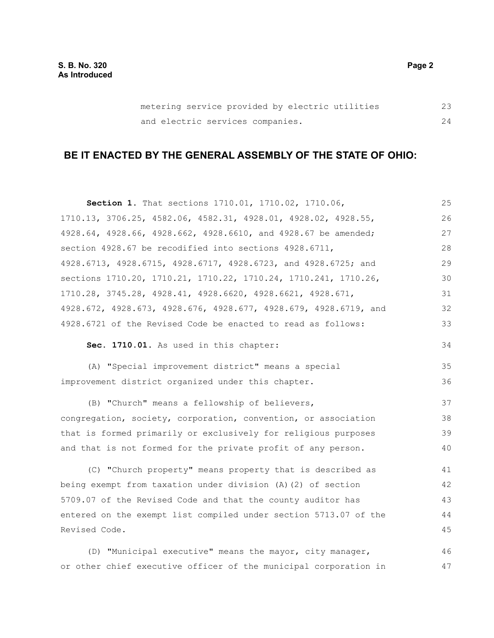### **BE IT ENACTED BY THE GENERAL ASSEMBLY OF THE STATE OF OHIO:**

**Section 1.** That sections 1710.01, 1710.02, 1710.06, 1710.13, 3706.25, 4582.06, 4582.31, 4928.01, 4928.02, 4928.55, 4928.64, 4928.66, 4928.662, 4928.6610, and 4928.67 be amended; section 4928.67 be recodified into sections 4928.6711, 4928.6713, 4928.6715, 4928.6717, 4928.6723, and 4928.6725; and sections 1710.20, 1710.21, 1710.22, 1710.24, 1710.241, 1710.26, 1710.28, 3745.28, 4928.41, 4928.6620, 4928.6621, 4928.671, 4928.672, 4928.673, 4928.676, 4928.677, 4928.679, 4928.6719, and 4928.6721 of the Revised Code be enacted to read as follows: **Sec. 1710.01.** As used in this chapter: (A) "Special improvement district" means a special improvement district organized under this chapter. (B) "Church" means a fellowship of believers, congregation, society, corporation, convention, or association that is formed primarily or exclusively for religious purposes and that is not formed for the private profit of any person. (C) "Church property" means property that is described as being exempt from taxation under division (A)(2) of section 5709.07 of the Revised Code and that the county auditor has entered on the exempt list compiled under section 5713.07 of the Revised Code. (D) "Municipal executive" means the mayor, city manager, 25 26 27 28 29 30 31 32 33 34 35 36 37 38 39 40 41 42 43 44 45 46

or other chief executive officer of the municipal corporation in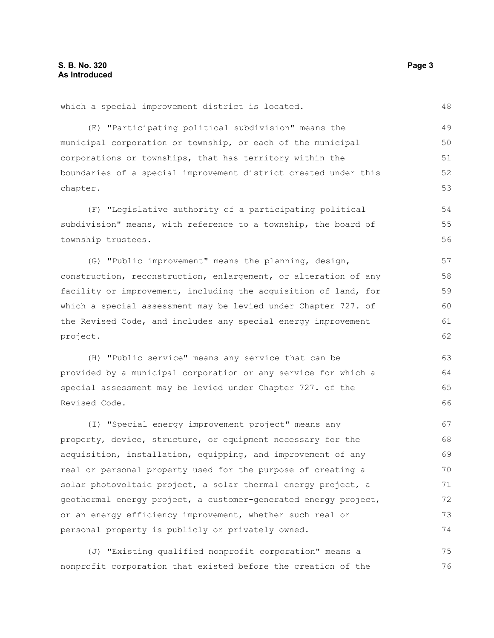which a special improvement district is located. (E) "Participating political subdivision" means the municipal corporation or township, or each of the municipal corporations or townships, that has territory within the boundaries of a special improvement district created under this chapter. (F) "Legislative authority of a participating political subdivision" means, with reference to a township, the board of township trustees. (G) "Public improvement" means the planning, design, construction, reconstruction, enlargement, or alteration of any facility or improvement, including the acquisition of land, for which a special assessment may be levied under Chapter 727. of the Revised Code, and includes any special energy improvement project. (H) "Public service" means any service that can be provided by a municipal corporation or any service for which a special assessment may be levied under Chapter 727. of the Revised Code. (I) "Special energy improvement project" means any property, device, structure, or equipment necessary for the acquisition, installation, equipping, and improvement of any real or personal property used for the purpose of creating a solar photovoltaic project, a solar thermal energy project, a geothermal energy project, a customer-generated energy project, or an energy efficiency improvement, whether such real or personal property is publicly or privately owned. 48 49 50 51 52 53 54 55 56 57 58 59 60 61 62 63 64 65 66 67 68 69 70 71 72 73 74

(J) "Existing qualified nonprofit corporation" means a nonprofit corporation that existed before the creation of the 75 76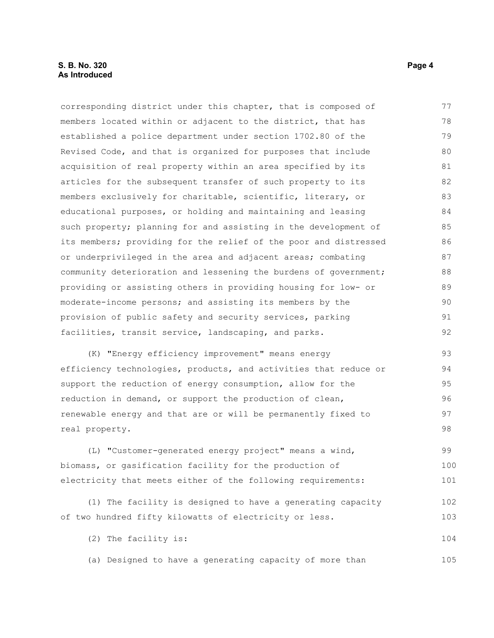#### **S. B. No. 320 Page 4 As Introduced**

corresponding district under this chapter, that is composed of members located within or adjacent to the district, that has established a police department under section 1702.80 of the Revised Code, and that is organized for purposes that include acquisition of real property within an area specified by its articles for the subsequent transfer of such property to its members exclusively for charitable, scientific, literary, or educational purposes, or holding and maintaining and leasing such property; planning for and assisting in the development of its members; providing for the relief of the poor and distressed or underprivileged in the area and adjacent areas; combating community deterioration and lessening the burdens of government; providing or assisting others in providing housing for low- or moderate-income persons; and assisting its members by the provision of public safety and security services, parking facilities, transit service, landscaping, and parks. 77 78 79 80 81 82 83 84 85 86 87 88 89 90 91 92

(K) "Energy efficiency improvement" means energy efficiency technologies, products, and activities that reduce or support the reduction of energy consumption, allow for the reduction in demand, or support the production of clean, renewable energy and that are or will be permanently fixed to real property. 93 94 95 96 97 98

(L) "Customer-generated energy project" means a wind, biomass, or gasification facility for the production of electricity that meets either of the following requirements: 99 100 101

(1) The facility is designed to have a generating capacity of two hundred fifty kilowatts of electricity or less. 102 103

(2) The facility is: 104

(a) Designed to have a generating capacity of more than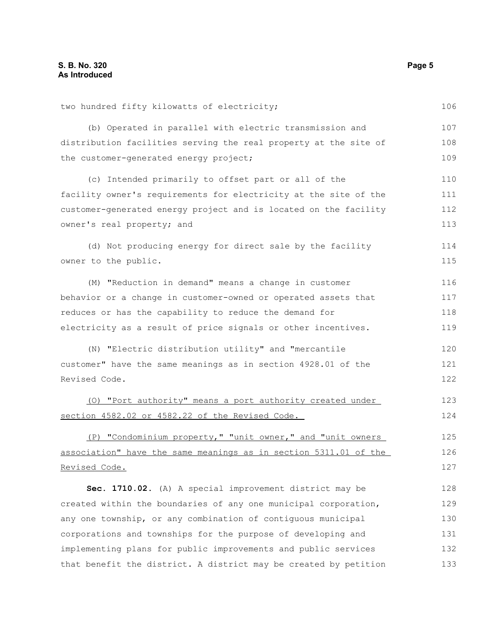| two hundred fifty kilowatts of electricity;                      | 106 |
|------------------------------------------------------------------|-----|
| (b) Operated in parallel with electric transmission and          | 107 |
| distribution facilities serving the real property at the site of | 108 |
| the customer-generated energy project;                           | 109 |
| (c) Intended primarily to offset part or all of the              | 110 |
| facility owner's requirements for electricity at the site of the | 111 |
| customer-generated energy project and is located on the facility | 112 |
| owner's real property; and                                       | 113 |
| (d) Not producing energy for direct sale by the facility         | 114 |
| owner to the public.                                             | 115 |
| (M) "Reduction in demand" means a change in customer             | 116 |
| behavior or a change in customer-owned or operated assets that   | 117 |
| reduces or has the capability to reduce the demand for           | 118 |
| electricity as a result of price signals or other incentives.    | 119 |
| (N) "Electric distribution utility" and "mercantile              | 120 |
| customer" have the same meanings as in section 4928.01 of the    | 121 |
| Revised Code.                                                    | 122 |
| (0) "Port authority" means a port authority created under        | 123 |
| section 4582.02 or 4582.22 of the Revised Code.                  | 124 |
| (P) "Condominium property," "unit owner," and "unit owners       | 125 |
| association" have the same meanings as in section 5311.01 of the | 126 |
| Revised Code.                                                    | 127 |
| Sec. 1710.02. (A) A special improvement district may be          | 128 |
| created within the boundaries of any one municipal corporation,  | 129 |
| any one township, or any combination of contiquous municipal     | 130 |
| corporations and townships for the purpose of developing and     | 131 |
| implementing plans for public improvements and public services   | 132 |
| that benefit the district. A district may be created by petition | 133 |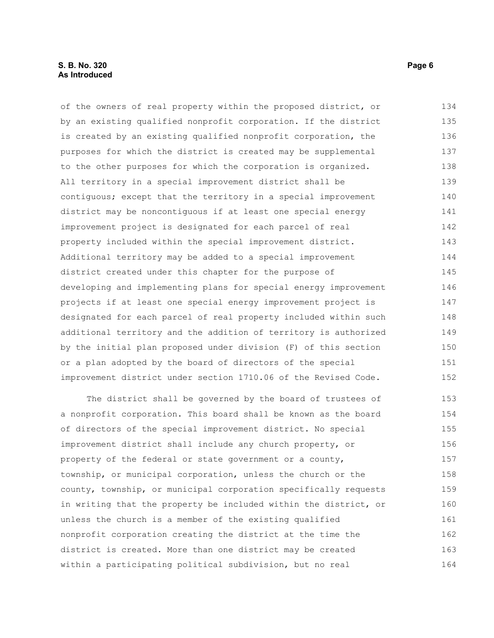#### **S. B. No. 320 Page 6 As Introduced**

of the owners of real property within the proposed district, or by an existing qualified nonprofit corporation. If the district is created by an existing qualified nonprofit corporation, the purposes for which the district is created may be supplemental to the other purposes for which the corporation is organized. All territory in a special improvement district shall be contiguous; except that the territory in a special improvement district may be noncontiguous if at least one special energy improvement project is designated for each parcel of real property included within the special improvement district. Additional territory may be added to a special improvement district created under this chapter for the purpose of developing and implementing plans for special energy improvement projects if at least one special energy improvement project is designated for each parcel of real property included within such additional territory and the addition of territory is authorized by the initial plan proposed under division (F) of this section or a plan adopted by the board of directors of the special improvement district under section 1710.06 of the Revised Code. The district shall be governed by the board of trustees of 134 135 136 137 138 139 140 141 142 143 144 145 146 147 148 149 150 151 152 153

a nonprofit corporation. This board shall be known as the board of directors of the special improvement district. No special improvement district shall include any church property, or property of the federal or state government or a county, township, or municipal corporation, unless the church or the county, township, or municipal corporation specifically requests in writing that the property be included within the district, or unless the church is a member of the existing qualified nonprofit corporation creating the district at the time the district is created. More than one district may be created within a participating political subdivision, but no real 154 155 156 157 158 159 160 161 162 163 164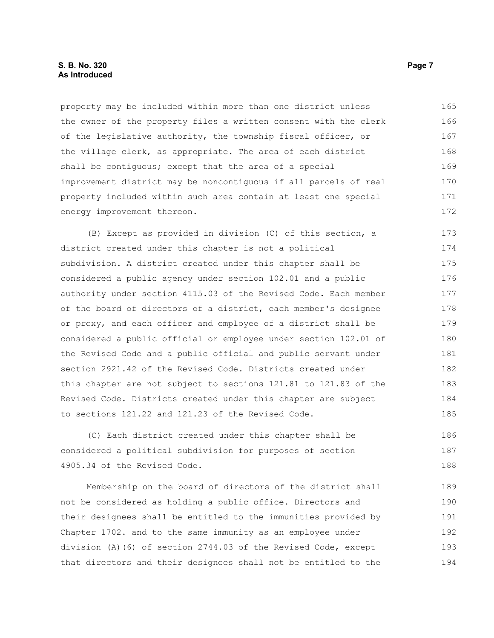property may be included within more than one district unless the owner of the property files a written consent with the clerk of the legislative authority, the township fiscal officer, or the village clerk, as appropriate. The area of each district shall be contiguous; except that the area of a special improvement district may be noncontiguous if all parcels of real property included within such area contain at least one special energy improvement thereon. 165 166 167 168 169 170 171 172

(B) Except as provided in division (C) of this section, a district created under this chapter is not a political subdivision. A district created under this chapter shall be considered a public agency under section 102.01 and a public authority under section 4115.03 of the Revised Code. Each member of the board of directors of a district, each member's designee or proxy, and each officer and employee of a district shall be considered a public official or employee under section 102.01 of the Revised Code and a public official and public servant under section 2921.42 of the Revised Code. Districts created under this chapter are not subject to sections 121.81 to 121.83 of the Revised Code. Districts created under this chapter are subject to sections 121.22 and 121.23 of the Revised Code. 173 174 175 176 177 178 179 180 181 182 183 184 185

(C) Each district created under this chapter shall be considered a political subdivision for purposes of section 4905.34 of the Revised Code. 186 187 188

Membership on the board of directors of the district shall not be considered as holding a public office. Directors and their designees shall be entitled to the immunities provided by Chapter 1702. and to the same immunity as an employee under division (A)(6) of section 2744.03 of the Revised Code, except that directors and their designees shall not be entitled to the 189 190 191 192 193 194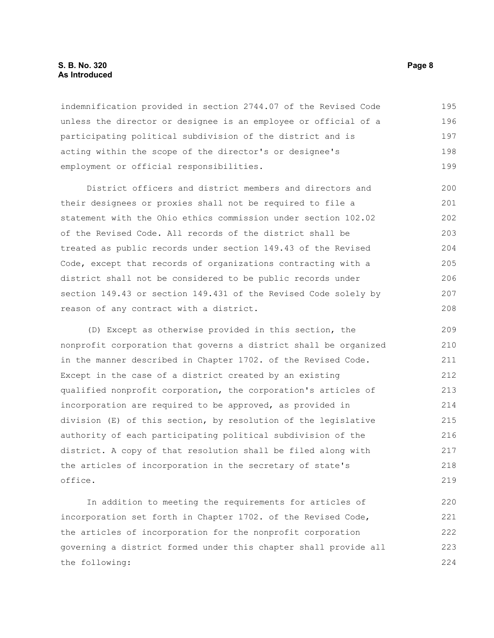#### **S. B. No. 320 Page 8 As Introduced**

indemnification provided in section 2744.07 of the Revised Code unless the director or designee is an employee or official of a participating political subdivision of the district and is acting within the scope of the director's or designee's employment or official responsibilities. 195 196 197 198 199

District officers and district members and directors and their designees or proxies shall not be required to file a statement with the Ohio ethics commission under section 102.02 of the Revised Code. All records of the district shall be treated as public records under section 149.43 of the Revised Code, except that records of organizations contracting with a district shall not be considered to be public records under section 149.43 or section 149.431 of the Revised Code solely by reason of any contract with a district.

(D) Except as otherwise provided in this section, the nonprofit corporation that governs a district shall be organized in the manner described in Chapter 1702. of the Revised Code. Except in the case of a district created by an existing qualified nonprofit corporation, the corporation's articles of incorporation are required to be approved, as provided in division (E) of this section, by resolution of the legislative authority of each participating political subdivision of the district. A copy of that resolution shall be filed along with the articles of incorporation in the secretary of state's office. 209 210 211 212 213 214 215 216 217 218 219

In addition to meeting the requirements for articles of incorporation set forth in Chapter 1702. of the Revised Code, the articles of incorporation for the nonprofit corporation governing a district formed under this chapter shall provide all the following: 220 221 222 223 224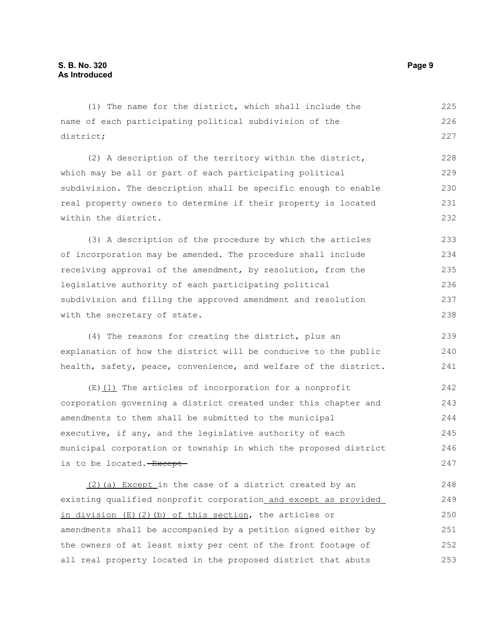| (1) The name for the district, which shall include the           | 225 |
|------------------------------------------------------------------|-----|
| name of each participating political subdivision of the          | 226 |
| district;                                                        | 227 |
| (2) A description of the territory within the district,          | 228 |
| which may be all or part of each participating political         | 229 |
| subdivision. The description shall be specific enough to enable  | 230 |
| real property owners to determine if their property is located   | 231 |
| within the district.                                             | 232 |
| (3) A description of the procedure by which the articles         | 233 |
| of incorporation may be amended. The procedure shall include     | 234 |
| receiving approval of the amendment, by resolution, from the     | 235 |
| legislative authority of each participating political            | 236 |
| subdivision and filing the approved amendment and resolution     | 237 |
| with the secretary of state.                                     | 238 |
| (4) The reasons for creating the district, plus an               | 239 |
| explanation of how the district will be conducive to the public  | 240 |
| health, safety, peace, convenience, and welfare of the district. | 241 |
| $(E)$ (1) The articles of incorporation for a nonprofit          | 242 |
| corporation governing a district created under this chapter and  | 243 |
| amendments to them shall be submitted to the municipal           | 244 |
| executive, if any, and the legislative authority of each         | 245 |
| municipal corporation or township in which the proposed district | 246 |
| is to be located. Except                                         | 247 |
| (2) (a) Except in the case of a district created by an           | 248 |
| existing qualified nonprofit corporation and except as provided  | 249 |
| in division $(E)$ $(2)$ $(b)$ of this section, the articles or   | 250 |
| amendments shall be accompanied by a petition signed either by   | 251 |
| the owners of at least sixty per cent of the front footage of    | 252 |
| all real property located in the proposed district that abuts    | 253 |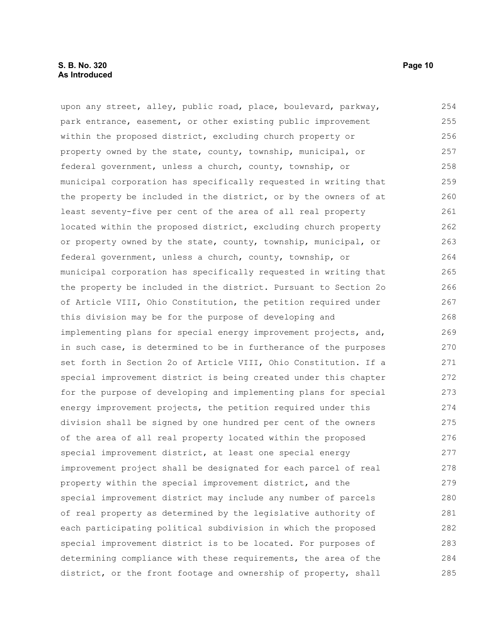upon any street, alley, public road, place, boulevard, parkway, park entrance, easement, or other existing public improvement within the proposed district, excluding church property or property owned by the state, county, township, municipal, or federal government, unless a church, county, township, or municipal corporation has specifically requested in writing that the property be included in the district, or by the owners of at least seventy-five per cent of the area of all real property located within the proposed district, excluding church property or property owned by the state, county, township, municipal, or federal government, unless a church, county, township, or municipal corporation has specifically requested in writing that the property be included in the district. Pursuant to Section 2o of Article VIII, Ohio Constitution, the petition required under this division may be for the purpose of developing and implementing plans for special energy improvement projects, and, in such case, is determined to be in furtherance of the purposes set forth in Section 2o of Article VIII, Ohio Constitution. If a special improvement district is being created under this chapter for the purpose of developing and implementing plans for special energy improvement projects, the petition required under this division shall be signed by one hundred per cent of the owners of the area of all real property located within the proposed special improvement district, at least one special energy improvement project shall be designated for each parcel of real property within the special improvement district, and the special improvement district may include any number of parcels of real property as determined by the legislative authority of each participating political subdivision in which the proposed special improvement district is to be located. For purposes of determining compliance with these requirements, the area of the district, or the front footage and ownership of property, shall 254 255 256 257 258 259 260 261 262 263 264 265 266 267 268 269 270 271 272 273 274 275 276 277 278 279 280 281 282 283 284 285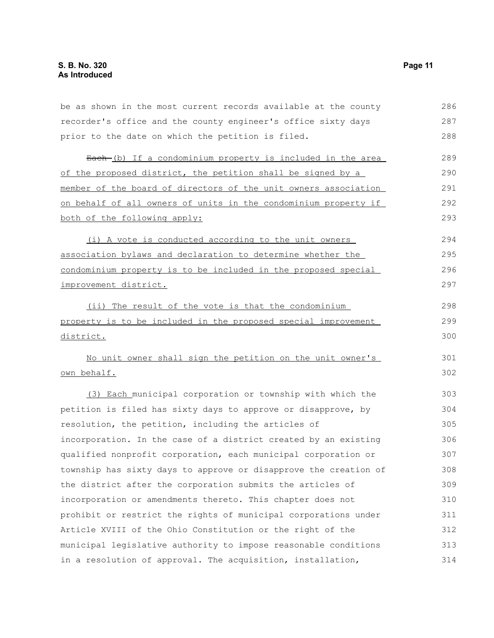| be as shown in the most current records available at the county  | 286 |
|------------------------------------------------------------------|-----|
| recorder's office and the county engineer's office sixty days    | 287 |
| prior to the date on which the petition is filed.                | 288 |
| Each-(b) If a condominium property is included in the area       | 289 |
| of the proposed district, the petition shall be signed by a      | 290 |
| member of the board of directors of the unit owners association  | 291 |
| on behalf of all owners of units in the condominium property if  | 292 |
| both of the following apply:                                     | 293 |
| (i) A vote is conducted according to the unit owners             | 294 |
| association bylaws and declaration to determine whether the      | 295 |
| condominium property is to be included in the proposed special   | 296 |
| improvement district.                                            | 297 |
| (ii) The result of the vote is that the condominium              | 298 |
| property is to be included in the proposed special improvement   | 299 |
| district.                                                        | 300 |
| No unit owner shall sign the petition on the unit owner's        | 301 |
| own behalf.                                                      | 302 |
| (3) Each municipal corporation or township with which the        | 303 |
| petition is filed has sixty days to approve or disapprove, by    | 304 |
| resolution, the petition, including the articles of              | 305 |
| incorporation. In the case of a district created by an existing  | 306 |
| qualified nonprofit corporation, each municipal corporation or   | 307 |
| township has sixty days to approve or disapprove the creation of | 308 |
| the district after the corporation submits the articles of       | 309 |
| incorporation or amendments thereto. This chapter does not       | 310 |
| prohibit or restrict the rights of municipal corporations under  | 311 |
| Article XVIII of the Ohio Constitution or the right of the       | 312 |
| municipal legislative authority to impose reasonable conditions  | 313 |
| in a resolution of approval. The acquisition, installation,      | 314 |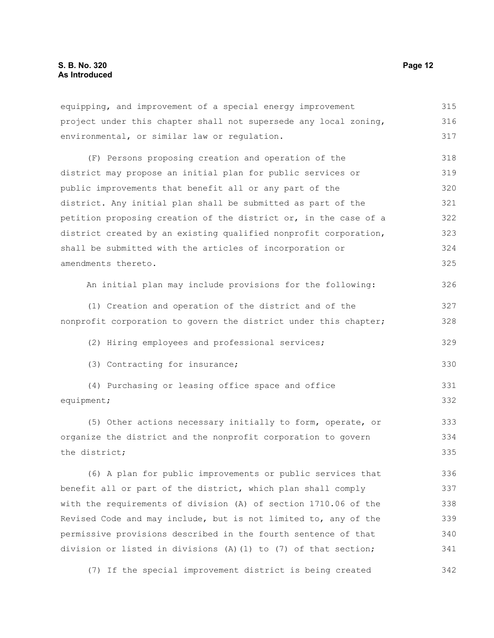equipping, and improvement of a special energy improvement project under this chapter shall not supersede any local zoning, environmental, or similar law or regulation. 315 316 317

(F) Persons proposing creation and operation of the district may propose an initial plan for public services or public improvements that benefit all or any part of the district. Any initial plan shall be submitted as part of the petition proposing creation of the district or, in the case of a district created by an existing qualified nonprofit corporation, shall be submitted with the articles of incorporation or amendments thereto. 318 319 320 321 322 323 324 325

An initial plan may include provisions for the following: 326

(1) Creation and operation of the district and of the nonprofit corporation to govern the district under this chapter; 327 328

(2) Hiring employees and professional services;

(3) Contracting for insurance;

```
(4) Purchasing or leasing office space and office
equipment;
                                                                             331
                                                                             332
```
(5) Other actions necessary initially to form, operate, or organize the district and the nonprofit corporation to govern the district; 333 334 335

(6) A plan for public improvements or public services that benefit all or part of the district, which plan shall comply with the requirements of division (A) of section 1710.06 of the Revised Code and may include, but is not limited to, any of the permissive provisions described in the fourth sentence of that division or listed in divisions (A)(1) to (7) of that section; 336 337 338 339 340 341

(7) If the special improvement district is being created 342

329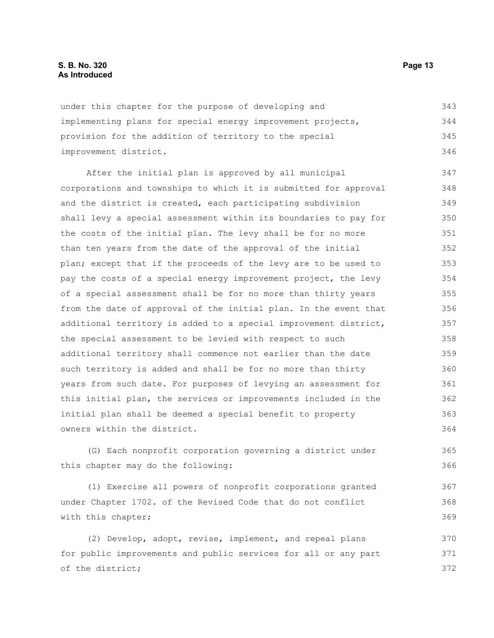#### **S. B. No. 320 Page 13 As Introduced**

under this chapter for the purpose of developing and implementing plans for special energy improvement projects, provision for the addition of territory to the special improvement district. 343 344 345 346

After the initial plan is approved by all municipal corporations and townships to which it is submitted for approval and the district is created, each participating subdivision shall levy a special assessment within its boundaries to pay for the costs of the initial plan. The levy shall be for no more than ten years from the date of the approval of the initial plan; except that if the proceeds of the levy are to be used to pay the costs of a special energy improvement project, the levy of a special assessment shall be for no more than thirty years from the date of approval of the initial plan. In the event that additional territory is added to a special improvement district, the special assessment to be levied with respect to such additional territory shall commence not earlier than the date such territory is added and shall be for no more than thirty years from such date. For purposes of levying an assessment for this initial plan, the services or improvements included in the initial plan shall be deemed a special benefit to property owners within the district. 347 348 349 350 351 352 353 354 355 356 357 358 359 360 361 362 363 364

(G) Each nonprofit corporation governing a district under this chapter may do the following:

(1) Exercise all powers of nonprofit corporations granted under Chapter 1702. of the Revised Code that do not conflict with this chapter; 367 368 369

(2) Develop, adopt, revise, implement, and repeal plans for public improvements and public services for all or any part of the district; 370 371 372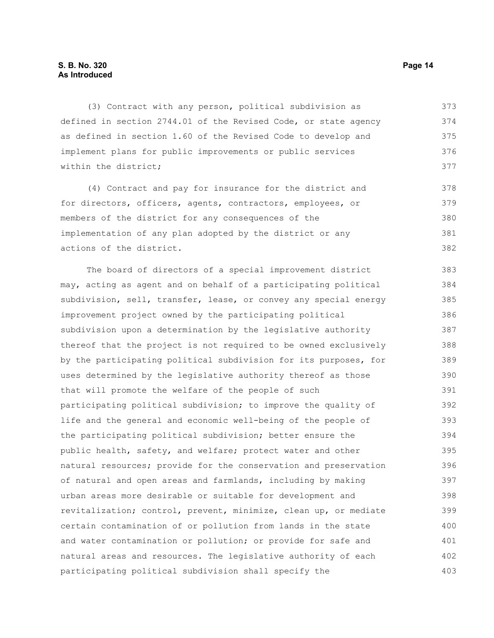#### **S. B. No. 320 Page 14 As Introduced**

(3) Contract with any person, political subdivision as defined in section 2744.01 of the Revised Code, or state agency as defined in section 1.60 of the Revised Code to develop and implement plans for public improvements or public services within the district; 373 374 375 376 377

(4) Contract and pay for insurance for the district and for directors, officers, agents, contractors, employees, or members of the district for any consequences of the implementation of any plan adopted by the district or any actions of the district. 378 379 380 381 382

The board of directors of a special improvement district may, acting as agent and on behalf of a participating political subdivision, sell, transfer, lease, or convey any special energy improvement project owned by the participating political subdivision upon a determination by the legislative authority thereof that the project is not required to be owned exclusively by the participating political subdivision for its purposes, for uses determined by the legislative authority thereof as those that will promote the welfare of the people of such participating political subdivision; to improve the quality of life and the general and economic well-being of the people of the participating political subdivision; better ensure the public health, safety, and welfare; protect water and other natural resources; provide for the conservation and preservation of natural and open areas and farmlands, including by making urban areas more desirable or suitable for development and revitalization; control, prevent, minimize, clean up, or mediate certain contamination of or pollution from lands in the state and water contamination or pollution; or provide for safe and natural areas and resources. The legislative authority of each participating political subdivision shall specify the 383 384 385 386 387 388 389 390 391 392 393 394 395 396 397 398 399 400 401 402 403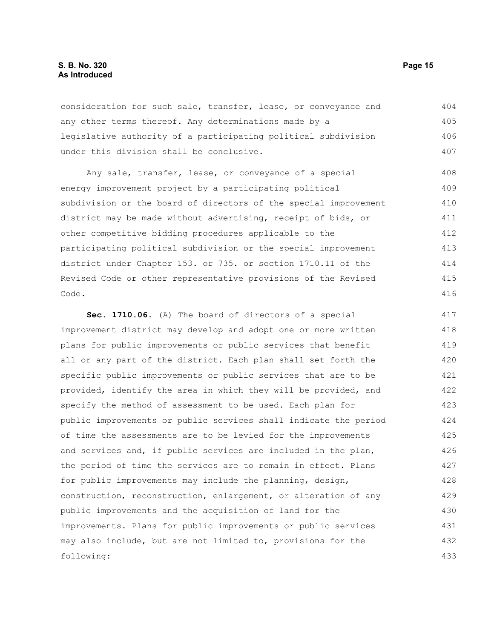#### **S. B. No. 320 Page 15 As Introduced**

consideration for such sale, transfer, lease, or conveyance and any other terms thereof. Any determinations made by a legislative authority of a participating political subdivision under this division shall be conclusive. 404 405 406 407

Any sale, transfer, lease, or conveyance of a special energy improvement project by a participating political subdivision or the board of directors of the special improvement district may be made without advertising, receipt of bids, or other competitive bidding procedures applicable to the participating political subdivision or the special improvement district under Chapter 153. or 735. or section 1710.11 of the Revised Code or other representative provisions of the Revised Code. 408 409 410 411 412 413 414 415 416

**Sec. 1710.06.** (A) The board of directors of a special improvement district may develop and adopt one or more written plans for public improvements or public services that benefit all or any part of the district. Each plan shall set forth the specific public improvements or public services that are to be provided, identify the area in which they will be provided, and specify the method of assessment to be used. Each plan for public improvements or public services shall indicate the period of time the assessments are to be levied for the improvements and services and, if public services are included in the plan, the period of time the services are to remain in effect. Plans for public improvements may include the planning, design, construction, reconstruction, enlargement, or alteration of any public improvements and the acquisition of land for the improvements. Plans for public improvements or public services may also include, but are not limited to, provisions for the following: 417 418 419 420 421 422 423 424 425 426 427 428 429 430 431 432 433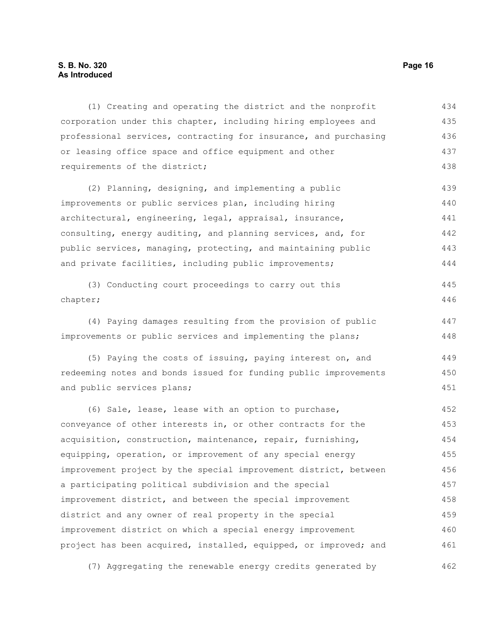#### **S. B. No. 320 Page 16 As Introduced**

(1) Creating and operating the district and the nonprofit corporation under this chapter, including hiring employees and professional services, contracting for insurance, and purchasing or leasing office space and office equipment and other requirements of the district; 434 435 436 437 438

(2) Planning, designing, and implementing a public improvements or public services plan, including hiring architectural, engineering, legal, appraisal, insurance, consulting, energy auditing, and planning services, and, for public services, managing, protecting, and maintaining public and private facilities, including public improvements; 439 440 441 442 443 444

(3) Conducting court proceedings to carry out this chapter; 445 446

(4) Paying damages resulting from the provision of public improvements or public services and implementing the plans; 447 448

(5) Paying the costs of issuing, paying interest on, and redeeming notes and bonds issued for funding public improvements and public services plans; 449 450 451

(6) Sale, lease, lease with an option to purchase, conveyance of other interests in, or other contracts for the acquisition, construction, maintenance, repair, furnishing, equipping, operation, or improvement of any special energy improvement project by the special improvement district, between a participating political subdivision and the special improvement district, and between the special improvement district and any owner of real property in the special improvement district on which a special energy improvement project has been acquired, installed, equipped, or improved; and 452 453 454 455 456 457 458 459 460 461

(7) Aggregating the renewable energy credits generated by 462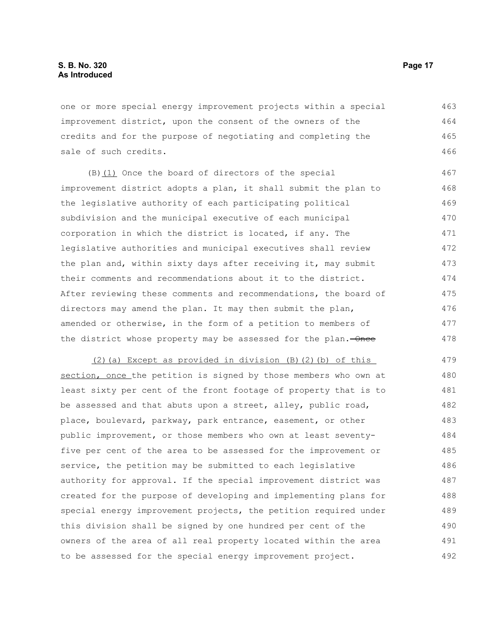one or more special energy improvement projects within a special improvement district, upon the consent of the owners of the credits and for the purpose of negotiating and completing the sale of such credits. 463 464 465 466

 $(B)$   $(1)$  Once the board of directors of the special improvement district adopts a plan, it shall submit the plan to the legislative authority of each participating political subdivision and the municipal executive of each municipal corporation in which the district is located, if any. The legislative authorities and municipal executives shall review the plan and, within sixty days after receiving it, may submit their comments and recommendations about it to the district. After reviewing these comments and recommendations, the board of directors may amend the plan. It may then submit the plan, amended or otherwise, in the form of a petition to members of the district whose property may be assessed for the plan. - Once 467 468 469 470 471 472 473 474 475 476 477 478

(2)(a) Except as provided in division (B)(2)(b) of this section, once the petition is signed by those members who own at least sixty per cent of the front footage of property that is to be assessed and that abuts upon a street, alley, public road, place, boulevard, parkway, park entrance, easement, or other public improvement, or those members who own at least seventyfive per cent of the area to be assessed for the improvement or service, the petition may be submitted to each legislative authority for approval. If the special improvement district was created for the purpose of developing and implementing plans for special energy improvement projects, the petition required under this division shall be signed by one hundred per cent of the owners of the area of all real property located within the area to be assessed for the special energy improvement project. 479 480 481 482 483 484 485 486 487 488 489 490 491 492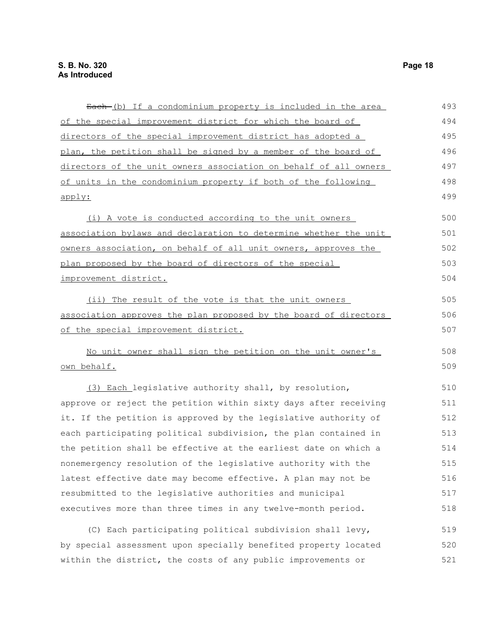| Each-(b) If a condominium property is included in the area       | 493 |
|------------------------------------------------------------------|-----|
| of the special improvement district for which the board of       | 494 |
| directors of the special improvement district has adopted a      | 495 |
| plan, the petition shall be signed by a member of the board of   | 496 |
| directors of the unit owners association on behalf of all owners | 497 |
| of units in the condominium property if both of the following    | 498 |
| apply:                                                           | 499 |
| (i) A vote is conducted according to the unit owners             | 500 |
| association bylaws and declaration to determine whether the unit | 501 |
| owners association, on behalf of all unit owners, approves the   | 502 |
| plan proposed by the board of directors of the special           | 503 |
| improvement district.                                            | 504 |
| (ii) The result of the vote is that the unit owners              | 505 |
| association approves the plan proposed by the board of directors | 506 |
| of the special improvement district.                             | 507 |
| No unit owner shall sign the petition on the unit owner's        | 508 |
| own behalf.                                                      | 509 |
| (3) Each legislative authority shall, by resolution,             | 510 |
| approve or reject the petition within sixty days after receiving | 511 |
| it. If the petition is approved by the legislative authority of  | 512 |
| each participating political subdivision, the plan contained in  | 513 |
| the petition shall be effective at the earliest date on which a  | 514 |
| nonemergency resolution of the legislative authority with the    | 515 |
| latest effective date may become effective. A plan may not be    | 516 |
| resubmitted to the legislative authorities and municipal         | 517 |
| executives more than three times in any twelve-month period.     | 518 |
| (C) Each participating political subdivision shall levy,         | 519 |
| by special assessment upon specially benefited property located  | 520 |
| within the district, the costs of any public improvements or     | 521 |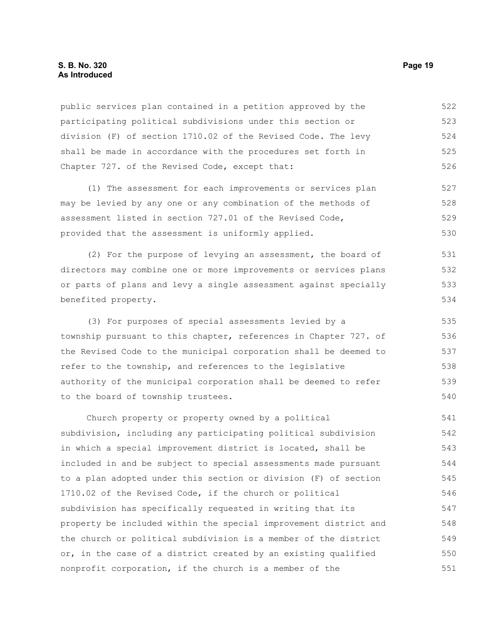#### **S. B. No. 320 Page 19 As Introduced**

public services plan contained in a petition approved by the participating political subdivisions under this section or division (F) of section 1710.02 of the Revised Code. The levy shall be made in accordance with the procedures set forth in Chapter 727. of the Revised Code, except that: 522 523 524 525 526

(1) The assessment for each improvements or services plan may be levied by any one or any combination of the methods of assessment listed in section 727.01 of the Revised Code, provided that the assessment is uniformly applied. 527 528 529 530

(2) For the purpose of levying an assessment, the board of directors may combine one or more improvements or services plans or parts of plans and levy a single assessment against specially benefited property. 531 532 533 534

(3) For purposes of special assessments levied by a township pursuant to this chapter, references in Chapter 727. of the Revised Code to the municipal corporation shall be deemed to refer to the township, and references to the legislative authority of the municipal corporation shall be deemed to refer to the board of township trustees. 535 536 537 538 539 540

Church property or property owned by a political subdivision, including any participating political subdivision in which a special improvement district is located, shall be included in and be subject to special assessments made pursuant to a plan adopted under this section or division (F) of section 1710.02 of the Revised Code, if the church or political subdivision has specifically requested in writing that its property be included within the special improvement district and the church or political subdivision is a member of the district or, in the case of a district created by an existing qualified nonprofit corporation, if the church is a member of the 541 542 543 544 545 546 547 548 549 550 551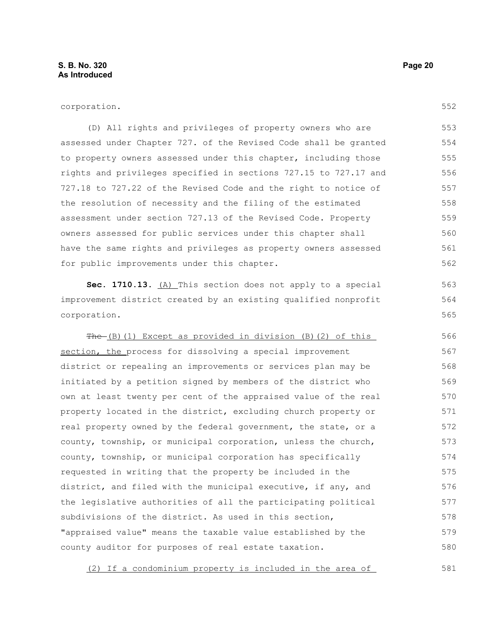552

563 564 565

581

(D) All rights and privileges of property owners who are assessed under Chapter 727. of the Revised Code shall be granted to property owners assessed under this chapter, including those rights and privileges specified in sections 727.15 to 727.17 and 727.18 to 727.22 of the Revised Code and the right to notice of the resolution of necessity and the filing of the estimated assessment under section 727.13 of the Revised Code. Property owners assessed for public services under this chapter shall have the same rights and privileges as property owners assessed for public improvements under this chapter. 553 554 555 556 557 558 559 560 561 562

**Sec. 1710.13.** (A) This section does not apply to a special improvement district created by an existing qualified nonprofit corporation.

The (B)(1) Except as provided in division (B)(2) of this section, the process for dissolving a special improvement district or repealing an improvements or services plan may be initiated by a petition signed by members of the district who own at least twenty per cent of the appraised value of the real property located in the district, excluding church property or real property owned by the federal government, the state, or a county, township, or municipal corporation, unless the church, county, township, or municipal corporation has specifically requested in writing that the property be included in the district, and filed with the municipal executive, if any, and the legislative authorities of all the participating political subdivisions of the district. As used in this section, "appraised value" means the taxable value established by the county auditor for purposes of real estate taxation. 566 567 568 569 570 571 572 573 574 575 576 577 578 579 580

(2) If a condominium property is included in the area of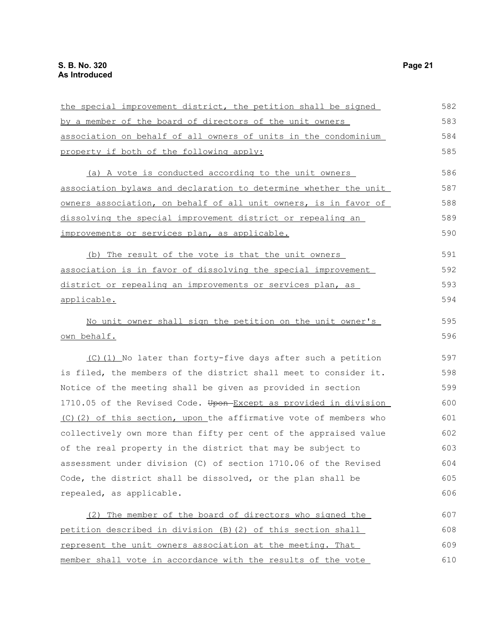| the special improvement district, the petition shall be signed   | 582 |
|------------------------------------------------------------------|-----|
| by a member of the board of directors of the unit owners         | 583 |
| association on behalf of all owners of units in the condominium  | 584 |
| property if both of the following apply:                         | 585 |
| (a) A vote is conducted according to the unit owners             | 586 |
| association bylaws and declaration to determine whether the unit | 587 |
| owners association, on behalf of all unit owners, is in favor of | 588 |
| dissolving the special improvement district or repealing an      | 589 |
| improvements or services plan, as applicable.                    | 590 |
| (b) The result of the vote is that the unit owners               | 591 |
| association is in favor of dissolving the special improvement    | 592 |
| district or repealing an improvements or services plan, as       | 593 |
| applicable.                                                      | 594 |
| No unit owner shall sign the petition on the unit owner's        | 595 |
| own behalf.                                                      | 596 |
| (C)(1) No later than forty-five days after such a petition       | 597 |
| is filed, the members of the district shall meet to consider it. | 598 |
| Notice of the meeting shall be given as provided in section      | 599 |
| 1710.05 of the Revised Code. Upon-Except as provided in division | 600 |
| (C)(2) of this section, upon the affirmative vote of members who | 601 |
| collectively own more than fifty per cent of the appraised value | 602 |
| of the real property in the district that may be subject to      | 603 |
| assessment under division (C) of section 1710.06 of the Revised  | 604 |
| Code, the district shall be dissolved, or the plan shall be      | 605 |
| repealed, as applicable.                                         | 606 |
| (2) The member of the board of directors who signed the          | 607 |
| petition described in division (B) (2) of this section shall     | 608 |
| represent the unit owners association at the meeting. That       | 609 |
| member shall vote in accordance with the results of the vote     | 610 |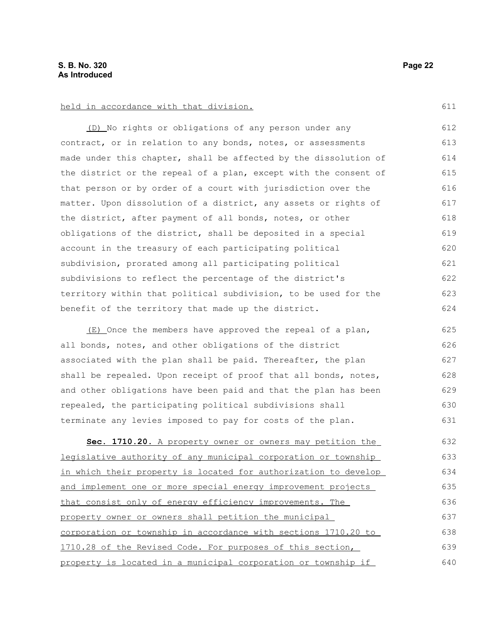(D) No rights or obligations of any person under any contract, or in relation to any bonds, notes, or assessments made under this chapter, shall be affected by the dissolution of the district or the repeal of a plan, except with the consent of that person or by order of a court with jurisdiction over the matter. Upon dissolution of a district, any assets or rights of the district, after payment of all bonds, notes, or other obligations of the district, shall be deposited in a special account in the treasury of each participating political subdivision, prorated among all participating political subdivisions to reflect the percentage of the district's territory within that political subdivision, to be used for the benefit of the territory that made up the district. 612 613 614 615 616 617 618 619 620 621 622 623 624

(E) Once the members have approved the repeal of a plan, all bonds, notes, and other obligations of the district associated with the plan shall be paid. Thereafter, the plan shall be repealed. Upon receipt of proof that all bonds, notes, and other obligations have been paid and that the plan has been repealed, the participating political subdivisions shall terminate any levies imposed to pay for costs of the plan. 625 626 627 628 629 630 631

 **Sec. 1710.20.** A property owner or owners may petition the legislative authority of any municipal corporation or township in which their property is located for authorization to develop and implement one or more special energy improvement projects that consist only of energy efficiency improvements. The property owner or owners shall petition the municipal corporation or township in accordance with sections 1710.20 to 1710.28 of the Revised Code. For purposes of this section, property is located in a municipal corporation or township if 632 633 634 635 636 637 638 639 640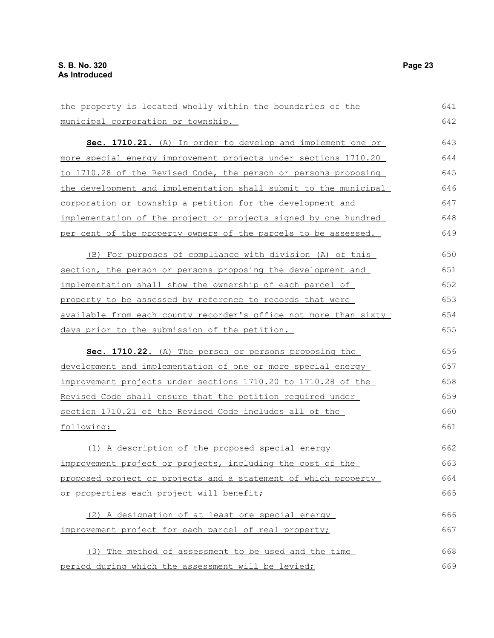| the property is located wholly within the boundaries of the            | 641 |
|------------------------------------------------------------------------|-----|
| municipal corporation or township.                                     | 642 |
| <b>Sec. 1710.21.</b> (A) In order to develop and implement one or      | 643 |
| <u>more special energy improvement projects under sections 1710.20</u> | 644 |
| to 1710.28 of the Revised Code, the person or persons proposing        | 645 |
| the development and implementation shall submit to the municipal       | 646 |
| corporation or township a petition for the development and             | 647 |
| implementation of the project or projects signed by one hundred        | 648 |
| per cent of the property owners of the parcels to be assessed.         | 649 |
| (B) For purposes of compliance with division (A) of this               | 650 |
| section, the person or persons proposing the development and           | 651 |
| implementation shall show the ownership of each parcel of              | 652 |
| property to be assessed by reference to records that were              | 653 |
| available from each county recorder's office not more than sixty       | 654 |
| <u>days prior to the submission of the petition.</u>                   | 655 |
| Sec. 1710.22. (A) The person or persons proposing the                  | 656 |
| development and implementation of one or more special energy           | 657 |
| improvement projects under sections 1710.20 to 1710.28 of the          | 658 |
| Revised Code shall ensure that the petition required under             | 659 |
| section 1710.21 of the Revised Code includes all of the                | 660 |
| following:                                                             | 661 |
| (1) A description of the proposed special energy                       | 662 |
| improvement project or projects, including the cost of the             | 663 |
| proposed project or projects and a statement of which property         | 664 |
| or properties each project will benefit;                               | 665 |
| (2) A designation of at least one special energy                       | 666 |
| improvement project for each parcel of real property;                  | 667 |
| (3) The method of assessment to be used and the time                   | 668 |
| period during which the assessment will be levied;                     | 669 |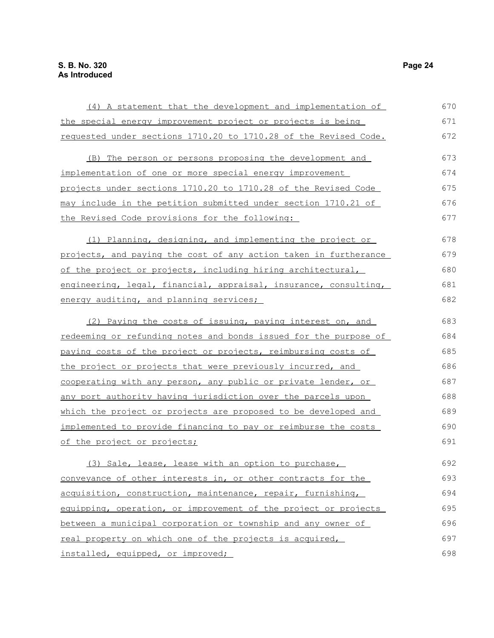| (4) A statement that the development and implementation of              | 670 |
|-------------------------------------------------------------------------|-----|
| the special energy improvement project or projects is being             | 671 |
| requested under sections 1710.20 to 1710.28 of the Revised Code.        | 672 |
| (B) The person or persons proposing the development and                 | 673 |
| implementation of one or more special energy improvement                | 674 |
| projects under sections 1710.20 to 1710.28 of the Revised Code          | 675 |
| may include in the petition submitted under section 1710.21 of          | 676 |
| the Revised Code provisions for the following:                          | 677 |
| (1) Planning, designing, and implementing the project or                | 678 |
| projects, and paying the cost of any action taken in furtherance        | 679 |
| of the project or projects, including hiring architectural,             | 680 |
| engineering, legal, financial, appraisal, insurance, consulting,        | 681 |
| energy auditing, and planning services;                                 | 682 |
| (2) Paying the costs of issuing, paying interest on, and                | 683 |
| <u>redeeming or refunding notes and bonds issued for the purpose of</u> | 684 |
| paying costs of the project or projects, reimbursing costs of           | 685 |
| the project or projects that were previously incurred, and              | 686 |
| cooperating with any person, any public or private lender, or           | 687 |
| any port authority having jurisdiction over the parcels upon            | 688 |
| which the project or projects are proposed to be developed and          | 689 |
| implemented to provide financing to pay or reimburse the costs          | 690 |
| of the project or projects;                                             | 691 |
| (3) Sale, lease, lease with an option to purchase,                      | 692 |
| conveyance of other interests in, or other contracts for the            | 693 |
| acquisition, construction, maintenance, repair, furnishing,             | 694 |
| equipping, operation, or improvement of the project or projects         | 695 |
| between a municipal corporation or township and any owner of            | 696 |
| real property on which one of the projects is acquired,                 | 697 |
| installed, equipped, or improved;                                       | 698 |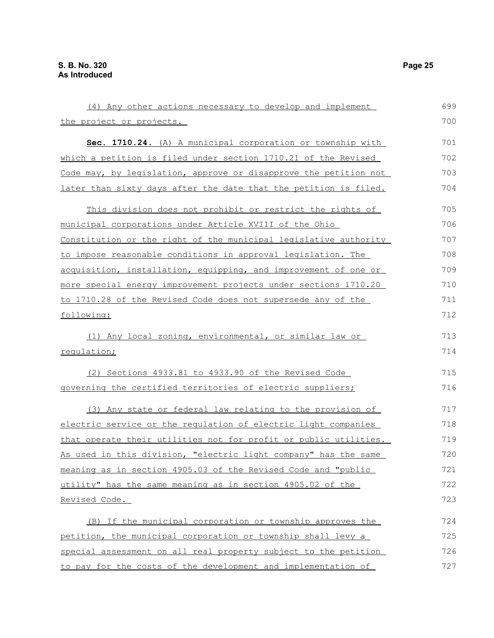(4) Any other actions necessary to develop and implement the project or projects. **Sec. 1710.24.** (A) A municipal corporation or township with which a petition is filed under section 1710.21 of the Revised Code may, by legislation, approve or disapprove the petition not later than sixty days after the date that the petition is filed. This division does not prohibit or restrict the rights of municipal corporations under Article XVIII of the Ohio Constitution or the right of the municipal legislative authority to impose reasonable conditions in approval legislation. The acquisition, installation, equipping, and improvement of one or more special energy improvement projects under sections 1710.20 to 1710.28 of the Revised Code does not supersede any of the following: (1) Any local zoning, environmental, or similar law or regulation; (2) Sections 4933.81 to 4933.90 of the Revised Code governing the certified territories of electric suppliers; (3) Any state or federal law relating to the provision of electric service or the regulation of electric light companies that operate their utilities not for profit or public utilities. As used in this division, "electric light company" has the same meaning as in section 4905.03 of the Revised Code and "public utility" has the same meaning as in section 4905.02 of the Revised Code. (B) If the municipal corporation or township approves the petition, the municipal corporation or township shall levy a special assessment on all real property subject to the petition 699 700 701 702 703 704 705 706 707 708 709 710 711 712 713 714 715 716 717 718 719 720 721 722 723 724 725 726

to pay for the costs of the development and implementation of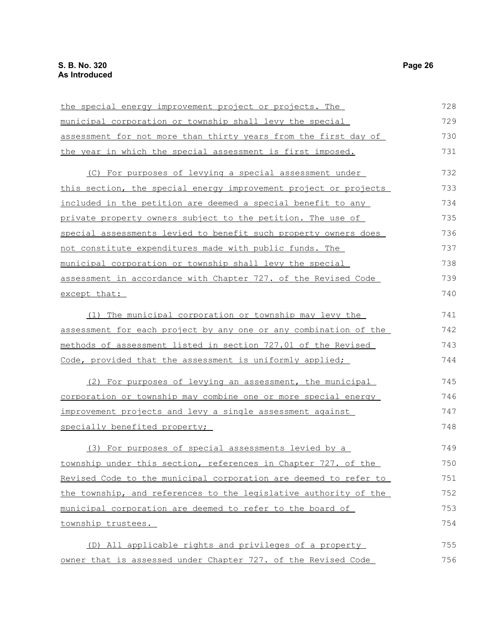| the special energy improvement project or projects. The          | 728 |
|------------------------------------------------------------------|-----|
| municipal corporation or township shall levy the special         | 729 |
| assessment for not more than thirty years from the first day of  | 730 |
| the year in which the special assessment is first imposed.       | 731 |
| (C) For purposes of levying a special assessment under           | 732 |
| this section, the special energy improvement project or projects | 733 |
| included in the petition are deemed a special benefit to any     | 734 |
| private property owners subject to the petition. The use of      | 735 |
| special assessments levied to benefit such property owners does  | 736 |
| not constitute expenditures made with public funds. The          | 737 |
| municipal corporation or township shall levy the special         | 738 |
| assessment in accordance with Chapter 727. of the Revised Code   | 739 |
| except that:                                                     | 740 |
| (1) The municipal corporation or township may levy the           | 741 |
| assessment for each project by any one or any combination of the | 742 |
| methods of assessment listed in section 727.01 of the Revised    | 743 |
| Code, provided that the assessment is uniformly applied;         | 744 |
| (2) For purposes of levying an assessment, the municipal         | 745 |
| corporation or township may combine one or more special energy   | 746 |
| improvement projects and levy a single assessment against        | 747 |
| specially benefited property;                                    | 748 |
| (3) For purposes of special assessments levied by a              | 749 |
| township under this section, references in Chapter 727. of the   | 750 |
| Revised Code to the municipal corporation are deemed to refer to | 751 |
| the township, and references to the legislative authority of the | 752 |
| municipal corporation are deemed to refer to the board of        | 753 |
| township trustees.                                               | 754 |
| (D) All applicable rights and privileges of a property           | 755 |
| owner that is assessed under Chapter 727. of the Revised Code    | 756 |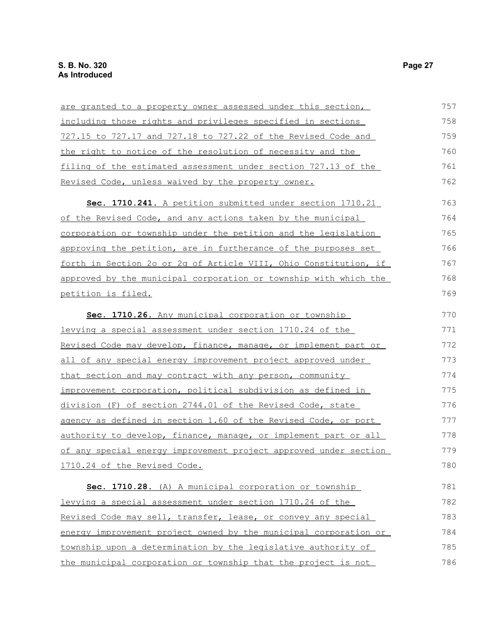| <u>are granted to a property owner assessed under this section,</u> | 757 |
|---------------------------------------------------------------------|-----|
| including those rights and privileges specified in sections         | 758 |
| 727.15 to 727.17 and 727.18 to 727.22 of the Revised Code and       | 759 |
| the right to notice of the resolution of necessity and the          | 760 |
| filing of the estimated assessment under section 727.13 of the      | 761 |
| Revised Code, unless waived by the property owner.                  | 762 |
| Sec. 1710.241. A petition submitted under section 1710.21           | 763 |
| of the Revised Code, and any actions taken by the municipal         | 764 |
| corporation or township under the petition and the legislation      | 765 |
| approving the petition, are in furtherance of the purposes set      | 766 |
| forth in Section 20 or 2q of Article VIII, Ohio Constitution, if    | 767 |
| approved by the municipal corporation or township with which the    | 768 |
| petition is filed.                                                  | 769 |
| Sec. 1710.26. Any municipal corporation or township                 | 770 |
| levying a special assessment under section 1710.24 of the           | 771 |
| Revised Code may develop, finance, manage, or implement part or     | 772 |
| <u>all of any special energy improvement project approved under</u> | 773 |
| that section and may contract with any person, community            | 774 |
| improvement corporation, political subdivision as defined in        | 775 |
| division (F) of section 2744.01 of the Revised Code, state          | 776 |
| agency as defined in section 1.60 of the Revised Code, or port      | 777 |
| authority to develop, finance, manage, or implement part or all     | 778 |
| of any special energy improvement project approved under section    | 779 |
| 1710.24 of the Revised Code.                                        | 780 |
| Sec. 1710.28. (A) A municipal corporation or township               | 781 |
| levying a special assessment under section 1710.24 of the           | 782 |
| Revised Code may sell, transfer, lease, or convey any special       | 783 |
| energy improvement project owned by the municipal corporation or    | 784 |
| township upon a determination by the legislative authority of       | 785 |
| the municipal corporation or township that the project is not       | 786 |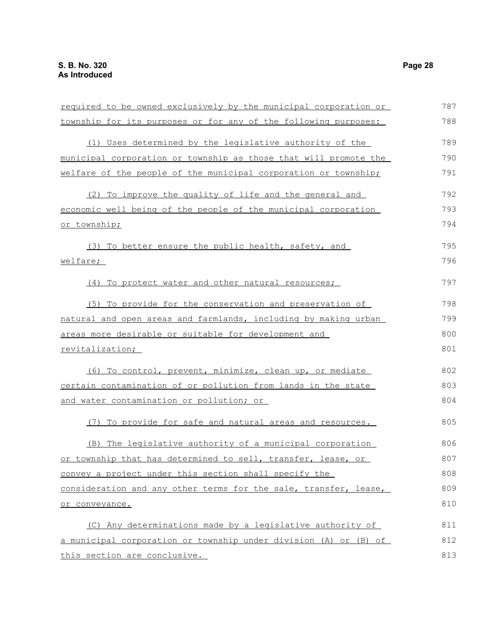| required to be owned exclusively by the municipal corporation or | 787 |
|------------------------------------------------------------------|-----|
| township for its purposes or for any of the following purposes:  | 788 |
| (1) Uses determined by the legislative authority of the          | 789 |
| municipal corporation or township as those that will promote the | 790 |
| welfare of the people of the municipal corporation or township;  | 791 |
| (2) To improve the quality of life and the general and           | 792 |
| economic well being of the people of the municipal corporation   | 793 |
| or township;                                                     | 794 |
| (3) To better ensure the public health, safety, and              | 795 |
| welfare;                                                         | 796 |
| (4) To protect water and other natural resources;                | 797 |
| (5) To provide for the conservation and preservation of          | 798 |
| natural and open areas and farmlands, including by making urban  | 799 |
| areas more desirable or suitable for development and             | 800 |
| <u>revitalization;</u>                                           | 801 |
| (6) To control, prevent, minimize, clean up, or mediate          | 802 |
| certain contamination of or pollution from lands in the state    | 803 |
| and water contamination or pollution; or                         | 804 |
| (7) To provide for safe and natural areas and resources.         | 805 |
| (B) The legislative authority of a municipal corporation         | 806 |
| or township that has determined to sell, transfer, lease, or     | 807 |
| convey a project under this section shall specify the            | 808 |
| consideration and any other terms for the sale, transfer, lease, | 809 |
| or conveyance.                                                   | 810 |
| (C) Any determinations made by a legislative authority of        | 811 |
| a municipal corporation or township under division (A) or (B) of | 812 |
| this section are conclusive.                                     | 813 |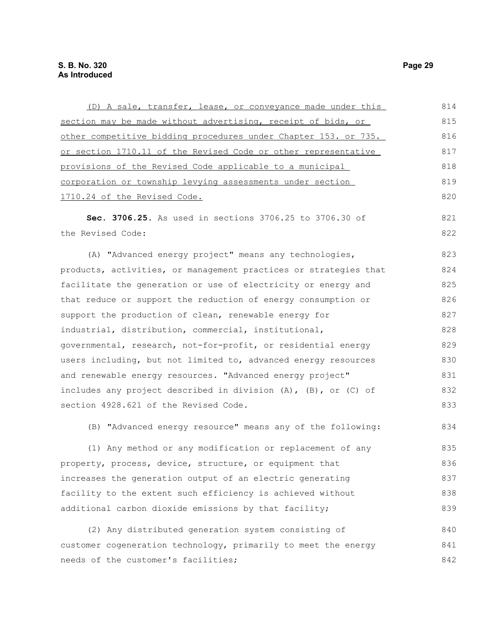| (D) A sale, transfer, lease, or conveyance made under this       | 814 |
|------------------------------------------------------------------|-----|
| section may be made without advertising, receipt of bids, or     | 815 |
| other competitive bidding procedures under Chapter 153. or 735.  | 816 |
| or section 1710.11 of the Revised Code or other representative   | 817 |
| provisions of the Revised Code applicable to a municipal         | 818 |
| corporation or township levying assessments under section        | 819 |
| 1710.24 of the Revised Code.                                     | 820 |
| Sec. 3706.25. As used in sections 3706.25 to 3706.30 of          | 821 |
| the Revised Code:                                                | 822 |
| (A) "Advanced energy project" means any technologies,            | 823 |
| products, activities, or management practices or strategies that | 824 |
| facilitate the generation or use of electricity or energy and    | 825 |
| that reduce or support the reduction of energy consumption or    | 826 |
| support the production of clean, renewable energy for            | 827 |
| industrial, distribution, commercial, institutional,             | 828 |
| governmental, research, not-for-profit, or residential energy    | 829 |
| users including, but not limited to, advanced energy resources   | 830 |
| and renewable energy resources. "Advanced energy project"        | 831 |
| includes any project described in division (A), (B), or (C) of   | 832 |
| section 4928.621 of the Revised Code.                            | 833 |
| (B) "Advanced energy resource" means any of the following:       | 834 |
| (1) Any method or any modification or replacement of any         | 835 |
| property, process, device, structure, or equipment that          | 836 |
| increases the generation output of an electric generating        | 837 |
| facility to the extent such efficiency is achieved without       | 838 |
| additional carbon dioxide emissions by that facility;            | 839 |
| (2) Any distributed generation system consisting of              | 840 |
| customer cogeneration technology, primarily to meet the energy   | 841 |
| needs of the customer's facilities;                              | 842 |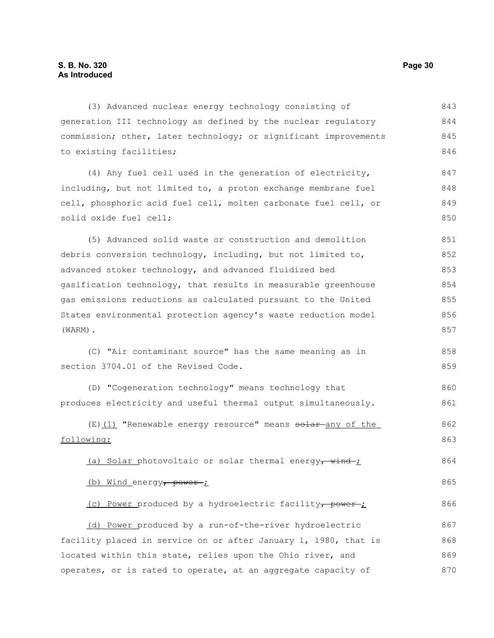(3) Advanced nuclear energy technology consisting of generation III technology as defined by the nuclear regulatory commission; other, later technology; or significant improvements to existing facilities; (4) Any fuel cell used in the generation of electricity, including, but not limited to, a proton exchange membrane fuel cell, phosphoric acid fuel cell, molten carbonate fuel cell, or solid oxide fuel cell; 843 844 845 846 847 848 849 850

(5) Advanced solid waste or construction and demolition debris conversion technology, including, but not limited to, advanced stoker technology, and advanced fluidized bed gasification technology, that results in measurable greenhouse gas emissions reductions as calculated pursuant to the United States environmental protection agency's waste reduction model (WARM). 851 852 853 854 855 856 857

(C) "Air contaminant source" has the same meaning as in section 3704.01 of the Revised Code. 858 859

(D) "Cogeneration technology" means technology that produces electricity and useful thermal output simultaneously. 860 861

 $(E)$  (1) "Renewable energy resource" means solar any of the following: (a) Solar photovoltaic or solar thermal energy, wind- $\dot{I}$ (b) Wind energy, power ; 862 863 864 865

(c) Power produced by a hydroelectric facility, power; (d) Power produced by a run-of-the-river hydroelectric 866 867

facility placed in service on or after January 1, 1980, that is located within this state, relies upon the Ohio river, and operates, or is rated to operate, at an aggregate capacity of 868 869 870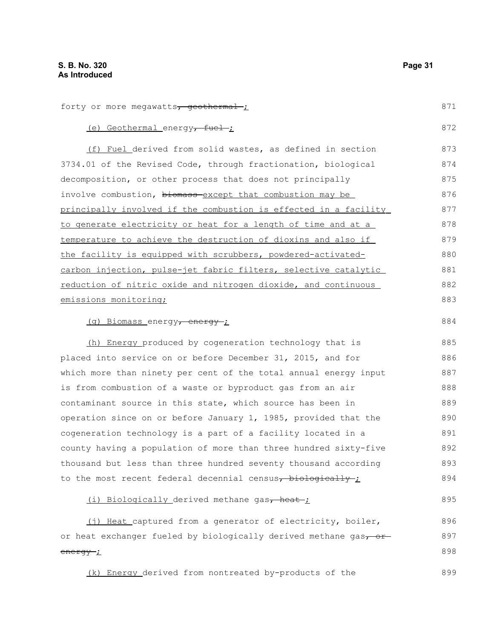#### forty or more megawatts<sub> $\tau$ </sub> geothermal  $\cdot$ (e) Geothermal energy<del>, fuel</del> ( f) Fuel derived from solid wastes, as defined in section 3734.01 of the Revised Code, through fractionation, biological decomposition, or other process that does not principally involve combustion, biomass-except that combustion may be principally involved if the combustion is effected in a facility to generate electricity or heat for a length of time and at a temperature to achieve the destruction of dioxins and also if the facility is equipped with scrubbers, powdered-activatedcarbon injection, pulse-jet fabric filters, selective catalytic reduction of nitric oxide and nitrogen dioxide, and continuous emissions monitoring; (g) Biomass energy, energy ; (h) Energy produced by cogeneration technology that is placed into service on or before December 31, 2015, and for which more than ninety per cent of the total annual energy input is from combustion of a waste or byproduct gas from an air contaminant source in this state, which source has been in operation since on or before January 1, 1985, provided that the cogeneration technology is a part of a facility located in a county having a population of more than three hundred sixty-five thousand but less than three hundred seventy thousand according to the most recent federal decennial census, biologically  $\dot{I}$ (i) Biologically derived methane gas, heat ; (j) Heat captured from a generator of electricity, boiler, or heat exchanger fueled by biologically derived methane gas, or  $energy - *i*$ (k) Energy derived from nontreated by-products of the 871 872 873 874 875 876 877 878 879 880 881 882 883 884 885 886 887 888 889 890 891 892 893 894 895 896 897 898 899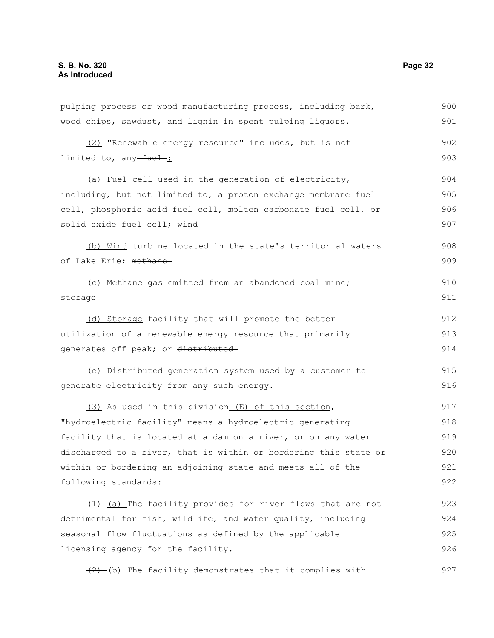pulping process or wood manufacturing process, including bark, wood chips, sawdust, and lignin in spent pulping liquors. (2) "Renewable energy resource" includes, but is not limited to, any fuel : (a) Fuel cell used in the generation of electricity, including, but not limited to, a proton exchange membrane fuel cell, phosphoric acid fuel cell, molten carbonate fuel cell, or solid oxide fuel cell; wind-(b) Wind turbine located in the state's territorial waters of Lake Erie; methane-(c) Methane gas emitted from an abandoned coal mine; storage (d) Storage facility that will promote the better utilization of a renewable energy resource that primarily generates off peak; or distributed (e) Distributed generation system used by a customer to generate electricity from any such energy. (3) As used in this division (E) of this section, "hydroelectric facility" means a hydroelectric generating facility that is located at a dam on a river, or on any water discharged to a river, that is within or bordering this state or within or bordering an adjoining state and meets all of the following standards:  $(1)$   $(a)$  The facility provides for river flows that are not detrimental for fish, wildlife, and water quality, including seasonal flow fluctuations as defined by the applicable licensing agency for the facility.  $(2)$  (b) The facility demonstrates that it complies with 900 901 902 903 904 905 906 907 908 909 910 911 912 913 914 915 916 917 918 919 920 921 922 923 924 925 926 927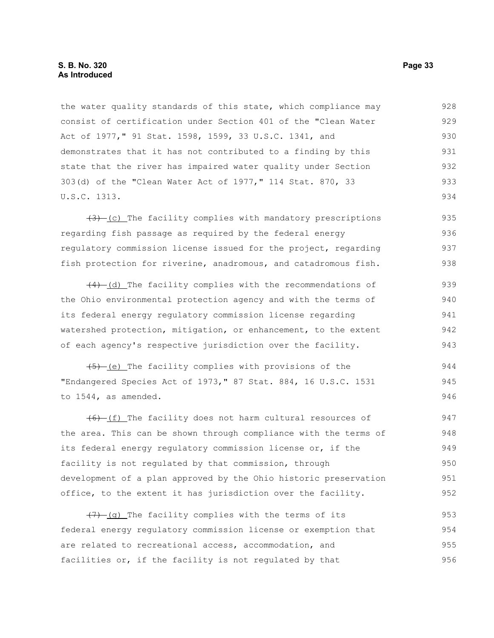the water quality standards of this state, which compliance may consist of certification under Section 401 of the "Clean Water Act of 1977," 91 Stat. 1598, 1599, 33 U.S.C. 1341, and demonstrates that it has not contributed to a finding by this state that the river has impaired water quality under Section 303(d) of the "Clean Water Act of 1977," 114 Stat. 870, 33 U.S.C. 1313. 928 929 930 931 932 933 934

 $(3)$  (c) The facility complies with mandatory prescriptions regarding fish passage as required by the federal energy regulatory commission license issued for the project, regarding fish protection for riverine, anadromous, and catadromous fish. 935 936 937 938

 $(4)$  (d) The facility complies with the recommendations of the Ohio environmental protection agency and with the terms of its federal energy regulatory commission license regarding watershed protection, mitigation, or enhancement, to the extent of each agency's respective jurisdiction over the facility. 939 940 941 942 943

 $(5)$  (e) The facility complies with provisions of the "Endangered Species Act of 1973," 87 Stat. 884, 16 U.S.C. 1531 to 1544, as amended. 944 945 946

 $(6)$  (f) The facility does not harm cultural resources of the area. This can be shown through compliance with the terms of its federal energy regulatory commission license or, if the facility is not regulated by that commission, through development of a plan approved by the Ohio historic preservation office, to the extent it has jurisdiction over the facility. 947 948 949 950 951 952

 $(7)$  (q) The facility complies with the terms of its federal energy regulatory commission license or exemption that are related to recreational access, accommodation, and facilities or, if the facility is not regulated by that 953 954 955 956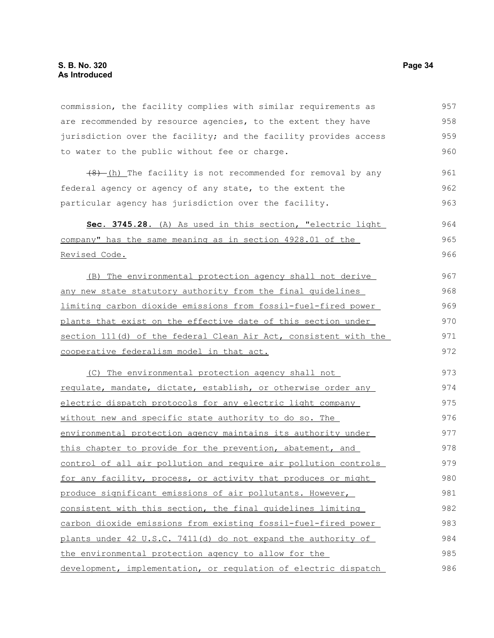commission, the facility complies with similar requirements as are recommended by resource agencies, to the extent they have jurisdiction over the facility; and the facility provides access to water to the public without fee or charge. 957 958 959 960

 $(8)$  (h) The facility is not recommended for removal by any federal agency or agency of any state, to the extent the particular agency has jurisdiction over the facility.

 **Sec. 3745.28.** (A) As used in this section, "electric light company" has the same meaning as in section 4928.01 of the Revised Code. 964 965 966

(B) The environmental protection agency shall not derive any new state statutory authority from the final guidelines limiting carbon dioxide emissions from fossil-fuel-fired power plants that exist on the effective date of this section under section 111(d) of the federal Clean Air Act, consistent with the cooperative federalism model in that act. 967 968 969 970 971 972

(C) The environmental protection agency shall not regulate, mandate, dictate, establish, or otherwise order any electric dispatch protocols for any electric light company without new and specific state authority to do so. The environmental protection agency maintains its authority under this chapter to provide for the prevention, abatement, and control of all air pollution and require air pollution controls for any facility, process, or activity that produces or might produce significant emissions of air pollutants. However, consistent with this section, the final guidelines limiting carbon dioxide emissions from existing fossil-fuel-fired power plants under 42 U.S.C. 7411(d) do not expand the authority of the environmental protection agency to allow for the development, implementation, or regulation of electric dispatch 973 974 975 976 977 978 979 980 981 982 983 984 985 986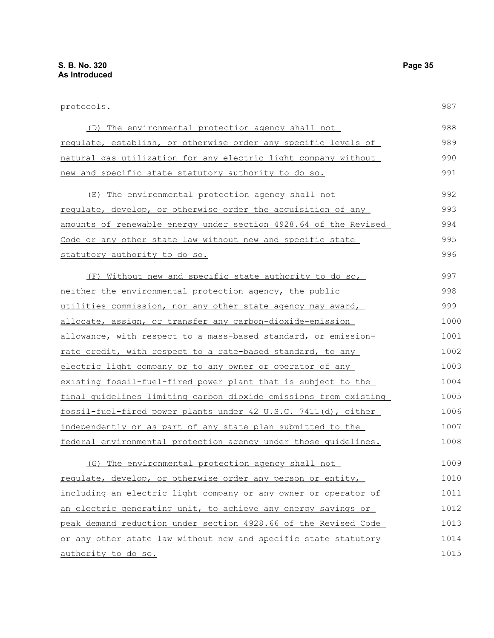## protocols.

| (D) The environmental protection agency shall not                | 988  |
|------------------------------------------------------------------|------|
| requlate, establish, or otherwise order any specific levels of   | 989  |
| natural gas utilization for any electric light company without   | 990  |
| new and specific state statutory authority to do so.             | 991  |
|                                                                  |      |
| (E) The environmental protection agency shall not                | 992  |
| requlate, develop, or otherwise order the acquisition of any     | 993  |
| amounts of renewable energy under section 4928.64 of the Revised | 994  |
| Code or any other state law without new and specific state       | 995  |
| statutory authority to do so.                                    | 996  |
| (F) Without new and specific state authority to do so,           | 997  |
| neither the environmental protection agency, the public          | 998  |
| utilities commission, nor any other state agency may award,      | 999  |
| allocate, assign, or transfer any carbon-dioxide-emission        | 1000 |
| allowance, with respect to a mass-based standard, or emission-   | 1001 |
| rate credit, with respect to a rate-based standard, to any       | 1002 |
| electric light company or to any owner or operator of any        | 1003 |
| existing fossil-fuel-fired power plant that is subject to the    | 1004 |
| final quidelines limiting carbon dioxide emissions from existing | 1005 |
| fossil-fuel-fired power plants under 42 U.S.C. 7411(d), either   | 1006 |
| independently or as part of any state plan submitted to the      | 1007 |
| federal environmental protection agency under those quidelines.  | 1008 |
| (G) The environmental protection agency shall not                | 1009 |
| requlate, develop, or otherwise order any person or entity,      | 1010 |
| including an electric light company or any owner or operator of  | 1011 |
| an electric generating unit, to achieve any energy savings or    | 1012 |
| peak demand reduction under section 4928.66 of the Revised Code  | 1013 |
| or any other state law without new and specific state statutory  | 1014 |
| authority to do so.                                              | 1015 |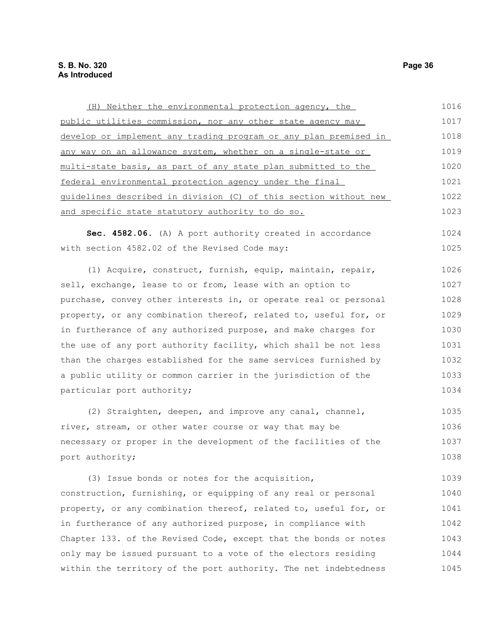| (H) Neither the environmental protection agency, the             | 1016 |
|------------------------------------------------------------------|------|
| public utilities commission, nor any other state agency may      | 1017 |
| develop or implement any trading program or any plan premised in | 1018 |
| any way on an allowance system, whether on a single-state or     | 1019 |
| multi-state basis, as part of any state plan submitted to the    | 1020 |
| federal environmental protection agency under the final          | 1021 |
| guidelines described in division (C) of this section without new | 1022 |
| and specific state statutory authority to do so.                 | 1023 |
| Sec. 4582.06. (A) A port authority created in accordance         | 1024 |
| with section 4582.02 of the Revised Code may:                    | 1025 |
| (1) Acquire, construct, furnish, equip, maintain, repair,        | 1026 |
| sell, exchange, lease to or from, lease with an option to        | 1027 |
| purchase, convey other interests in, or operate real or personal | 1028 |
| property, or any combination thereof, related to, useful for, or | 1029 |
| in furtherance of any authorized purpose, and make charges for   | 1030 |
| the use of any port authority facility, which shall be not less  | 1031 |
| than the charges established for the same services furnished by  | 1032 |
| a public utility or common carrier in the jurisdiction of the    | 1033 |
| particular port authority;                                       | 1034 |
| (2) Straighten, deepen, and improve any canal, channel,          | 1035 |
| river, stream, or other water course or way that may be          | 1036 |
| necessary or proper in the development of the facilities of the  | 1037 |
| port authority;                                                  | 1038 |

(3) Issue bonds or notes for the acquisition, construction, furnishing, or equipping of any real or personal property, or any combination thereof, related to, useful for, or in furtherance of any authorized purpose, in compliance with Chapter 133. of the Revised Code, except that the bonds or notes only may be issued pursuant to a vote of the electors residing within the territory of the port authority. The net indebtedness 1039 1040 1041 1042 1043 1044 1045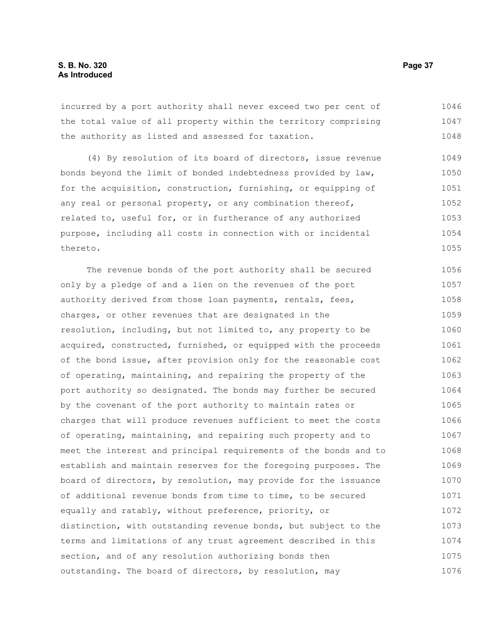# **S. B. No. 320 Page 37 As Introduced**

incurred by a port authority shall never exceed two per cent of the total value of all property within the territory comprising the authority as listed and assessed for taxation. 1046 1047 1048

(4) By resolution of its board of directors, issue revenue bonds beyond the limit of bonded indebtedness provided by law, for the acquisition, construction, furnishing, or equipping of any real or personal property, or any combination thereof, related to, useful for, or in furtherance of any authorized purpose, including all costs in connection with or incidental thereto. 1049 1050 1051 1052 1053 1054 1055

The revenue bonds of the port authority shall be secured only by a pledge of and a lien on the revenues of the port authority derived from those loan payments, rentals, fees, charges, or other revenues that are designated in the resolution, including, but not limited to, any property to be acquired, constructed, furnished, or equipped with the proceeds of the bond issue, after provision only for the reasonable cost of operating, maintaining, and repairing the property of the port authority so designated. The bonds may further be secured by the covenant of the port authority to maintain rates or charges that will produce revenues sufficient to meet the costs of operating, maintaining, and repairing such property and to meet the interest and principal requirements of the bonds and to establish and maintain reserves for the foregoing purposes. The board of directors, by resolution, may provide for the issuance of additional revenue bonds from time to time, to be secured equally and ratably, without preference, priority, or distinction, with outstanding revenue bonds, but subject to the terms and limitations of any trust agreement described in this section, and of any resolution authorizing bonds then outstanding. The board of directors, by resolution, may 1056 1057 1058 1059 1060 1061 1062 1063 1064 1065 1066 1067 1068 1069 1070 1071 1072 1073 1074 1075 1076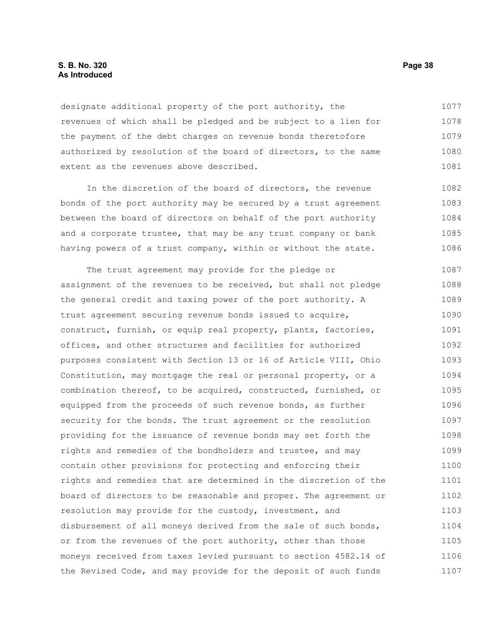# **S. B. No. 320 Page 38 As Introduced**

designate additional property of the port authority, the revenues of which shall be pledged and be subject to a lien for the payment of the debt charges on revenue bonds theretofore authorized by resolution of the board of directors, to the same extent as the revenues above described. 1077 1078 1079 1080 1081

In the discretion of the board of directors, the revenue bonds of the port authority may be secured by a trust agreement between the board of directors on behalf of the port authority and a corporate trustee, that may be any trust company or bank having powers of a trust company, within or without the state. 1082 1083 1084 1085 1086

The trust agreement may provide for the pledge or assignment of the revenues to be received, but shall not pledge the general credit and taxing power of the port authority. A trust agreement securing revenue bonds issued to acquire, construct, furnish, or equip real property, plants, factories, offices, and other structures and facilities for authorized purposes consistent with Section 13 or 16 of Article VIII, Ohio Constitution, may mortgage the real or personal property, or a combination thereof, to be acquired, constructed, furnished, or equipped from the proceeds of such revenue bonds, as further security for the bonds. The trust agreement or the resolution providing for the issuance of revenue bonds may set forth the rights and remedies of the bondholders and trustee, and may contain other provisions for protecting and enforcing their rights and remedies that are determined in the discretion of the board of directors to be reasonable and proper. The agreement or resolution may provide for the custody, investment, and disbursement of all moneys derived from the sale of such bonds, or from the revenues of the port authority, other than those moneys received from taxes levied pursuant to section 4582.14 of the Revised Code, and may provide for the deposit of such funds 1087 1088 1089 1090 1091 1092 1093 1094 1095 1096 1097 1098 1099 1100 1101 1102 1103 1104 1105 1106 1107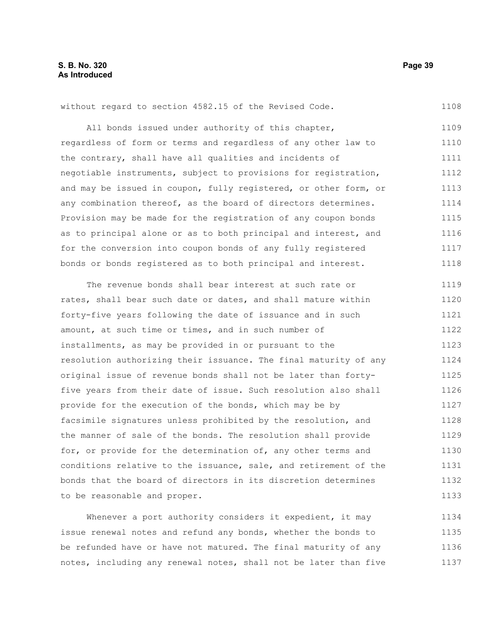without regard to section 4582.15 of the Revised Code. 1108

All bonds issued under authority of this chapter, regardless of form or terms and regardless of any other law to the contrary, shall have all qualities and incidents of negotiable instruments, subject to provisions for registration, and may be issued in coupon, fully registered, or other form, or any combination thereof, as the board of directors determines. Provision may be made for the registration of any coupon bonds as to principal alone or as to both principal and interest, and for the conversion into coupon bonds of any fully registered bonds or bonds registered as to both principal and interest. 1109 1110 1111 1112 1113 1114 1115 1116 1117 1118

The revenue bonds shall bear interest at such rate or rates, shall bear such date or dates, and shall mature within forty-five years following the date of issuance and in such amount, at such time or times, and in such number of installments, as may be provided in or pursuant to the resolution authorizing their issuance. The final maturity of any original issue of revenue bonds shall not be later than fortyfive years from their date of issue. Such resolution also shall provide for the execution of the bonds, which may be by facsimile signatures unless prohibited by the resolution, and the manner of sale of the bonds. The resolution shall provide for, or provide for the determination of, any other terms and conditions relative to the issuance, sale, and retirement of the bonds that the board of directors in its discretion determines to be reasonable and proper. 1119 1120 1121 1122 1123 1124 1125 1126 1127 1128 1129 1130 1131 1132 1133

Whenever a port authority considers it expedient, it may issue renewal notes and refund any bonds, whether the bonds to be refunded have or have not matured. The final maturity of any notes, including any renewal notes, shall not be later than five 1134 1135 1136 1137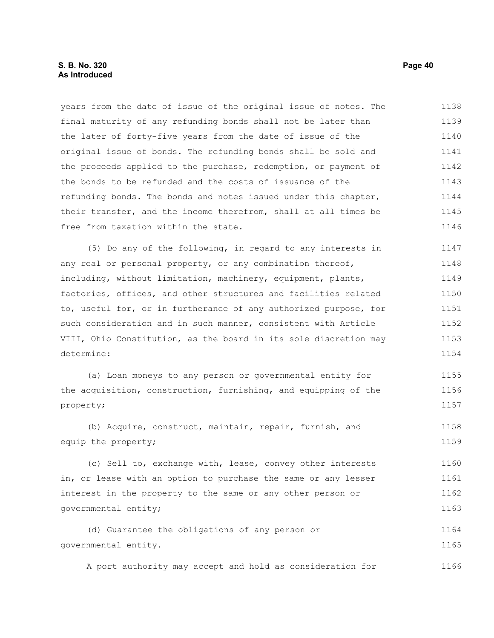# **S. B. No. 320 Page 40 As Introduced**

years from the date of issue of the original issue of notes. The final maturity of any refunding bonds shall not be later than the later of forty-five years from the date of issue of the original issue of bonds. The refunding bonds shall be sold and the proceeds applied to the purchase, redemption, or payment of the bonds to be refunded and the costs of issuance of the refunding bonds. The bonds and notes issued under this chapter, their transfer, and the income therefrom, shall at all times be free from taxation within the state. 1138 1139 1140 1141 1142 1143 1144 1145 1146

(5) Do any of the following, in regard to any interests in any real or personal property, or any combination thereof, including, without limitation, machinery, equipment, plants, factories, offices, and other structures and facilities related to, useful for, or in furtherance of any authorized purpose, for such consideration and in such manner, consistent with Article VIII, Ohio Constitution, as the board in its sole discretion may determine: 1147 1148 1149 1150 1151 1152 1153 1154

(a) Loan moneys to any person or governmental entity for the acquisition, construction, furnishing, and equipping of the property; 1155 1156 1157

(b) Acquire, construct, maintain, repair, furnish, and equip the property; 1158 1159

(c) Sell to, exchange with, lease, convey other interests in, or lease with an option to purchase the same or any lesser interest in the property to the same or any other person or governmental entity; 1160 1161 1162 1163

(d) Guarantee the obligations of any person or governmental entity. 1164 1165

A port authority may accept and hold as consideration for 1166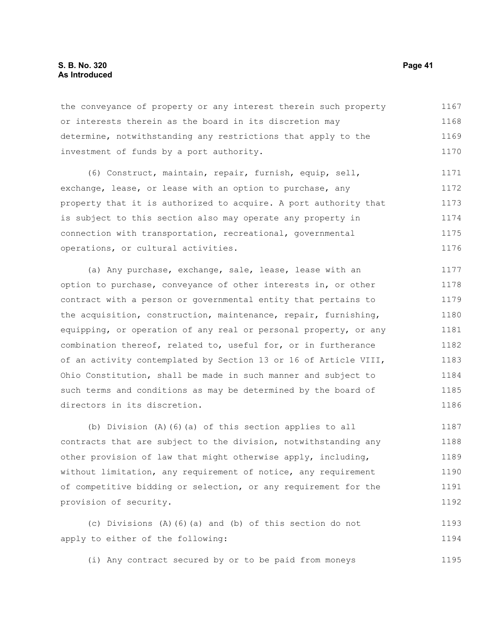# **S. B. No. 320 Page 41 As Introduced**

the conveyance of property or any interest therein such property or interests therein as the board in its discretion may determine, notwithstanding any restrictions that apply to the investment of funds by a port authority. 1167 1168 1169 1170

(6) Construct, maintain, repair, furnish, equip, sell, exchange, lease, or lease with an option to purchase, any property that it is authorized to acquire. A port authority that is subject to this section also may operate any property in connection with transportation, recreational, governmental operations, or cultural activities. 1171 1172 1173 1174 1175 1176

(a) Any purchase, exchange, sale, lease, lease with an option to purchase, conveyance of other interests in, or other contract with a person or governmental entity that pertains to the acquisition, construction, maintenance, repair, furnishing, equipping, or operation of any real or personal property, or any combination thereof, related to, useful for, or in furtherance of an activity contemplated by Section 13 or 16 of Article VIII, Ohio Constitution, shall be made in such manner and subject to such terms and conditions as may be determined by the board of directors in its discretion. 1177 1178 1179 1180 1181 1182 1183 1184 1185 1186

(b) Division (A)(6)(a) of this section applies to all contracts that are subject to the division, notwithstanding any other provision of law that might otherwise apply, including, without limitation, any requirement of notice, any requirement of competitive bidding or selection, or any requirement for the provision of security. 1187 1188 1189 1190 1191 1192

(c) Divisions (A)(6)(a) and (b) of this section do not apply to either of the following: 1193 1194

(i) Any contract secured by or to be paid from moneys

1195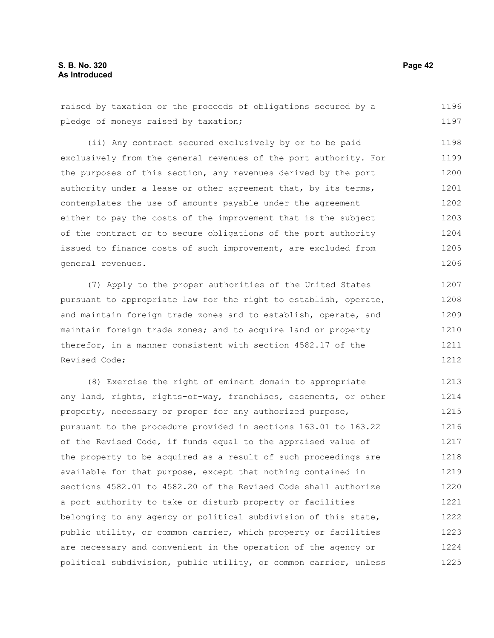raised by taxation or the proceeds of obligations secured by a pledge of moneys raised by taxation; (ii) Any contract secured exclusively by or to be paid exclusively from the general revenues of the port authority. For the purposes of this section, any revenues derived by the port authority under a lease or other agreement that, by its terms, 1196 1197 1198 1199 1200 1201

contemplates the use of amounts payable under the agreement either to pay the costs of the improvement that is the subject of the contract or to secure obligations of the port authority issued to finance costs of such improvement, are excluded from general revenues. 1202 1203 1204 1205 1206

(7) Apply to the proper authorities of the United States pursuant to appropriate law for the right to establish, operate, and maintain foreign trade zones and to establish, operate, and maintain foreign trade zones; and to acquire land or property therefor, in a manner consistent with section 4582.17 of the Revised Code;

(8) Exercise the right of eminent domain to appropriate any land, rights, rights-of-way, franchises, easements, or other property, necessary or proper for any authorized purpose, pursuant to the procedure provided in sections 163.01 to 163.22 of the Revised Code, if funds equal to the appraised value of the property to be acquired as a result of such proceedings are available for that purpose, except that nothing contained in sections 4582.01 to 4582.20 of the Revised Code shall authorize a port authority to take or disturb property or facilities belonging to any agency or political subdivision of this state, public utility, or common carrier, which property or facilities are necessary and convenient in the operation of the agency or political subdivision, public utility, or common carrier, unless 1213 1214 1215 1216 1217 1218 1219 1220 1221 1222 1223 1224 1225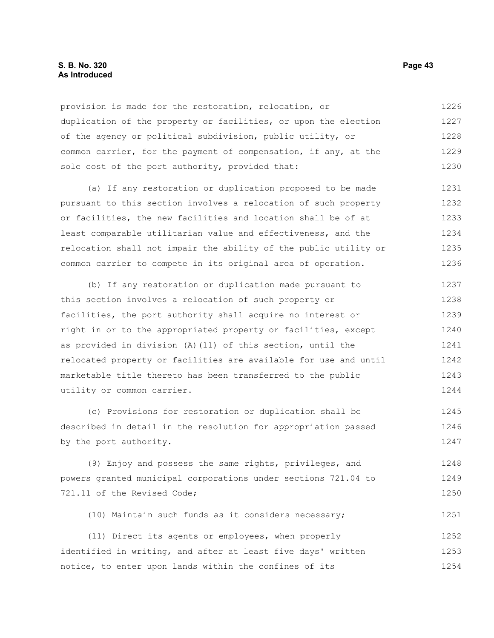# **S. B. No. 320 Page 43 As Introduced**

provision is made for the restoration, relocation, or duplication of the property or facilities, or upon the election of the agency or political subdivision, public utility, or common carrier, for the payment of compensation, if any, at the sole cost of the port authority, provided that: 1226 1227 1228 1229 1230

(a) If any restoration or duplication proposed to be made pursuant to this section involves a relocation of such property or facilities, the new facilities and location shall be of at least comparable utilitarian value and effectiveness, and the relocation shall not impair the ability of the public utility or common carrier to compete in its original area of operation. 1231 1232 1233 1234 1235 1236

(b) If any restoration or duplication made pursuant to this section involves a relocation of such property or facilities, the port authority shall acquire no interest or right in or to the appropriated property or facilities, except as provided in division (A)(11) of this section, until the relocated property or facilities are available for use and until marketable title thereto has been transferred to the public utility or common carrier. 1237 1238 1239 1240 1241 1242 1243 1244

(c) Provisions for restoration or duplication shall be described in detail in the resolution for appropriation passed by the port authority. 1245 1246 1247

(9) Enjoy and possess the same rights, privileges, and powers granted municipal corporations under sections 721.04 to 721.11 of the Revised Code; 1248 1249 1250

(10) Maintain such funds as it considers necessary; 1251

|                                                        |  |  |  |  | (11) Direct its agents or employees, when properly           | 1252 |
|--------------------------------------------------------|--|--|--|--|--------------------------------------------------------------|------|
|                                                        |  |  |  |  | identified in writing, and after at least five days' written | 1253 |
| notice, to enter upon lands within the confines of its |  |  |  |  |                                                              | 1254 |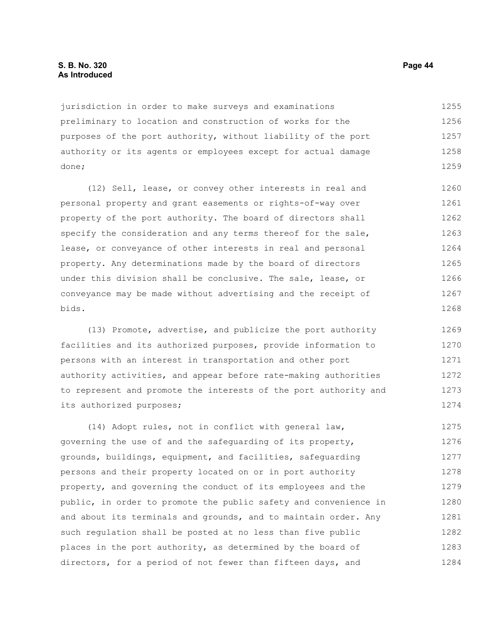jurisdiction in order to make surveys and examinations preliminary to location and construction of works for the purposes of the port authority, without liability of the port authority or its agents or employees except for actual damage done; 1255 1256 1257 1258 1259

(12) Sell, lease, or convey other interests in real and personal property and grant easements or rights-of-way over property of the port authority. The board of directors shall specify the consideration and any terms thereof for the sale, lease, or conveyance of other interests in real and personal property. Any determinations made by the board of directors under this division shall be conclusive. The sale, lease, or conveyance may be made without advertising and the receipt of bids. 1260 1261 1262 1263 1264 1265 1266 1267 1268

(13) Promote, advertise, and publicize the port authority facilities and its authorized purposes, provide information to persons with an interest in transportation and other port authority activities, and appear before rate-making authorities to represent and promote the interests of the port authority and its authorized purposes; 1269 1270 1271 1272 1273 1274

(14) Adopt rules, not in conflict with general law, governing the use of and the safeguarding of its property, grounds, buildings, equipment, and facilities, safeguarding persons and their property located on or in port authority property, and governing the conduct of its employees and the public, in order to promote the public safety and convenience in and about its terminals and grounds, and to maintain order. Any such regulation shall be posted at no less than five public places in the port authority, as determined by the board of directors, for a period of not fewer than fifteen days, and 1275 1276 1277 1278 1279 1280 1281 1282 1283 1284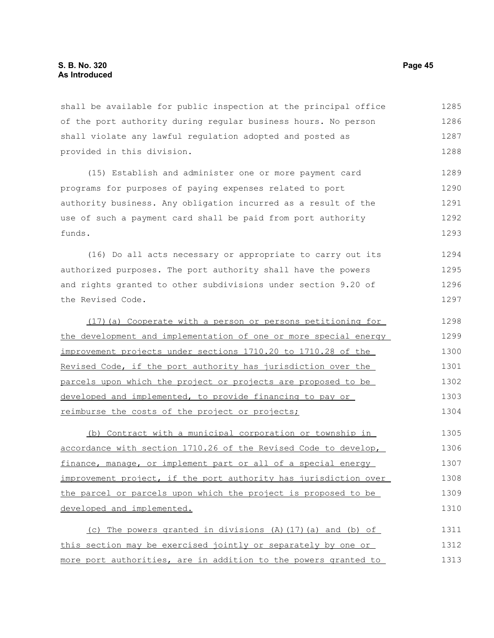shall be available for public inspection at the principal office of the port authority during regular business hours. No person shall violate any lawful regulation adopted and posted as provided in this division. 1285 1286 1287 1288

(15) Establish and administer one or more payment card programs for purposes of paying expenses related to port authority business. Any obligation incurred as a result of the use of such a payment card shall be paid from port authority funds. 1289 1290 1291 1292 1293

(16) Do all acts necessary or appropriate to carry out its authorized purposes. The port authority shall have the powers and rights granted to other subdivisions under section 9.20 of the Revised Code. 1294 1295 1296 1297

(17)(a) Cooperate with a person or persons petitioning for the development and implementation of one or more special energy improvement projects under sections 1710.20 to 1710.28 of the Revised Code, if the port authority has jurisdiction over the parcels upon which the project or projects are proposed to be developed and implemented, to provide financing to pay or reimburse the costs of the project or projects; 1298 1299 1300 1301 1302 1303 1304

(b) Contract with a municipal corporation or township in accordance with section 1710.26 of the Revised Code to develop, finance, manage, or implement part or all of a special energy improvement project, if the port authority has jurisdiction over the parcel or parcels upon which the project is proposed to be developed and implemented. 1305 1306 1307 1308 1309 1310

(c) The powers granted in divisions (A)(17)(a) and (b) of this section may be exercised jointly or separately by one or more port authorities, are in addition to the powers granted to 1311 1312 1313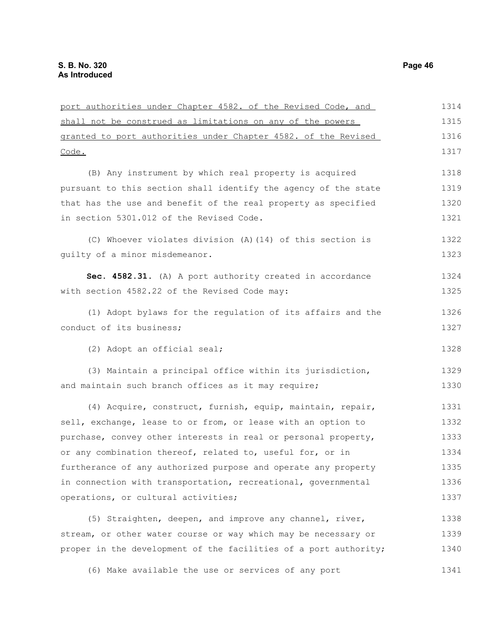| port authorities under Chapter 4582. of the Revised Code, and    | 1314 |
|------------------------------------------------------------------|------|
| shall not be construed as limitations on any of the powers       | 1315 |
| granted to port authorities under Chapter 4582. of the Revised   | 1316 |
| Code.                                                            | 1317 |
| (B) Any instrument by which real property is acquired            | 1318 |
| pursuant to this section shall identify the agency of the state  | 1319 |
| that has the use and benefit of the real property as specified   | 1320 |
| in section 5301.012 of the Revised Code.                         | 1321 |
| (C) Whoever violates division (A) (14) of this section is        | 1322 |
| quilty of a minor misdemeanor.                                   | 1323 |
| Sec. 4582.31. (A) A port authority created in accordance         | 1324 |
| with section 4582.22 of the Revised Code may:                    | 1325 |
| (1) Adopt bylaws for the regulation of its affairs and the       | 1326 |
| conduct of its business;                                         | 1327 |
| (2) Adopt an official seal;                                      | 1328 |
| (3) Maintain a principal office within its jurisdiction,         | 1329 |
| and maintain such branch offices as it may require;              | 1330 |
| (4) Acquire, construct, furnish, equip, maintain, repair,        | 1331 |
| sell, exchange, lease to or from, or lease with an option to     | 1332 |
| purchase, convey other interests in real or personal property,   | 1333 |
| or any combination thereof, related to, useful for, or in        | 1334 |
| furtherance of any authorized purpose and operate any property   | 1335 |
| in connection with transportation, recreational, governmental    | 1336 |
| operations, or cultural activities;                              | 1337 |
| (5) Straighten, deepen, and improve any channel, river,          | 1338 |
| stream, or other water course or way which may be necessary or   | 1339 |
| proper in the development of the facilities of a port authority; | 1340 |
| (6) Make available the use or services of any port               | 1341 |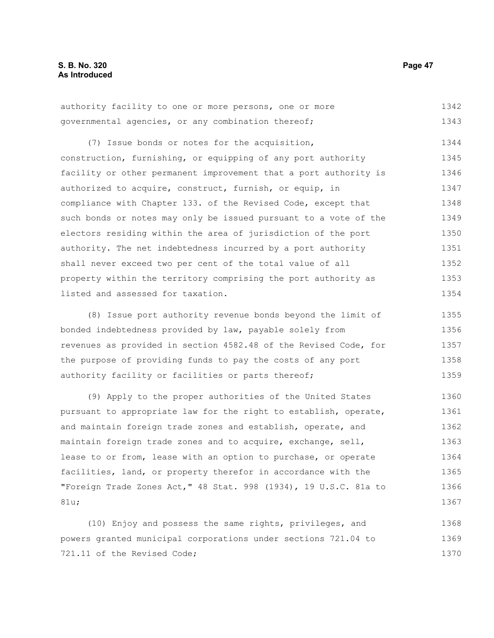|  |  | authority facility to one or more persons, one or more |  | 1342 |
|--|--|--------------------------------------------------------|--|------|
|  |  | governmental agencies, or any combination thereof;     |  | 1343 |

(7) Issue bonds or notes for the acquisition, construction, furnishing, or equipping of any port authority facility or other permanent improvement that a port authority is authorized to acquire, construct, furnish, or equip, in compliance with Chapter 133. of the Revised Code, except that such bonds or notes may only be issued pursuant to a vote of the electors residing within the area of jurisdiction of the port authority. The net indebtedness incurred by a port authority shall never exceed two per cent of the total value of all property within the territory comprising the port authority as listed and assessed for taxation. 1344 1345 1346 1347 1348 1349 1350 1351 1352 1353 1354

(8) Issue port authority revenue bonds beyond the limit of bonded indebtedness provided by law, payable solely from revenues as provided in section 4582.48 of the Revised Code, for the purpose of providing funds to pay the costs of any port authority facility or facilities or parts thereof; 1355 1356 1357 1358 1359

(9) Apply to the proper authorities of the United States pursuant to appropriate law for the right to establish, operate, and maintain foreign trade zones and establish, operate, and maintain foreign trade zones and to acquire, exchange, sell, lease to or from, lease with an option to purchase, or operate facilities, land, or property therefor in accordance with the "Foreign Trade Zones Act," 48 Stat. 998 (1934), 19 U.S.C. 81a to 81u; 1360 1361 1362 1363 1364 1365 1366 1367

(10) Enjoy and possess the same rights, privileges, and powers granted municipal corporations under sections 721.04 to 721.11 of the Revised Code; 1368 1369 1370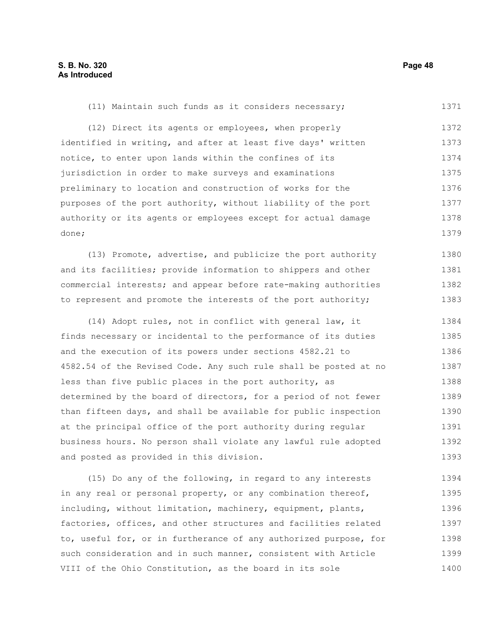#### (11) Maintain such funds as it considers necessary; 1371

(12) Direct its agents or employees, when properly identified in writing, and after at least five days' written notice, to enter upon lands within the confines of its jurisdiction in order to make surveys and examinations preliminary to location and construction of works for the purposes of the port authority, without liability of the port authority or its agents or employees except for actual damage done; 1372 1373 1374 1375 1376 1377 1378 1379

(13) Promote, advertise, and publicize the port authority and its facilities; provide information to shippers and other commercial interests; and appear before rate-making authorities to represent and promote the interests of the port authority; 1380 1381 1382 1383

(14) Adopt rules, not in conflict with general law, it finds necessary or incidental to the performance of its duties and the execution of its powers under sections 4582.21 to 4582.54 of the Revised Code. Any such rule shall be posted at no less than five public places in the port authority, as determined by the board of directors, for a period of not fewer than fifteen days, and shall be available for public inspection at the principal office of the port authority during regular business hours. No person shall violate any lawful rule adopted and posted as provided in this division. 1384 1385 1386 1387 1388 1389 1390 1391 1392 1393

(15) Do any of the following, in regard to any interests in any real or personal property, or any combination thereof, including, without limitation, machinery, equipment, plants, factories, offices, and other structures and facilities related to, useful for, or in furtherance of any authorized purpose, for such consideration and in such manner, consistent with Article VIII of the Ohio Constitution, as the board in its sole 1394 1395 1396 1397 1398 1399 1400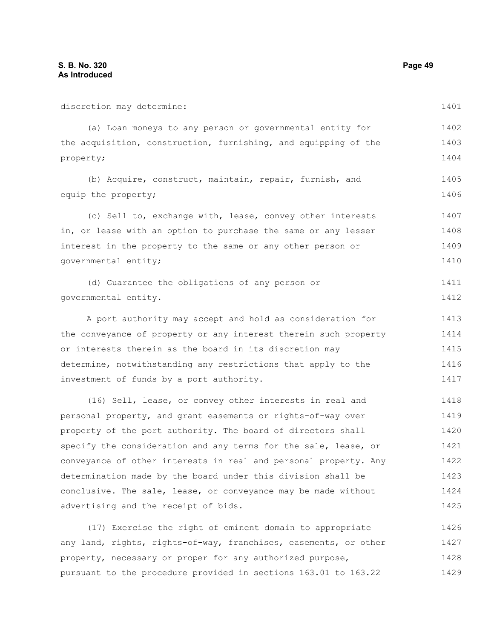discretion may determine: (a) Loan moneys to any person or governmental entity for the acquisition, construction, furnishing, and equipping of the property; (b) Acquire, construct, maintain, repair, furnish, and equip the property; (c) Sell to, exchange with, lease, convey other interests in, or lease with an option to purchase the same or any lesser interest in the property to the same or any other person or governmental entity; (d) Guarantee the obligations of any person or governmental entity. A port authority may accept and hold as consideration for the conveyance of property or any interest therein such property or interests therein as the board in its discretion may determine, notwithstanding any restrictions that apply to the investment of funds by a port authority. (16) Sell, lease, or convey other interests in real and personal property, and grant easements or rights-of-way over property of the port authority. The board of directors shall specify the consideration and any terms for the sale, lease, or conveyance of other interests in real and personal property. Any determination made by the board under this division shall be conclusive. The sale, lease, or conveyance may be made without advertising and the receipt of bids. (17) Exercise the right of eminent domain to appropriate any land, rights, rights-of-way, franchises, easements, or other property, necessary or proper for any authorized purpose, pursuant to the procedure provided in sections 163.01 to 163.22 1401 1402 1403 1404 1405 1406 1407 1408 1409 1410 1411 1412 1413 1414 1415 1416 1417 1418 1419 1420 1421 1422 1423 1424 1425 1426 1427 1428 1429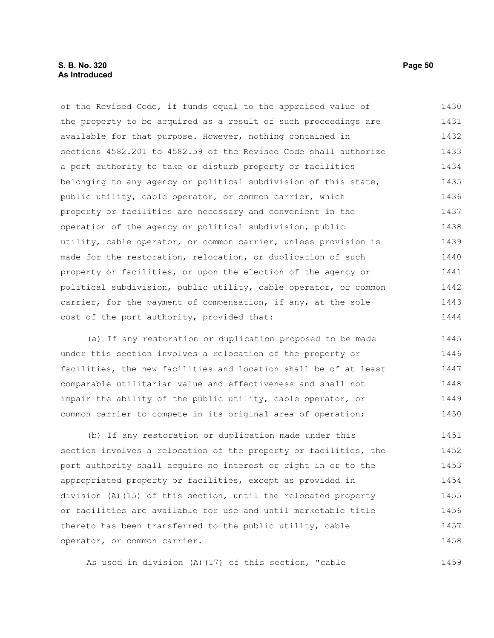# **S. B. No. 320 Page 50 As Introduced**

of the Revised Code, if funds equal to the appraised value of the property to be acquired as a result of such proceedings are available for that purpose. However, nothing contained in sections 4582.201 to 4582.59 of the Revised Code shall authorize a port authority to take or disturb property or facilities belonging to any agency or political subdivision of this state, public utility, cable operator, or common carrier, which property or facilities are necessary and convenient in the operation of the agency or political subdivision, public utility, cable operator, or common carrier, unless provision is made for the restoration, relocation, or duplication of such property or facilities, or upon the election of the agency or political subdivision, public utility, cable operator, or common carrier, for the payment of compensation, if any, at the sole cost of the port authority, provided that: 1430 1431 1432 1433 1434 1435 1436 1437 1438 1439 1440 1441 1442 1443 1444

(a) If any restoration or duplication proposed to be made under this section involves a relocation of the property or facilities, the new facilities and location shall be of at least comparable utilitarian value and effectiveness and shall not impair the ability of the public utility, cable operator, or common carrier to compete in its original area of operation; 1445 1446 1447 1448 1449 1450

(b) If any restoration or duplication made under this section involves a relocation of the property or facilities, the port authority shall acquire no interest or right in or to the appropriated property or facilities, except as provided in division (A)(15) of this section, until the relocated property or facilities are available for use and until marketable title thereto has been transferred to the public utility, cable operator, or common carrier. 1451 1452 1453 1454 1455 1456 1457 1458

As used in division (A)(17) of this section, "cable 1459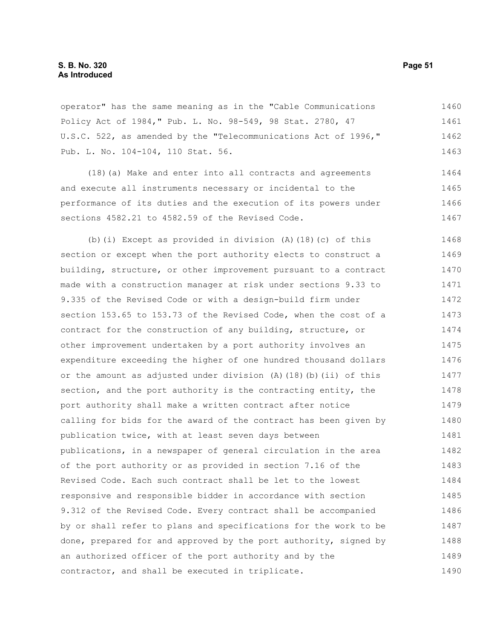operator" has the same meaning as in the "Cable Communications Policy Act of 1984," Pub. L. No. 98-549, 98 Stat. 2780, 47 U.S.C. 522, as amended by the "Telecommunications Act of 1996," Pub. L. No. 104-104, 110 Stat. 56. 1460 1461 1462 1463

(18)(a) Make and enter into all contracts and agreements and execute all instruments necessary or incidental to the performance of its duties and the execution of its powers under sections 4582.21 to 4582.59 of the Revised Code. 1464 1465 1466 1467

(b)(i) Except as provided in division (A)(18)(c) of this section or except when the port authority elects to construct a building, structure, or other improvement pursuant to a contract made with a construction manager at risk under sections 9.33 to 9.335 of the Revised Code or with a design-build firm under section 153.65 to 153.73 of the Revised Code, when the cost of a contract for the construction of any building, structure, or other improvement undertaken by a port authority involves an expenditure exceeding the higher of one hundred thousand dollars or the amount as adjusted under division  $(A)$  (18)(b)(ii) of this section, and the port authority is the contracting entity, the port authority shall make a written contract after notice calling for bids for the award of the contract has been given by publication twice, with at least seven days between publications, in a newspaper of general circulation in the area of the port authority or as provided in section 7.16 of the Revised Code. Each such contract shall be let to the lowest responsive and responsible bidder in accordance with section 9.312 of the Revised Code. Every contract shall be accompanied by or shall refer to plans and specifications for the work to be done, prepared for and approved by the port authority, signed by an authorized officer of the port authority and by the contractor, and shall be executed in triplicate. 1468 1469 1470 1471 1472 1473 1474 1475 1476 1477 1478 1479 1480 1481 1482 1483 1484 1485 1486 1487 1488 1489 1490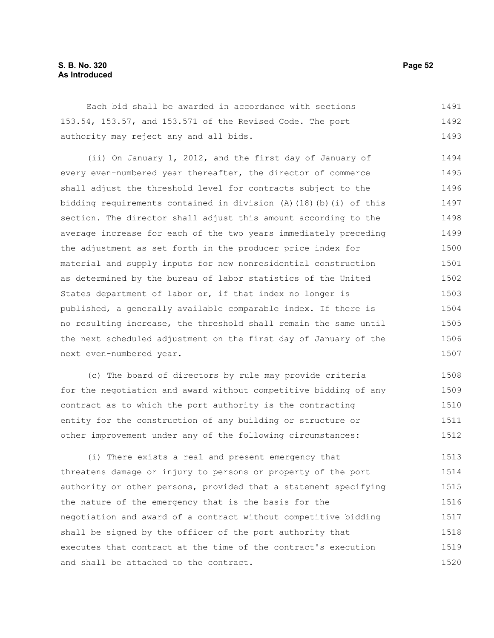# **S. B. No. 320 Page 52 As Introduced**

Each bid shall be awarded in accordance with sections 153.54, 153.57, and 153.571 of the Revised Code. The port authority may reject any and all bids. 1491 1492 1493

(ii) On January 1, 2012, and the first day of January of every even-numbered year thereafter, the director of commerce shall adjust the threshold level for contracts subject to the bidding requirements contained in division (A)(18)(b)(i) of this section. The director shall adjust this amount according to the average increase for each of the two years immediately preceding the adjustment as set forth in the producer price index for material and supply inputs for new nonresidential construction as determined by the bureau of labor statistics of the United States department of labor or, if that index no longer is published, a generally available comparable index. If there is no resulting increase, the threshold shall remain the same until the next scheduled adjustment on the first day of January of the next even-numbered year. 1494 1495 1496 1497 1498 1499 1500 1501 1502 1503 1504 1505 1506 1507

(c) The board of directors by rule may provide criteria for the negotiation and award without competitive bidding of any contract as to which the port authority is the contracting entity for the construction of any building or structure or other improvement under any of the following circumstances: 1508 1509 1510 1511 1512

(i) There exists a real and present emergency that threatens damage or injury to persons or property of the port authority or other persons, provided that a statement specifying the nature of the emergency that is the basis for the negotiation and award of a contract without competitive bidding shall be signed by the officer of the port authority that executes that contract at the time of the contract's execution and shall be attached to the contract. 1513 1514 1515 1516 1517 1518 1519 1520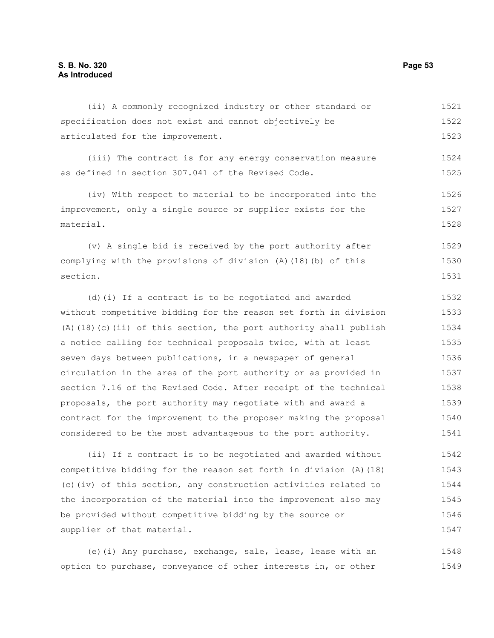# **S. B. No. 320 Page 53 As Introduced**

(ii) A commonly recognized industry or other standard or

| specification does not exist and cannot objectively be           | 1522 |
|------------------------------------------------------------------|------|
| articulated for the improvement.                                 | 1523 |
| (iii) The contract is for any energy conservation measure        | 1524 |
| as defined in section 307.041 of the Revised Code.               | 1525 |
| (iv) With respect to material to be incorporated into the        | 1526 |
| improvement, only a single source or supplier exists for the     | 1527 |
| material.                                                        | 1528 |
| (v) A single bid is received by the port authority after         | 1529 |
| complying with the provisions of division (A) (18) (b) of this   | 1530 |
| section.                                                         | 1531 |
| (d) (i) If a contract is to be negotiated and awarded            | 1532 |
| without competitive bidding for the reason set forth in division | 1533 |

(A)(18)(c)(ii) of this section, the port authority shall publish a notice calling for technical proposals twice, with at least seven days between publications, in a newspaper of general circulation in the area of the port authority or as provided in section 7.16 of the Revised Code. After receipt of the technical proposals, the port authority may negotiate with and award a contract for the improvement to the proposer making the proposal considered to be the most advantageous to the port authority. 1534 1535 1536 1537 1538 1539 1540 1541

(ii) If a contract is to be negotiated and awarded without competitive bidding for the reason set forth in division (A)(18) (c)(iv) of this section, any construction activities related to the incorporation of the material into the improvement also may be provided without competitive bidding by the source or supplier of that material. 1542 1543 1544 1545 1546 1547

(e)(i) Any purchase, exchange, sale, lease, lease with an option to purchase, conveyance of other interests in, or other 1548 1549

1521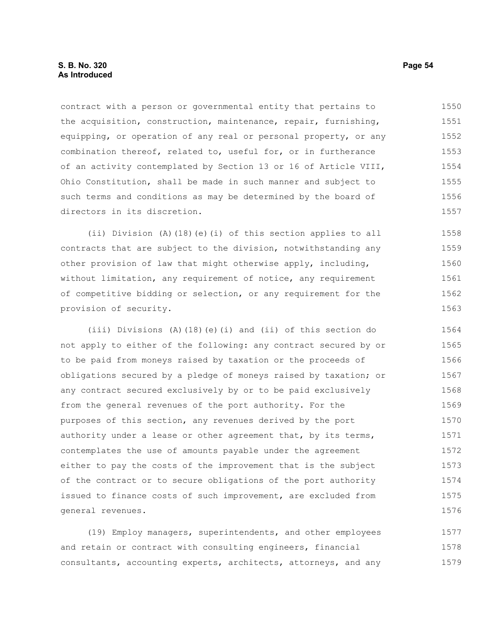contract with a person or governmental entity that pertains to the acquisition, construction, maintenance, repair, furnishing, equipping, or operation of any real or personal property, or any combination thereof, related to, useful for, or in furtherance of an activity contemplated by Section 13 or 16 of Article VIII, Ohio Constitution, shall be made in such manner and subject to such terms and conditions as may be determined by the board of directors in its discretion. 1550 1551 1552 1553 1554 1555 1556 1557

(ii) Division (A)(18)(e)(i) of this section applies to all contracts that are subject to the division, notwithstanding any other provision of law that might otherwise apply, including, without limitation, any requirement of notice, any requirement of competitive bidding or selection, or any requirement for the provision of security. 1558 1559 1560 1561 1562 1563

(iii) Divisions (A)(18)(e)(i) and (ii) of this section do not apply to either of the following: any contract secured by or to be paid from moneys raised by taxation or the proceeds of obligations secured by a pledge of moneys raised by taxation; or any contract secured exclusively by or to be paid exclusively from the general revenues of the port authority. For the purposes of this section, any revenues derived by the port authority under a lease or other agreement that, by its terms, contemplates the use of amounts payable under the agreement either to pay the costs of the improvement that is the subject of the contract or to secure obligations of the port authority issued to finance costs of such improvement, are excluded from general revenues. 1564 1565 1566 1567 1568 1569 1570 1571 1572 1573 1574 1575 1576

(19) Employ managers, superintendents, and other employees and retain or contract with consulting engineers, financial consultants, accounting experts, architects, attorneys, and any 1577 1578 1579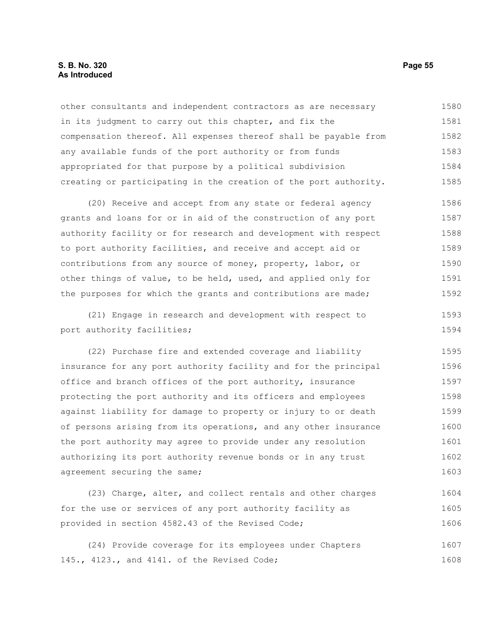# **S. B. No. 320 Page 55 As Introduced**

other consultants and independent contractors as are necessary in its judgment to carry out this chapter, and fix the compensation thereof. All expenses thereof shall be payable from any available funds of the port authority or from funds appropriated for that purpose by a political subdivision creating or participating in the creation of the port authority. 1580 1581 1582 1583 1584 1585

(20) Receive and accept from any state or federal agency grants and loans for or in aid of the construction of any port authority facility or for research and development with respect to port authority facilities, and receive and accept aid or contributions from any source of money, property, labor, or other things of value, to be held, used, and applied only for the purposes for which the grants and contributions are made; 1586 1587 1588 1589 1590 1591 1592

(21) Engage in research and development with respect to port authority facilities; 1593 1594

(22) Purchase fire and extended coverage and liability insurance for any port authority facility and for the principal office and branch offices of the port authority, insurance protecting the port authority and its officers and employees against liability for damage to property or injury to or death of persons arising from its operations, and any other insurance the port authority may agree to provide under any resolution authorizing its port authority revenue bonds or in any trust agreement securing the same; 1595 1596 1597 1598 1599 1600 1601 1602 1603

(23) Charge, alter, and collect rentals and other charges for the use or services of any port authority facility as provided in section 4582.43 of the Revised Code; 1604 1605 1606

(24) Provide coverage for its employees under Chapters 145., 4123., and 4141. of the Revised Code; 1607 1608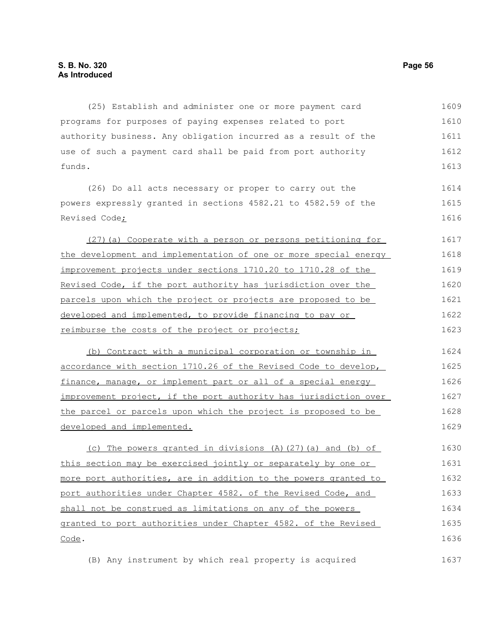(25) Establish and administer one or more payment card programs for purposes of paying expenses related to port authority business. Any obligation incurred as a result of the use of such a payment card shall be paid from port authority funds. 1609 1610 1611 1612 1613

(26) Do all acts necessary or proper to carry out the powers expressly granted in sections 4582.21 to 4582.59 of the Revised Code; 1614 1615 1616

(27)(a) Cooperate with a person or persons petitioning for the development and implementation of one or more special energy improvement projects under sections 1710.20 to 1710.28 of the Revised Code, if the port authority has jurisdiction over the parcels upon which the project or projects are proposed to be developed and implemented, to provide financing to pay or reimburse the costs of the project or projects; 1617 1618 1619 1620 1621 1622 1623

(b) Contract with a municipal corporation or township in accordance with section 1710.26 of the Revised Code to develop, finance, manage, or implement part or all of a special energy improvement project, if the port authority has jurisdiction over the parcel or parcels upon which the project is proposed to be developed and implemented. 1624 1625 1626 1627 1628 1629

(c) The powers granted in divisions (A)(27)(a) and (b) of this section may be exercised jointly or separately by one or more port authorities, are in addition to the powers granted to port authorities under Chapter 4582. of the Revised Code, and shall not be construed as limitations on any of the powers granted to port authorities under Chapter 4582. of the Revised Code. 1630 1631 1632 1633 1634 1635 1636

(B) Any instrument by which real property is acquired

1637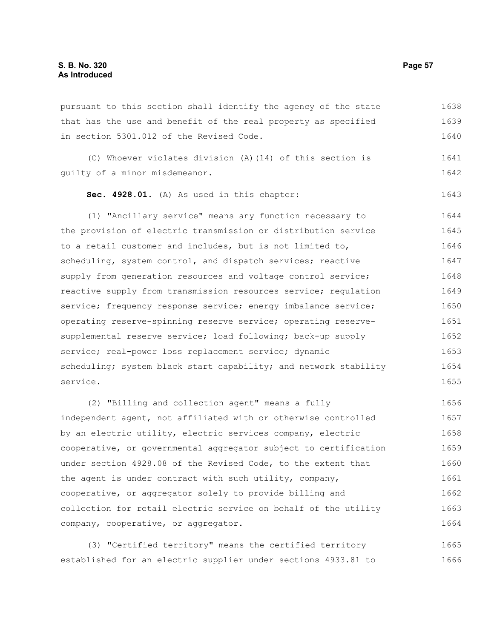pursuant to this section shall identify the agency of the state that has the use and benefit of the real property as specified in section 5301.012 of the Revised Code. 1638 1639 1640

(C) Whoever violates division (A)(14) of this section is guilty of a minor misdemeanor. 1641 1642

**Sec. 4928.01.** (A) As used in this chapter: 1643

(1) "Ancillary service" means any function necessary to the provision of electric transmission or distribution service to a retail customer and includes, but is not limited to, scheduling, system control, and dispatch services; reactive supply from generation resources and voltage control service; reactive supply from transmission resources service; regulation service; frequency response service; energy imbalance service; operating reserve-spinning reserve service; operating reservesupplemental reserve service; load following; back-up supply service; real-power loss replacement service; dynamic scheduling; system black start capability; and network stability service. 1644 1645 1646 1647 1648 1649 1650 1651 1652 1653 1654 1655

(2) "Billing and collection agent" means a fully independent agent, not affiliated with or otherwise controlled by an electric utility, electric services company, electric cooperative, or governmental aggregator subject to certification under section 4928.08 of the Revised Code, to the extent that the agent is under contract with such utility, company, cooperative, or aggregator solely to provide billing and collection for retail electric service on behalf of the utility company, cooperative, or aggregator. 1656 1657 1658 1659 1660 1661 1662 1663 1664

(3) "Certified territory" means the certified territory established for an electric supplier under sections 4933.81 to 1665 1666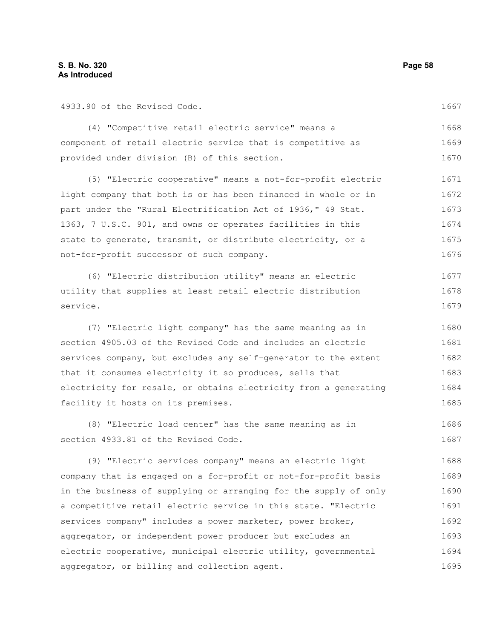4933.90 of the Revised Code.

1667

(4) "Competitive retail electric service" means a component of retail electric service that is competitive as provided under division (B) of this section. 1668 1669 1670

(5) "Electric cooperative" means a not-for-profit electric light company that both is or has been financed in whole or in part under the "Rural Electrification Act of 1936," 49 Stat. 1363, 7 U.S.C. 901, and owns or operates facilities in this state to generate, transmit, or distribute electricity, or a not-for-profit successor of such company. 1671 1672 1673 1674 1675 1676

(6) "Electric distribution utility" means an electric utility that supplies at least retail electric distribution service. 1677 1678 1679

(7) "Electric light company" has the same meaning as in section 4905.03 of the Revised Code and includes an electric services company, but excludes any self-generator to the extent that it consumes electricity it so produces, sells that electricity for resale, or obtains electricity from a generating facility it hosts on its premises. 1680 1681 1682 1683 1684 1685

(8) "Electric load center" has the same meaning as in section 4933.81 of the Revised Code. 1686 1687

(9) "Electric services company" means an electric light company that is engaged on a for-profit or not-for-profit basis in the business of supplying or arranging for the supply of only a competitive retail electric service in this state. "Electric services company" includes a power marketer, power broker, aggregator, or independent power producer but excludes an electric cooperative, municipal electric utility, governmental aggregator, or billing and collection agent. 1688 1689 1690 1691 1692 1693 1694 1695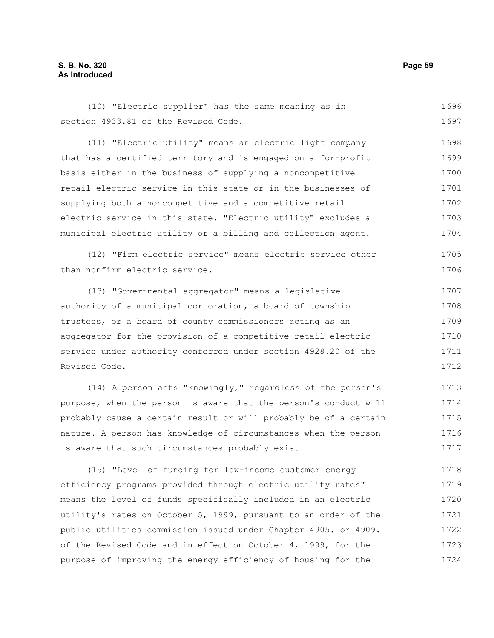# **S. B. No. 320 Page 59 As Introduced**

(10) "Electric supplier" has the same meaning as in section 4933.81 of the Revised Code. 1696 1697

(11) "Electric utility" means an electric light company that has a certified territory and is engaged on a for-profit basis either in the business of supplying a noncompetitive retail electric service in this state or in the businesses of supplying both a noncompetitive and a competitive retail electric service in this state. "Electric utility" excludes a municipal electric utility or a billing and collection agent. 1698 1699 1700 1701 1702 1703 1704

(12) "Firm electric service" means electric service other than nonfirm electric service. 1705 1706

(13) "Governmental aggregator" means a legislative authority of a municipal corporation, a board of township trustees, or a board of county commissioners acting as an aggregator for the provision of a competitive retail electric service under authority conferred under section 4928.20 of the Revised Code. 1707 1708 1709 1710 1711 1712

(14) A person acts "knowingly," regardless of the person's purpose, when the person is aware that the person's conduct will probably cause a certain result or will probably be of a certain nature. A person has knowledge of circumstances when the person is aware that such circumstances probably exist. 1713 1714 1715 1716 1717

(15) "Level of funding for low-income customer energy efficiency programs provided through electric utility rates" means the level of funds specifically included in an electric utility's rates on October 5, 1999, pursuant to an order of the public utilities commission issued under Chapter 4905. or 4909. of the Revised Code and in effect on October 4, 1999, for the purpose of improving the energy efficiency of housing for the 1718 1719 1720 1721 1722 1723 1724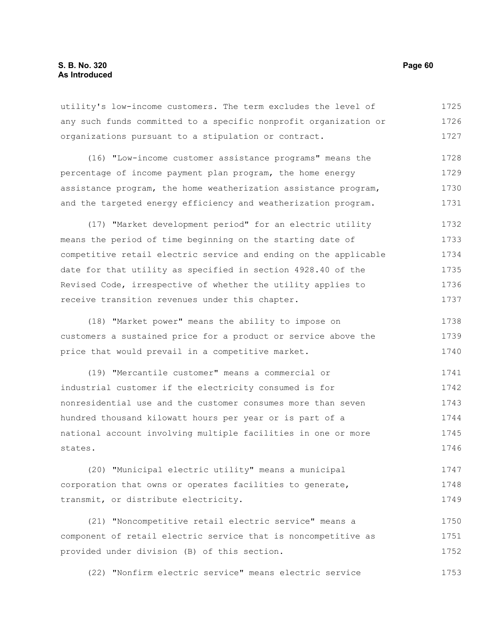utility's low-income customers. The term excludes the level of any such funds committed to a specific nonprofit organization or organizations pursuant to a stipulation or contract. 1725 1726 1727

(16) "Low-income customer assistance programs" means the percentage of income payment plan program, the home energy assistance program, the home weatherization assistance program, and the targeted energy efficiency and weatherization program. 1728 1729 1730 1731

(17) "Market development period" for an electric utility means the period of time beginning on the starting date of competitive retail electric service and ending on the applicable date for that utility as specified in section 4928.40 of the Revised Code, irrespective of whether the utility applies to receive transition revenues under this chapter. 1732 1733 1734 1735 1736 1737

(18) "Market power" means the ability to impose on customers a sustained price for a product or service above the price that would prevail in a competitive market. 1738 1739 1740

(19) "Mercantile customer" means a commercial or industrial customer if the electricity consumed is for nonresidential use and the customer consumes more than seven hundred thousand kilowatt hours per year or is part of a national account involving multiple facilities in one or more states. 1741 1742 1743 1744 1745 1746

(20) "Municipal electric utility" means a municipal corporation that owns or operates facilities to generate, transmit, or distribute electricity. 1747 1748 1749

(21) "Noncompetitive retail electric service" means a component of retail electric service that is noncompetitive as provided under division (B) of this section. 1750 1751 1752

(22) "Nonfirm electric service" means electric service 1753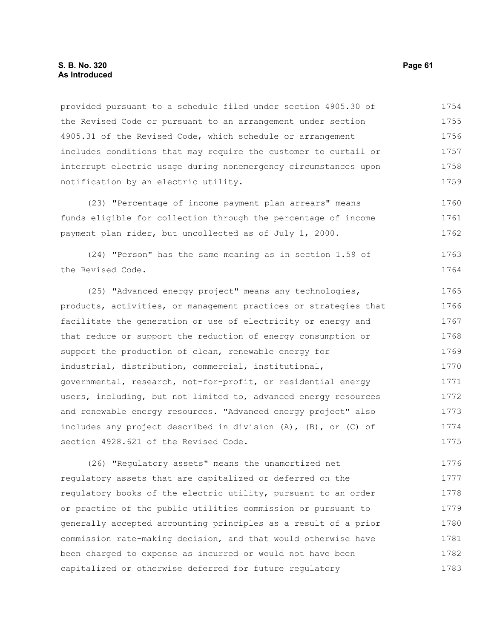provided pursuant to a schedule filed under section 4905.30 of the Revised Code or pursuant to an arrangement under section 4905.31 of the Revised Code, which schedule or arrangement includes conditions that may require the customer to curtail or interrupt electric usage during nonemergency circumstances upon notification by an electric utility. 1754 1755 1756 1757 1758 1759

(23) "Percentage of income payment plan arrears" means funds eligible for collection through the percentage of income payment plan rider, but uncollected as of July 1, 2000. 1760 1761 1762

(24) "Person" has the same meaning as in section 1.59 of the Revised Code. 1763 1764

(25) "Advanced energy project" means any technologies, products, activities, or management practices or strategies that facilitate the generation or use of electricity or energy and that reduce or support the reduction of energy consumption or support the production of clean, renewable energy for industrial, distribution, commercial, institutional, governmental, research, not-for-profit, or residential energy users, including, but not limited to, advanced energy resources and renewable energy resources. "Advanced energy project" also includes any project described in division (A), (B), or (C) of section 4928.621 of the Revised Code. 1765 1766 1767 1768 1769 1770 1771 1772 1773 1774 1775

(26) "Regulatory assets" means the unamortized net regulatory assets that are capitalized or deferred on the regulatory books of the electric utility, pursuant to an order or practice of the public utilities commission or pursuant to generally accepted accounting principles as a result of a prior commission rate-making decision, and that would otherwise have been charged to expense as incurred or would not have been capitalized or otherwise deferred for future regulatory 1776 1777 1778 1779 1780 1781 1782 1783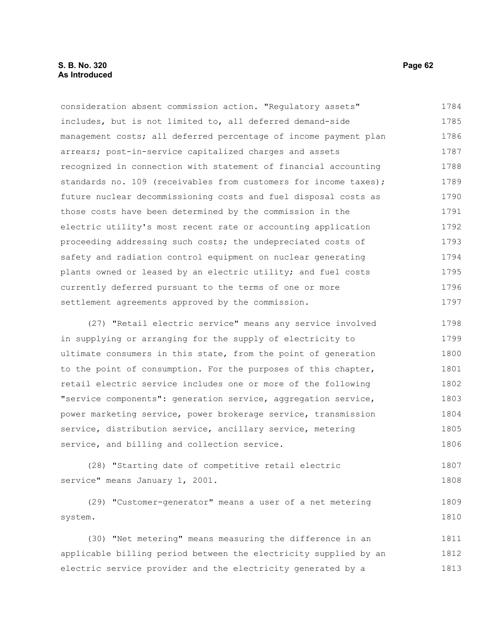# **S. B. No. 320 Page 62 As Introduced**

consideration absent commission action. "Regulatory assets" includes, but is not limited to, all deferred demand-side management costs; all deferred percentage of income payment plan arrears; post-in-service capitalized charges and assets recognized in connection with statement of financial accounting standards no. 109 (receivables from customers for income taxes); future nuclear decommissioning costs and fuel disposal costs as those costs have been determined by the commission in the electric utility's most recent rate or accounting application proceeding addressing such costs; the undepreciated costs of safety and radiation control equipment on nuclear generating plants owned or leased by an electric utility; and fuel costs currently deferred pursuant to the terms of one or more settlement agreements approved by the commission. 1784 1785 1786 1787 1788 1789 1790 1791 1792 1793 1794 1795 1796 1797

(27) "Retail electric service" means any service involved in supplying or arranging for the supply of electricity to ultimate consumers in this state, from the point of generation to the point of consumption. For the purposes of this chapter, retail electric service includes one or more of the following "service components": generation service, aggregation service, power marketing service, power brokerage service, transmission service, distribution service, ancillary service, metering service, and billing and collection service. 1798 1799 1800 1801 1802 1803 1804 1805 1806

(28) "Starting date of competitive retail electric service" means January 1, 2001. 1807 1808

(29) "Customer-generator" means a user of a net metering system. 1809 1810

(30) "Net metering" means measuring the difference in an applicable billing period between the electricity supplied by an electric service provider and the electricity generated by a 1811 1812 1813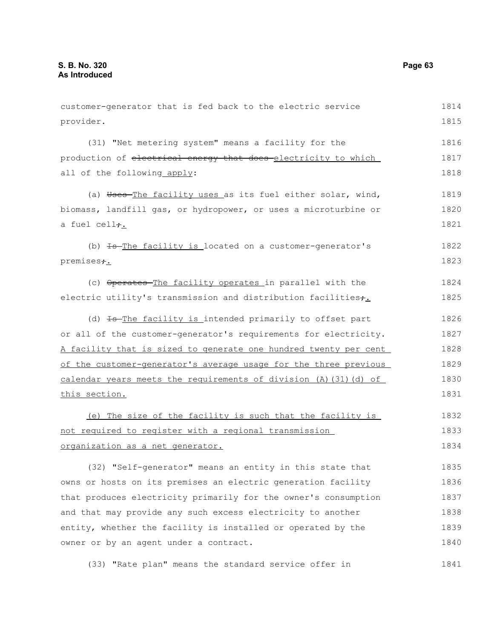1814

| provider.                                                           | 1815 |  |  |  |
|---------------------------------------------------------------------|------|--|--|--|
| (31) "Net metering system" means a facility for the                 | 1816 |  |  |  |
| production of electrical energy that does electricity to which      |      |  |  |  |
| all of the following apply:                                         | 1818 |  |  |  |
| (a) Uses-The facility uses as its fuel either solar, wind,          | 1819 |  |  |  |
| biomass, landfill gas, or hydropower, or uses a microturbine or     | 1820 |  |  |  |
| a fuel cell <del>;</del>                                            | 1821 |  |  |  |
| (b) <del>Is The facility is</del> located on a customer-generator's | 1822 |  |  |  |
| premises <sub>+</sub> .                                             | 1823 |  |  |  |
| (c) Operates-The facility operates in parallel with the             | 1824 |  |  |  |
| electric utility's transmission and distribution facilities+.       | 1825 |  |  |  |
| (d) <del>Is The facility is intended</del> primarily to offset part | 1826 |  |  |  |
| or all of the customer-generator's requirements for electricity.    | 1827 |  |  |  |
| A facility that is sized to generate one hundred twenty per cent    | 1828 |  |  |  |
| of the customer-generator's average usage for the three previous    | 1829 |  |  |  |
| calendar years meets the requirements of division (A) (31) (d) of   | 1830 |  |  |  |
| this section.                                                       | 1831 |  |  |  |
| (e) The size of the facility is such that the facility is           | 1832 |  |  |  |
| not required to register with a regional transmission               | 1833 |  |  |  |
| organization as a net generator.                                    | 1834 |  |  |  |
| (32) "Self-generator" means an entity in this state that            | 1835 |  |  |  |
| owns or hosts on its premises an electric generation facility       | 1836 |  |  |  |
| that produces electricity primarily for the owner's consumption     | 1837 |  |  |  |
| and that may provide any such excess electricity to another         | 1838 |  |  |  |
| entity, whether the facility is installed or operated by the        | 1839 |  |  |  |
| owner or by an agent under a contract.                              | 1840 |  |  |  |
| (33) "Rate plan" means the standard service offer in                | 1841 |  |  |  |

customer-generator that is fed back to the electric service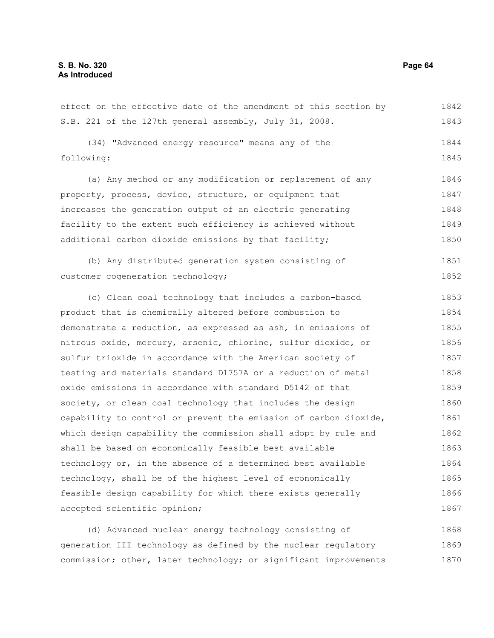effect on the effective date of the amendment of this section by S.B. 221 of the 127th general assembly, July 31, 2008. 1842 1843

(34) "Advanced energy resource" means any of the following: 1844 1845

(a) Any method or any modification or replacement of any property, process, device, structure, or equipment that increases the generation output of an electric generating facility to the extent such efficiency is achieved without additional carbon dioxide emissions by that facility; 1846 1847 1848 1849 1850

(b) Any distributed generation system consisting of customer cogeneration technology; 1851 1852

(c) Clean coal technology that includes a carbon-based product that is chemically altered before combustion to demonstrate a reduction, as expressed as ash, in emissions of nitrous oxide, mercury, arsenic, chlorine, sulfur dioxide, or sulfur trioxide in accordance with the American society of testing and materials standard D1757A or a reduction of metal oxide emissions in accordance with standard D5142 of that society, or clean coal technology that includes the design capability to control or prevent the emission of carbon dioxide, which design capability the commission shall adopt by rule and shall be based on economically feasible best available technology or, in the absence of a determined best available technology, shall be of the highest level of economically feasible design capability for which there exists generally accepted scientific opinion; 1853 1854 1855 1856 1857 1858 1859 1860 1861 1862 1863 1864 1865 1866 1867

(d) Advanced nuclear energy technology consisting of generation III technology as defined by the nuclear regulatory commission; other, later technology; or significant improvements 1868 1869 1870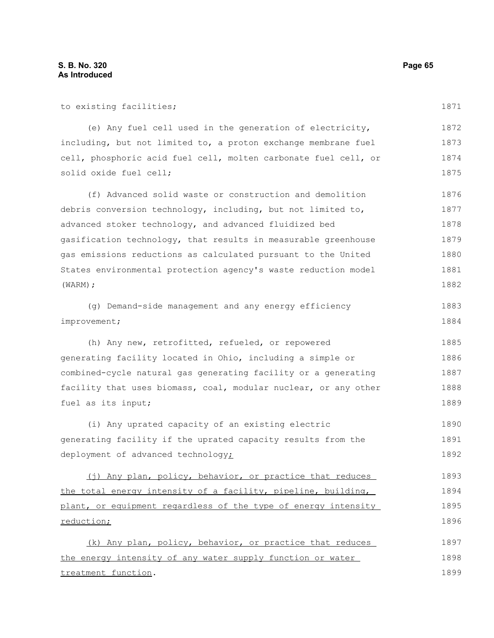to existing facilities; (e) Any fuel cell used in the generation of electricity, including, but not limited to, a proton exchange membrane fuel cell, phosphoric acid fuel cell, molten carbonate fuel cell, or solid oxide fuel cell; (f) Advanced solid waste or construction and demolition debris conversion technology, including, but not limited to, advanced stoker technology, and advanced fluidized bed gasification technology, that results in measurable greenhouse gas emissions reductions as calculated pursuant to the United States environmental protection agency's waste reduction model (WARM); (g) Demand-side management and any energy efficiency improvement; (h) Any new, retrofitted, refueled, or repowered generating facility located in Ohio, including a simple or combined-cycle natural gas generating facility or a generating facility that uses biomass, coal, modular nuclear, or any other fuel as its input; (i) Any uprated capacity of an existing electric generating facility if the uprated capacity results from the deployment of advanced technology; (j) Any plan, policy, behavior, or practice that reduces the total energy intensity of a facility, pipeline, building, plant, or equipment regardless of the type of energy intensity reduction; (k) Any plan, policy, behavior, or practice that reduces the energy intensity of any water supply function or water treatment function. 1871 1872 1873 1874 1875 1876 1877 1878 1879 1880 1881 1882 1883 1884 1885 1886 1887 1888 1889 1890 1891 1892 1893 1894 1895 1896 1897 1898 1899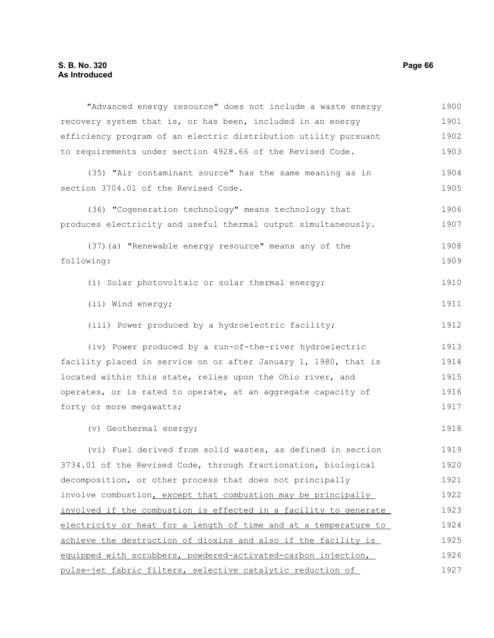"Advanced energy resource" does not include a waste energy recovery system that is, or has been, included in an energy efficiency program of an electric distribution utility pursuant to requirements under section 4928.66 of the Revised Code. (35) "Air contaminant source" has the same meaning as in section 3704.01 of the Revised Code. (36) "Cogeneration technology" means technology that produces electricity and useful thermal output simultaneously. (37)(a) "Renewable energy resource" means any of the following: (i) Solar photovoltaic or solar thermal energy; (ii) Wind energy; (iii) Power produced by a hydroelectric facility; (iv) Power produced by a run-of-the-river hydroelectric facility placed in service on or after January 1, 1980, that is located within this state, relies upon the Ohio river, and operates, or is rated to operate, at an aggregate capacity of forty or more megawatts; (v) Geothermal energy; (vi) Fuel derived from solid wastes, as defined in section 3734.01 of the Revised Code, through fractionation, biological decomposition, or other process that does not principally involve combustion, except that combustion may be principally involved if the combustion is effected in a facility to generate electricity or heat for a length of time and at a temperature to achieve the destruction of dioxins and also if the facility is equipped with scrubbers, powdered-activated-carbon injection, pulse-jet fabric filters, selective catalytic reduction of 1900 1901 1902 1903 1904 1905 1906 1907 1908 1909 1910 1911 1912 1913 1914 1915 1916 1917 1918 1919 1920 1921 1922 1923 1924 1925 1926 1927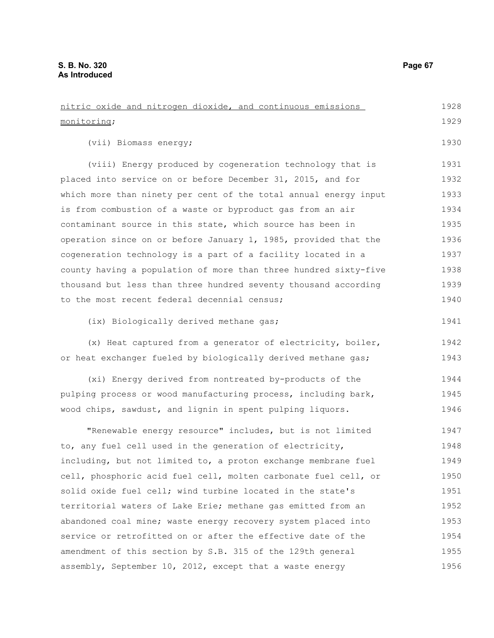nitric oxide and nitrogen dioxide, and continuous emissions monitoring; (vii) Biomass energy; (viii) Energy produced by cogeneration technology that is placed into service on or before December 31, 2015, and for which more than ninety per cent of the total annual energy input is from combustion of a waste or byproduct gas from an air contaminant source in this state, which source has been in operation since on or before January 1, 1985, provided that the cogeneration technology is a part of a facility located in a county having a population of more than three hundred sixty-five thousand but less than three hundred seventy thousand according to the most recent federal decennial census; (ix) Biologically derived methane gas; (x) Heat captured from a generator of electricity, boiler, or heat exchanger fueled by biologically derived methane gas; (xi) Energy derived from nontreated by-products of the pulping process or wood manufacturing process, including bark, wood chips, sawdust, and lignin in spent pulping liquors. "Renewable energy resource" includes, but is not limited to, any fuel cell used in the generation of electricity, including, but not limited to, a proton exchange membrane fuel cell, phosphoric acid fuel cell, molten carbonate fuel cell, or solid oxide fuel cell; wind turbine located in the state's territorial waters of Lake Erie; methane gas emitted from an abandoned coal mine; waste energy recovery system placed into service or retrofitted on or after the effective date of the amendment of this section by S.B. 315 of the 129th general assembly, September 10, 2012, except that a waste energy 1928 1929 1930 1931 1932 1933 1934 1935 1936 1937 1938 1939 1940 1941 1942 1943 1944 1945 1946 1947 1948 1949 1950 1951 1952 1953 1954 1955 1956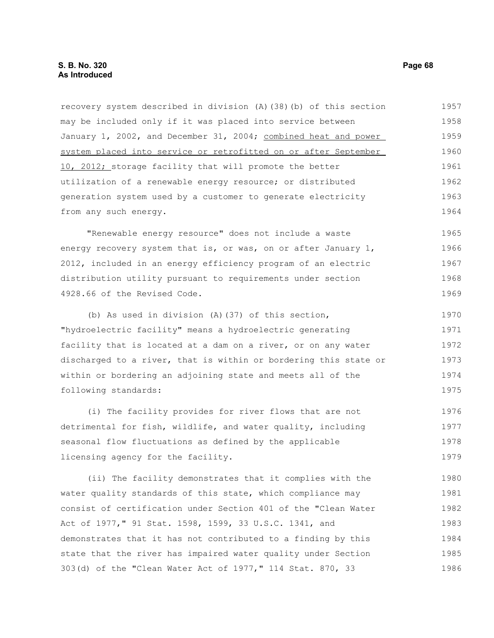recovery system described in division (A)(38)(b) of this section may be included only if it was placed into service between January 1, 2002, and December 31, 2004; combined heat and power system placed into service or retrofitted on or after September 10, 2012; storage facility that will promote the better utilization of a renewable energy resource; or distributed generation system used by a customer to generate electricity from any such energy. "Renewable energy resource" does not include a waste energy recovery system that is, or was, on or after January 1, 2012, included in an energy efficiency program of an electric distribution utility pursuant to requirements under section 4928.66 of the Revised Code. (b) As used in division (A)(37) of this section, "hydroelectric facility" means a hydroelectric generating facility that is located at a dam on a river, or on any water discharged to a river, that is within or bordering this state or within or bordering an adjoining state and meets all of the following standards: (i) The facility provides for river flows that are not detrimental for fish, wildlife, and water quality, including seasonal flow fluctuations as defined by the applicable licensing agency for the facility. (ii) The facility demonstrates that it complies with the water quality standards of this state, which compliance may consist of certification under Section 401 of the "Clean Water Act of 1977," 91 Stat. 1598, 1599, 33 U.S.C. 1341, and demonstrates that it has not contributed to a finding by this state that the river has impaired water quality under Section 1957 1958 1959 1960 1961 1962 1963 1964 1965 1966 1967 1968 1969 1970 1971 1972 1973 1974 1975 1976 1977 1978 1979 1980 1981 1982 1983 1984 1985

303(d) of the "Clean Water Act of 1977," 114 Stat. 870, 33

1986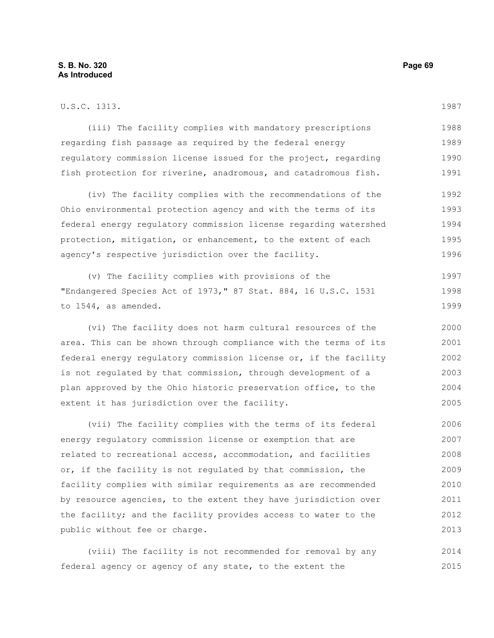| U.S.C. 1313.                                                     | 1987 |
|------------------------------------------------------------------|------|
| (iii) The facility complies with mandatory prescriptions         | 1988 |
| regarding fish passage as required by the federal energy         | 1989 |
| regulatory commission license issued for the project, regarding  | 1990 |
| fish protection for riverine, anadromous, and catadromous fish.  | 1991 |
| (iv) The facility complies with the recommendations of the       | 1992 |
| Ohio environmental protection agency and with the terms of its   | 1993 |
| federal energy regulatory commission license regarding watershed | 1994 |
| protection, mitigation, or enhancement, to the extent of each    | 1995 |
| agency's respective jurisdiction over the facility.              | 1996 |
| (v) The facility complies with provisions of the                 | 1997 |
| "Endangered Species Act of 1973," 87 Stat. 884, 16 U.S.C. 1531   | 1998 |
| to 1544, as amended.                                             | 1999 |
| (vi) The facility does not harm cultural resources of the        | 2000 |
| area. This can be shown through compliance with the terms of its | 2001 |
| federal energy regulatory commission license or, if the facility | 2002 |
| is not regulated by that commission, through development of a    | 2003 |
| plan approved by the Ohio historic preservation office, to the   | 2004 |
| extent it has jurisdiction over the facility.                    | 2005 |
| (vii) The facility complies with the terms of its federal        | 2006 |
| energy regulatory commission license or exemption that are       | 2007 |
| related to recreational access, accommodation, and facilities    | 2008 |
| or, if the facility is not regulated by that commission, the     | 2009 |
| facility complies with similar requirements as are recommended   | 2010 |
| by resource agencies, to the extent they have jurisdiction over  | 2011 |
| the facility; and the facility provides access to water to the   | 2012 |
| public without fee or charge.                                    | 2013 |

(viii) The facility is not recommended for removal by any federal agency or agency of any state, to the extent the 2014 2015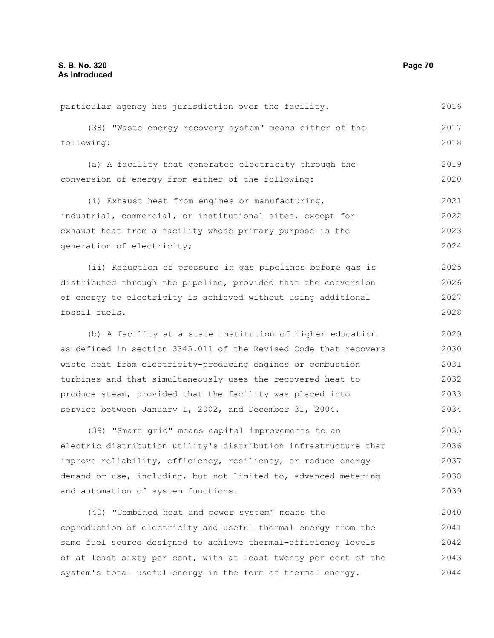(38) "Waste energy recovery system" means either of the following: (a) A facility that generates electricity through the conversion of energy from either of the following: (i) Exhaust heat from engines or manufacturing, industrial, commercial, or institutional sites, except for exhaust heat from a facility whose primary purpose is the generation of electricity; (ii) Reduction of pressure in gas pipelines before gas is distributed through the pipeline, provided that the conversion of energy to electricity is achieved without using additional fossil fuels. (b) A facility at a state institution of higher education as defined in section 3345.011 of the Revised Code that recovers waste heat from electricity-producing engines or combustion turbines and that simultaneously uses the recovered heat to produce steam, provided that the facility was placed into service between January 1, 2002, and December 31, 2004. (39) "Smart grid" means capital improvements to an electric distribution utility's distribution infrastructure that improve reliability, efficiency, resiliency, or reduce energy demand or use, including, but not limited to, advanced metering 2017 2018 2019 2020 2021 2022 2023 2024 2025 2026 2027 2028 2029 2030 2031 2032 2033 2034 2035 2036 2037 2038

particular agency has jurisdiction over the facility.

(40) "Combined heat and power system" means the coproduction of electricity and useful thermal energy from the same fuel source designed to achieve thermal-efficiency levels of at least sixty per cent, with at least twenty per cent of the system's total useful energy in the form of thermal energy. 2040 2041 2042 2043 2044

and automation of system functions.

2016

2039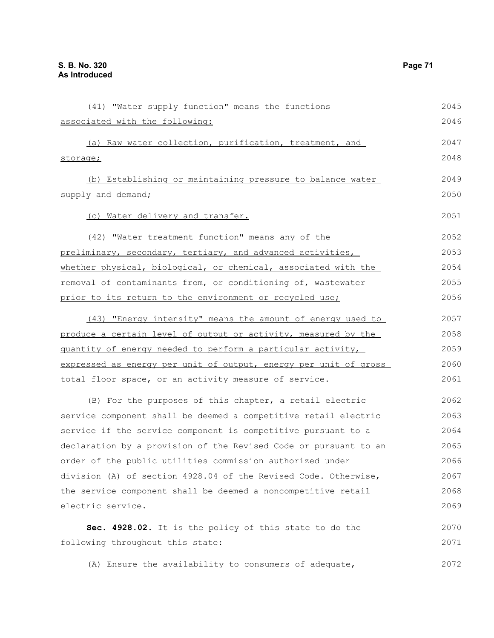| (41) "Water supply function" means the functions                 | 2045 |
|------------------------------------------------------------------|------|
| associated with the following:                                   | 2046 |
| (a) Raw water collection, purification, treatment, and           | 2047 |
| storage;                                                         | 2048 |
| (b) Establishing or maintaining pressure to balance water        | 2049 |
| supply and demand;                                               | 2050 |
| (c) Water delivery and transfer.                                 | 2051 |
| (42) "Water treatment function" means any of the                 | 2052 |
| preliminary, secondary, tertiary, and advanced activities,       | 2053 |
| whether physical, biological, or chemical, associated with the   | 2054 |
| removal of contaminants from, or conditioning of, wastewater     | 2055 |
| prior to its return to the environment or recycled use;          | 2056 |
| (43) "Energy intensity" means the amount of energy used to       | 2057 |
| produce a certain level of output or activity, measured by the   | 2058 |
| quantity of energy needed to perform a particular activity,      | 2059 |
| expressed as energy per unit of output, energy per unit of gross | 2060 |
| total floor space, or an activity measure of service.            | 2061 |
| (B) For the purposes of this chapter, a retail electric          | 2062 |
| service component shall be deemed a competitive retail electric  | 2063 |
| service if the service component is competitive pursuant to a    | 2064 |
| declaration by a provision of the Revised Code or pursuant to an | 2065 |
| order of the public utilities commission authorized under        | 2066 |
| division (A) of section 4928.04 of the Revised Code. Otherwise,  | 2067 |
| the service component shall be deemed a noncompetitive retail    | 2068 |
| electric service.                                                | 2069 |
| Sec. 4928.02. It is the policy of this state to do the           | 2070 |
| following throughout this state:                                 | 2071 |
| (A) Ensure the availability to consumers of adequate,            | 2072 |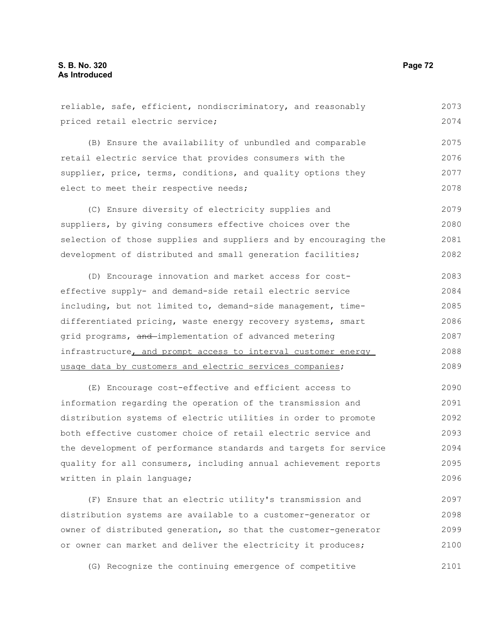reliable, safe, efficient, nondiscriminatory, and reasonably priced retail electric service; (B) Ensure the availability of unbundled and comparable retail electric service that provides consumers with the supplier, price, terms, conditions, and quality options they elect to meet their respective needs; (C) Ensure diversity of electricity supplies and suppliers, by giving consumers effective choices over the selection of those supplies and suppliers and by encouraging the development of distributed and small generation facilities; (D) Encourage innovation and market access for costeffective supply- and demand-side retail electric service including, but not limited to, demand-side management, timedifferentiated pricing, waste energy recovery systems, smart grid programs, and implementation of advanced metering infrastructure, and prompt access to interval customer energy usage data by customers and electric services companies; (E) Encourage cost-effective and efficient access to information regarding the operation of the transmission and distribution systems of electric utilities in order to promote both effective customer choice of retail electric service and 2073 2074 2075 2076 2077 2078 2079 2080 2081 2082 2083 2084 2085 2086 2087 2088 2089 2090 2091 2092 2093

the development of performance standards and targets for service quality for all consumers, including annual achievement reports written in plain language; 2094 2095 2096

(F) Ensure that an electric utility's transmission and distribution systems are available to a customer-generator or owner of distributed generation, so that the customer-generator or owner can market and deliver the electricity it produces; 2097 2098 2099 2100

(G) Recognize the continuing emergence of competitive 2101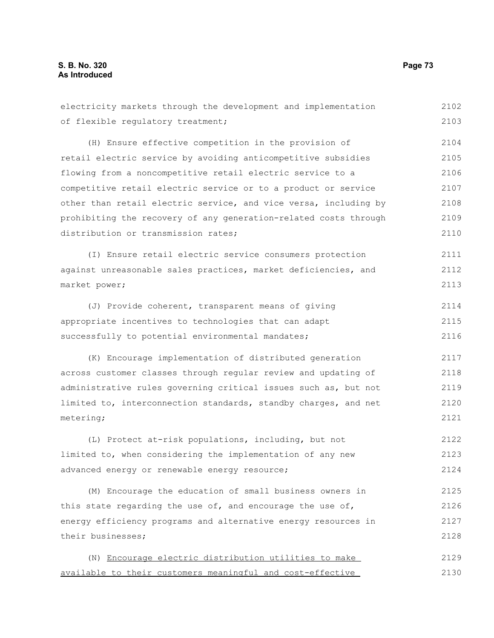| electricity markets through the development and implementation   | 2102 |
|------------------------------------------------------------------|------|
| of flexible regulatory treatment;                                | 2103 |
| (H) Ensure effective competition in the provision of             | 2104 |
| retail electric service by avoiding anticompetitive subsidies    | 2105 |
| flowing from a noncompetitive retail electric service to a       | 2106 |
| competitive retail electric service or to a product or service   | 2107 |
| other than retail electric service, and vice versa, including by | 2108 |
| prohibiting the recovery of any generation-related costs through | 2109 |
| distribution or transmission rates;                              | 2110 |
| (I) Ensure retail electric service consumers protection          | 2111 |
| against unreasonable sales practices, market deficiencies, and   | 2112 |
| market power;                                                    | 2113 |
| (J) Provide coherent, transparent means of giving                | 2114 |
| appropriate incentives to technologies that can adapt            | 2115 |
| successfully to potential environmental mandates;                | 2116 |
| (K) Encourage implementation of distributed generation           | 2117 |
| across customer classes through regular review and updating of   | 2118 |
| administrative rules governing critical issues such as, but not  | 2119 |
| limited to, interconnection standards, standby charges, and net  | 2120 |
| metering;                                                        | 2121 |
| (L) Protect at-risk populations, including, but not              | 2122 |
| limited to, when considering the implementation of any new       | 2123 |
| advanced energy or renewable energy resource;                    | 2124 |
| (M) Encourage the education of small business owners in          | 2125 |
| this state regarding the use of, and encourage the use of,       | 2126 |
| energy efficiency programs and alternative energy resources in   | 2127 |
| their businesses;                                                | 2128 |
| (N) Encourage electric distribution utilities to make            | 2129 |
| available to their customers meaningful and cost-effective       | 2130 |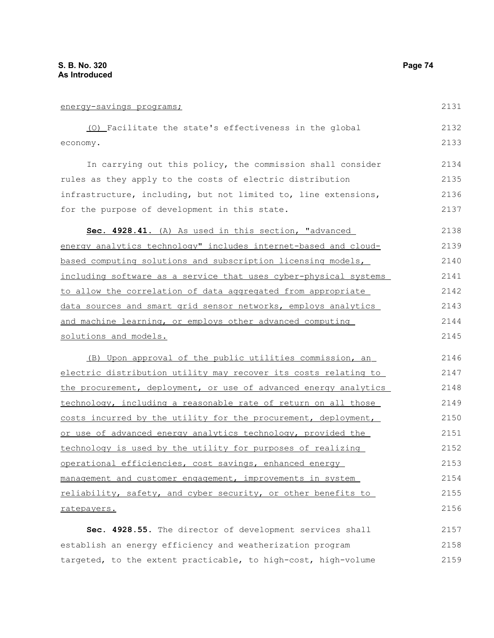| energy-savings programs;                                         | 2131 |
|------------------------------------------------------------------|------|
| (0) Facilitate the state's effectiveness in the global           | 2132 |
| economy.                                                         | 2133 |
| In carrying out this policy, the commission shall consider       | 2134 |
| rules as they apply to the costs of electric distribution        | 2135 |
| infrastructure, including, but not limited to, line extensions,  | 2136 |
| for the purpose of development in this state.                    | 2137 |
| Sec. 4928.41. (A) As used in this section, "advanced             | 2138 |
| energy analytics technology" includes internet-based and cloud-  | 2139 |
| based computing solutions and subscription licensing models,     | 2140 |
| including software as a service that uses cyber-physical systems | 2141 |
| to allow the correlation of data aggregated from appropriate     | 2142 |
| data sources and smart grid sensor networks, employs analytics   | 2143 |
| and machine learning, or employs other advanced computing        | 2144 |
| solutions and models.                                            | 2145 |
| (B) Upon approval of the public utilities commission, an         | 2146 |
| electric distribution utility may recover its costs relating to  | 2147 |
| the procurement, deployment, or use of advanced energy analytics | 2148 |
| technology, including a reasonable rate of return on all those   | 2149 |
| costs incurred by the utility for the procurement, deployment,   | 2150 |
| or use of advanced energy analytics technology, provided the     | 2151 |
| technology is used by the utility for purposes of realizing      | 2152 |
| operational efficiencies, cost savings, enhanced energy          | 2153 |
| management and customer engagement, improvements in system       | 2154 |
| reliability, safety, and cyber security, or other benefits to    | 2155 |
| ratepayers.                                                      | 2156 |
| Sec. 4928.55. The director of development services shall         | 2157 |
| establish an energy efficiency and weatherization program        | 2158 |
| targeted, to the extent practicable, to high-cost, high-volume   | 2159 |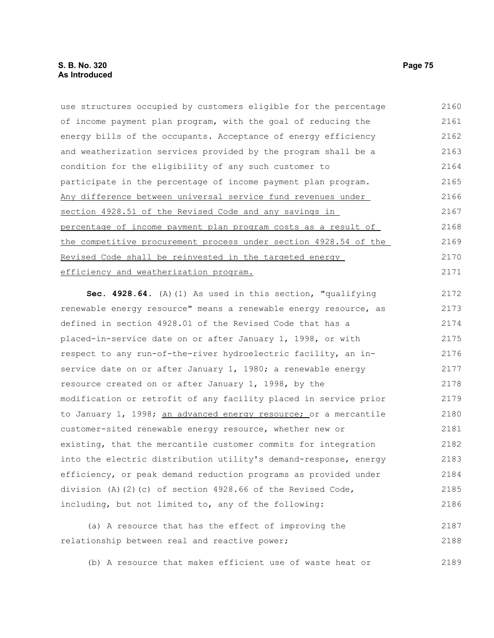use structures occupied by customers eligible for the percentage of income payment plan program, with the goal of reducing the energy bills of the occupants. Acceptance of energy efficiency and weatherization services provided by the program shall be a condition for the eligibility of any such customer to participate in the percentage of income payment plan program. Any difference between universal service fund revenues under section 4928.51 of the Revised Code and any savings in percentage of income payment plan program costs as a result of the competitive procurement process under section 4928.54 of the Revised Code shall be reinvested in the targeted energy efficiency and weatherization program. **Sec. 4928.64.** (A)(1) As used in this section, "qualifying 2160 2161 2162 2163 2164 2165 2166 2167 2168 2169 2170 2171 2172

renewable energy resource" means a renewable energy resource, as defined in section 4928.01 of the Revised Code that has a placed-in-service date on or after January 1, 1998, or with respect to any run-of-the-river hydroelectric facility, an inservice date on or after January 1, 1980; a renewable energy resource created on or after January 1, 1998, by the modification or retrofit of any facility placed in service prior to January  $1$ , 1998; an advanced energy resource; or a mercantile customer-sited renewable energy resource, whether new or existing, that the mercantile customer commits for integration into the electric distribution utility's demand-response, energy efficiency, or peak demand reduction programs as provided under division (A)(2)(c) of section 4928.66 of the Revised Code, including, but not limited to, any of the following: 2173 2174 2175 2176 2177 2178 2179 2180 2181 2182 2183 2184 2185 2186

(a) A resource that has the effect of improving the relationship between real and reactive power; 2187 2188

(b) A resource that makes efficient use of waste heat or 2189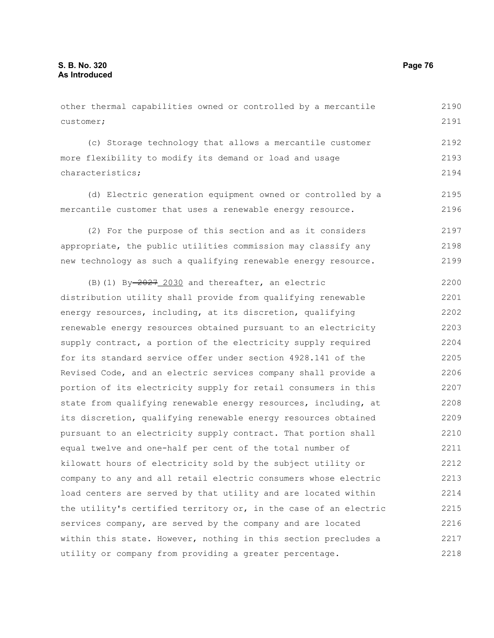customer;

(c) Storage technology that allows a mercantile customer more flexibility to modify its demand or load and usage characteristics; (d) Electric generation equipment owned or controlled by a mercantile customer that uses a renewable energy resource. (2) For the purpose of this section and as it considers appropriate, the public utilities commission may classify any new technology as such a qualifying renewable energy resource.  $(B)$ (1) By $-2027$  2030 and thereafter, an electric distribution utility shall provide from qualifying renewable energy resources, including, at its discretion, qualifying renewable energy resources obtained pursuant to an electricity supply contract, a portion of the electricity supply required for its standard service offer under section 4928.141 of the Revised Code, and an electric services company shall provide a portion of its electricity supply for retail consumers in this state from qualifying renewable energy resources, including, at its discretion, qualifying renewable energy resources obtained pursuant to an electricity supply contract. That portion shall equal twelve and one-half per cent of the total number of kilowatt hours of electricity sold by the subject utility or company to any and all retail electric consumers whose electric load centers are served by that utility and are located within the utility's certified territory or, in the case of an electric services company, are served by the company and are located within this state. However, nothing in this section precludes a 2192 2193 2194 2195 2196 2197 2198 2199 2200 2201 2202 2203 2204 2205 2206 2207 2208 2209 2210 2211 2212 2213 2214 2215 2216 2217

utility or company from providing a greater percentage.

other thermal capabilities owned or controlled by a mercantile

2190 2191

2218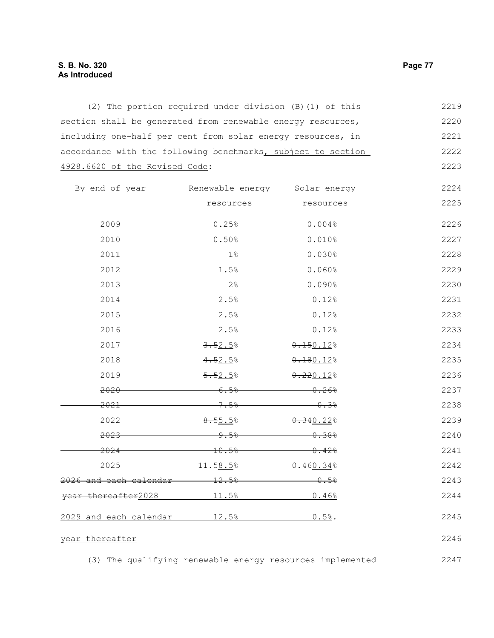(2) The portion required under division (B)(1) of this section shall be generated from renewable energy resources, including one-half per cent from solar energy resources, in accordance with the following benchmarks, subject to section 4928.6620 of the Revised Code: 

|                 | Solar energy            | 2224                                  |
|-----------------|-------------------------|---------------------------------------|
| resources       | resources               | 2225                                  |
| 0.25%           | 0.004%                  | 2226                                  |
| 0.50%           | 0.010%                  | 2227                                  |
| $1\frac{6}{6}$  | 0.030%                  | 2228                                  |
| 1.5%            | 0.060%                  | 2229                                  |
| $2\frac{6}{6}$  | 0.090%                  | 2230                                  |
| 2.5%            | 0.12%                   | 2231                                  |
| 2.5%            | 0.12%                   | 2232                                  |
| 2.5%            | 0.12%                   | 2233                                  |
| 3.52.5%         | $0.150.12$ %            | 2234                                  |
| 4.52.5%         | $0.180.12$ <sup>8</sup> | 2235                                  |
| 5.52.5%         | 0.220.128               | 2236                                  |
| 6.5%            | 0.268                   | 2237                                  |
| 7.5%            | $-0.3%$                 | 2238                                  |
| 8.55.5%         | 0.340.228               | 2239                                  |
| <del>9.5%</del> | 0.38%                   | 2240                                  |
| 10.5%           | 0.42%                   | 2241                                  |
| 11.58.5%        | 0.460.34%               | 2242                                  |
| 12.5%           | 0.5%                    | 2243                                  |
| 11.5%           | 0.46%                   | 2244                                  |
|                 |                         | 2245                                  |
|                 |                         | Renewable energy<br>12.5%<br>$0.5%$ . |

## year thereafter

(3) The qualifying renewable energy resources implemented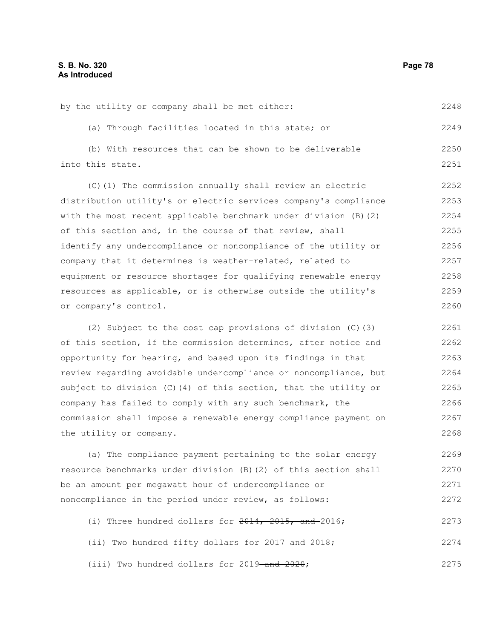by the utility or company shall be met either: (a) Through facilities located in this state; or (b) With resources that can be shown to be deliverable into this state. (C)(1) The commission annually shall review an electric distribution utility's or electric services company's compliance with the most recent applicable benchmark under division (B)(2) of this section and, in the course of that review, shall 2248 2249 2250 2251 2252 2253 2254 2255

identify any undercompliance or noncompliance of the utility or company that it determines is weather-related, related to equipment or resource shortages for qualifying renewable energy resources as applicable, or is otherwise outside the utility's or company's control. 2256 2257 2258 2259 2260

(2) Subject to the cost cap provisions of division (C)(3) of this section, if the commission determines, after notice and opportunity for hearing, and based upon its findings in that review regarding avoidable undercompliance or noncompliance, but subject to division (C)(4) of this section, that the utility or company has failed to comply with any such benchmark, the commission shall impose a renewable energy compliance payment on the utility or company. 2261 2262 2263 2264 2265 2266 2267 2268

(a) The compliance payment pertaining to the solar energy resource benchmarks under division (B)(2) of this section shall be an amount per megawatt hour of undercompliance or noncompliance in the period under review, as follows: 2269 2270 2271 2272

(i) Three hundred dollars for  $2014$ ,  $2015$ , and  $2016$ ; (ii) Two hundred fifty dollars for 2017 and 2018; (iii) Two hundred dollars for 2019-and 2020; 2273 2274 2275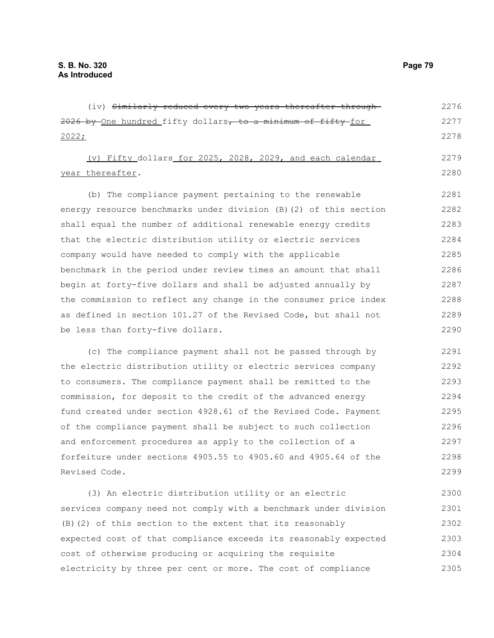(iv) Similarly reduced every two years thereafter through-2026 by One hundred fifty dollars, to a minimum of fifty for 2022; (v) Fifty dollars for 2025, 2028, 2029, and each calendar year thereafter. (b) The compliance payment pertaining to the renewable energy resource benchmarks under division (B)(2) of this section shall equal the number of additional renewable energy credits that the electric distribution utility or electric services company would have needed to comply with the applicable benchmark in the period under review times an amount that shall begin at forty-five dollars and shall be adjusted annually by the commission to reflect any change in the consumer price index as defined in section 101.27 of the Revised Code, but shall not be less than forty-five dollars. (c) The compliance payment shall not be passed through by the electric distribution utility or electric services company to consumers. The compliance payment shall be remitted to the commission, for deposit to the credit of the advanced energy fund created under section 4928.61 of the Revised Code. Payment of the compliance payment shall be subject to such collection and enforcement procedures as apply to the collection of a forfeiture under sections 4905.55 to 4905.60 and 4905.64 of the Revised Code. (3) An electric distribution utility or an electric 2276 2277 2278 2279 2280 2281 2282 2283 2284 2285 2286 2287 2288 2289 2290 2291 2292 2293 2294 2295 2296 2297 2298 2299 2300

services company need not comply with a benchmark under division (B)(2) of this section to the extent that its reasonably expected cost of that compliance exceeds its reasonably expected cost of otherwise producing or acquiring the requisite electricity by three per cent or more. The cost of compliance 2301 2302 2303 2304 2305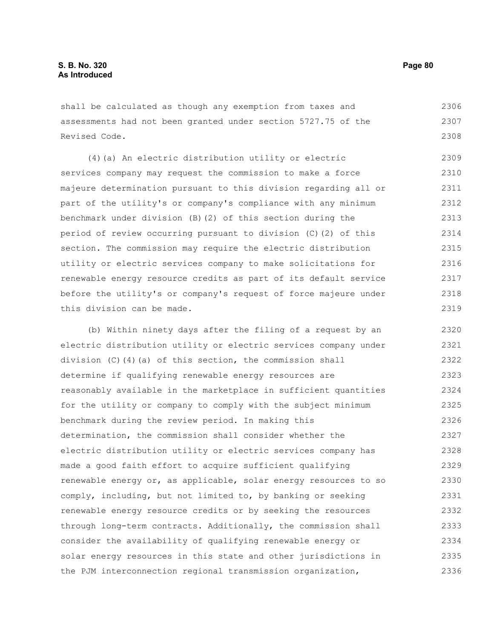shall be calculated as though any exemption from taxes and assessments had not been granted under section 5727.75 of the Revised Code. 2306 2307 2308

(4)(a) An electric distribution utility or electric services company may request the commission to make a force majeure determination pursuant to this division regarding all or part of the utility's or company's compliance with any minimum benchmark under division (B)(2) of this section during the period of review occurring pursuant to division (C)(2) of this section. The commission may require the electric distribution utility or electric services company to make solicitations for renewable energy resource credits as part of its default service before the utility's or company's request of force majeure under this division can be made. 2309 2310 2311 2312 2313 2314 2315 2316 2317 2318 2319

(b) Within ninety days after the filing of a request by an electric distribution utility or electric services company under division (C)(4)(a) of this section, the commission shall determine if qualifying renewable energy resources are reasonably available in the marketplace in sufficient quantities for the utility or company to comply with the subject minimum benchmark during the review period. In making this determination, the commission shall consider whether the electric distribution utility or electric services company has made a good faith effort to acquire sufficient qualifying renewable energy or, as applicable, solar energy resources to so comply, including, but not limited to, by banking or seeking renewable energy resource credits or by seeking the resources through long-term contracts. Additionally, the commission shall consider the availability of qualifying renewable energy or solar energy resources in this state and other jurisdictions in the PJM interconnection regional transmission organization, 2320 2321 2322 2323 2324 2325 2326 2327 2328 2329 2330 2331 2332 2333 2334 2335 2336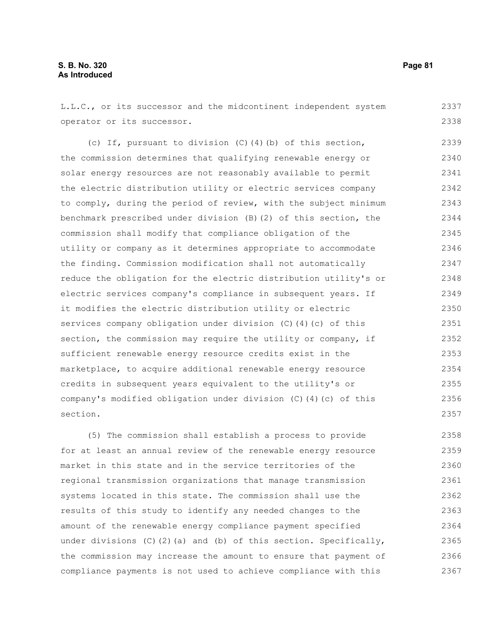| L.L.C., or its successor and the midcontinent independent system | 2337 |
|------------------------------------------------------------------|------|
| operator or its successor.                                       | 2338 |
| (c) If, pursuant to division (C) (4) (b) of this section,        | 2339 |
| the commission determines that qualifying renewable energy or    | 2340 |
| solar energy resources are not reasonably available to permit    | 2341 |
| the electric distribution utility or electric services company   | 2342 |
| to comply, during the period of review, with the subject minimum | 2343 |
| benchmark prescribed under division (B) (2) of this section, the | 2344 |
| commission shall modify that compliance obligation of the        | 2345 |
| utility or company as it determines appropriate to accommodate   | 2346 |
| the finding. Commission modification shall not automatically     | 2347 |
| reduce the obligation for the electric distribution utility's or | 2348 |
| electric services company's compliance in subsequent years. If   | 2349 |
| it modifies the electric distribution utility or electric        | 2350 |
| services company obligation under division (C) (4) (c) of this   | 2351 |
| section, the commission may require the utility or company, if   | 2352 |
| sufficient renewable energy resource credits exist in the        | 2353 |
| marketplace, to acquire additional renewable energy resource     | 2354 |
| credits in subsequent years equivalent to the utility's or       | 2355 |
| company's modified obligation under division (C) (4) (c) of this | 2356 |
| section.                                                         | 2357 |
| (5) The commission shall establish a process to provide          | 2358 |
| for at least an annual review of the renewable energy resource   | 2359 |
| market in this state and in the service territories of the       | 2360 |
| regional transmission organizations that manage transmission     | 2361 |
| systems located in this state. The commission shall use the      | 2362 |
| results of this study to identify any needed changes to the      | 2363 |

amount of the renewable energy compliance payment specified under divisions (C)(2)(a) and (b) of this section. Specifically, the commission may increase the amount to ensure that payment of compliance payments is not used to achieve compliance with this 2364 2365 2366 2367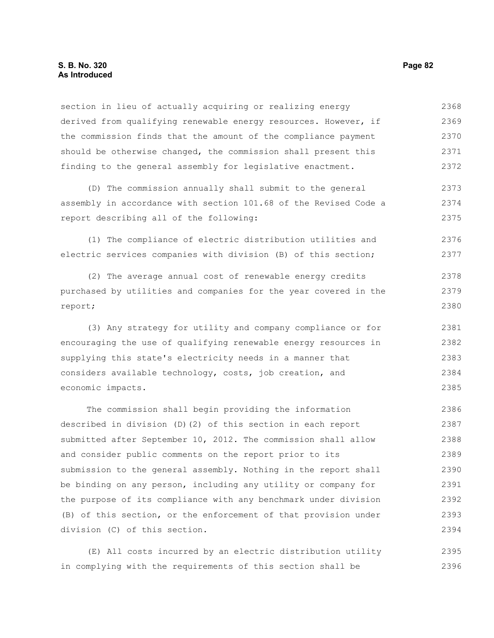section in lieu of actually acquiring or realizing energy derived from qualifying renewable energy resources. However, if the commission finds that the amount of the compliance payment should be otherwise changed, the commission shall present this finding to the general assembly for legislative enactment. 2368 2369 2370 2371 2372

(D) The commission annually shall submit to the general assembly in accordance with section 101.68 of the Revised Code a report describing all of the following: 2373 2374 2375

(1) The compliance of electric distribution utilities and electric services companies with division (B) of this section; 2376 2377

(2) The average annual cost of renewable energy credits purchased by utilities and companies for the year covered in the report; 2378 2379 2380

(3) Any strategy for utility and company compliance or for encouraging the use of qualifying renewable energy resources in supplying this state's electricity needs in a manner that considers available technology, costs, job creation, and economic impacts.

The commission shall begin providing the information described in division (D)(2) of this section in each report submitted after September 10, 2012. The commission shall allow and consider public comments on the report prior to its submission to the general assembly. Nothing in the report shall be binding on any person, including any utility or company for the purpose of its compliance with any benchmark under division (B) of this section, or the enforcement of that provision under division (C) of this section. 2386 2387 2388 2389 2390 2391 2392 2393 2394

(E) All costs incurred by an electric distribution utility in complying with the requirements of this section shall be 2395 2396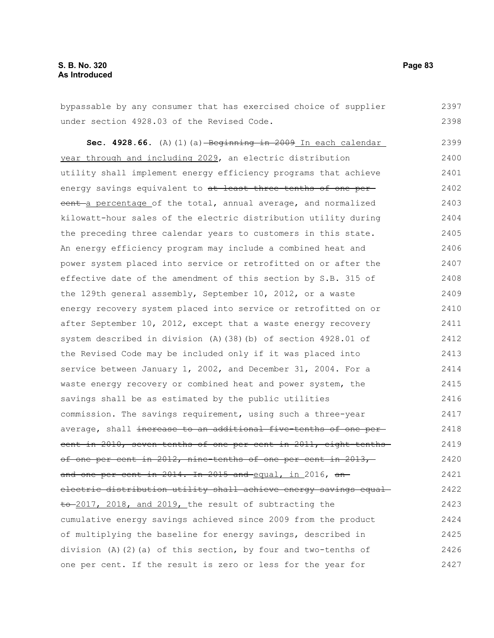## **S. B. No. 320 Page 83 As Introduced**

| bypassable by any consumer that has exercised choice of supplier | 2397 |
|------------------------------------------------------------------|------|
| under section 4928.03 of the Revised Code.                       | 2398 |
|                                                                  |      |
| Sec. $4928.66.$ (A) (1) (a) Beginning in 2009 In each calendar   | 2399 |
| year through and including 2029, an electric distribution        | 2400 |
| utility shall implement energy efficiency programs that achieve  | 2401 |
| energy savings equivalent to at least three-tenths of one per-   | 2402 |
| eent a percentage of the total, annual average, and normalized   | 2403 |
| kilowatt-hour sales of the electric distribution utility during  | 2404 |
| the preceding three calendar years to customers in this state.   | 2405 |
| An energy efficiency program may include a combined heat and     | 2406 |
| power system placed into service or retrofitted on or after the  | 2407 |
| effective date of the amendment of this section by S.B. 315 of   | 2408 |
| the 129th general assembly, September 10, 2012, or a waste       | 2409 |
| energy recovery system placed into service or retrofitted on or  | 2410 |
| after September 10, 2012, except that a waste energy recovery    | 2411 |
| system described in division (A) (38) (b) of section 4928.01 of  | 2412 |
| the Revised Code may be included only if it was placed into      | 2413 |
| service between January 1, 2002, and December 31, 2004. For a    | 2414 |
| waste energy recovery or combined heat and power system, the     | 2415 |
| savings shall be as estimated by the public utilities            | 2416 |
| commission. The savings requirement, using such a three-year     | 2417 |
| average, shall increase to an additional five tenths of one per  | 2418 |
| cent in 2010, seven tenths of one per cent in 2011, eight tenths | 2419 |
| of one per cent in 2012, nine tenths of one per cent in 2013,    | 2420 |
| and one per cent in 2014. In 2015 and equal, in 2016, an-        | 2421 |
| electric distribution utility shall achieve energy savings equal | 2422 |
| to 2017, 2018, and 2019, the result of subtracting the           | 2423 |
| cumulative energy savings achieved since 2009 from the product   | 2424 |
| of multiplying the baseline for energy savings, described in     | 2425 |
| division (A)(2)(a) of this section, by four and two-tenths of    | 2426 |
| one per cent. If the result is zero or less for the year for     | 2427 |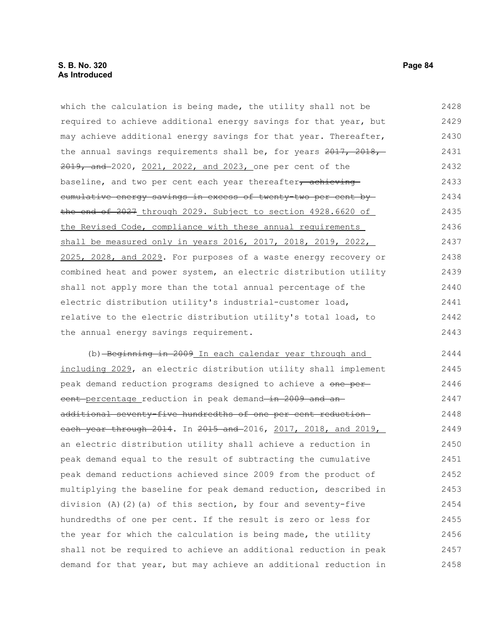which the calculation is being made, the utility shall not be required to achieve additional energy savings for that year, but may achieve additional energy savings for that year. Thereafter, the annual savings requirements shall be, for years 2017, 2018, 2019, and 2020, 2021, 2022, and 2023, one per cent of the baseline, and two per cent each year thereafter, achieving cumulative energy savings in excess of twenty-two per cent by the end of 2027 through 2029. Subject to section 4928.6620 of the Revised Code, compliance with these annual requirements shall be measured only in years 2016, 2017, 2018, 2019, 2022, 2025, 2028, and 2029. For purposes of a waste energy recovery or combined heat and power system, an electric distribution utility shall not apply more than the total annual percentage of the electric distribution utility's industrial-customer load, relative to the electric distribution utility's total load, to the annual energy savings requirement. (b) Beginning in 2009 In each calendar year through and including 2029, an electric distribution utility shall implement peak demand reduction programs designed to achieve a one pereent percentage reduction in peak demand in 2009 and anadditional seventy-five hundredths of one per cent reduction 2428 2429 2430 2431 2432 2433 2434 2435 2436 2437 2438 2439 2440 2441 2442 2443 2444 2445 2446 2447 2448

each year through 2014. In 2015 and 2016, 2017, 2018, and 2019, an electric distribution utility shall achieve a reduction in peak demand equal to the result of subtracting the cumulative peak demand reductions achieved since 2009 from the product of multiplying the baseline for peak demand reduction, described in division (A)(2)(a) of this section, by four and seventy-five hundredths of one per cent. If the result is zero or less for the year for which the calculation is being made, the utility shall not be required to achieve an additional reduction in peak demand for that year, but may achieve an additional reduction in 2449 2450 2451 2452 2453 2454 2455 2456 2457 2458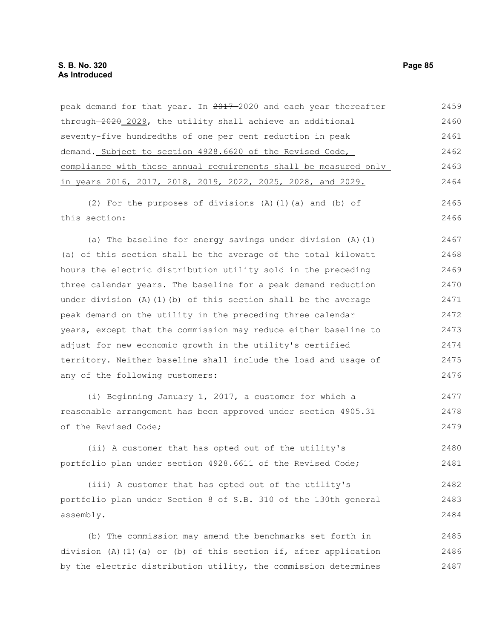peak demand for that year. In 2017-2020 and each year thereafter through 2020 2029, the utility shall achieve an additional seventy-five hundredths of one per cent reduction in peak demand. Subject to section 4928.6620 of the Revised Code, compliance with these annual requirements shall be measured only in years 2016, 2017, 2018, 2019, 2022, 2025, 2028, and 2029. (2) For the purposes of divisions (A)(1)(a) and (b) of this section: (a) The baseline for energy savings under division (A)(1) (a) of this section shall be the average of the total kilowatt hours the electric distribution utility sold in the preceding three calendar years. The baseline for a peak demand reduction under division (A)(1)(b) of this section shall be the average peak demand on the utility in the preceding three calendar years, except that the commission may reduce either baseline to adjust for new economic growth in the utility's certified territory. Neither baseline shall include the load and usage of any of the following customers: (i) Beginning January 1, 2017, a customer for which a reasonable arrangement has been approved under section 4905.31 of the Revised Code; (ii) A customer that has opted out of the utility's portfolio plan under section 4928.6611 of the Revised Code; (iii) A customer that has opted out of the utility's portfolio plan under Section 8 of S.B. 310 of the 130th general assembly. (b) The commission may amend the benchmarks set forth in division (A)(1)(a) or (b) of this section if, after application by the electric distribution utility, the commission determines 2459 2460 2461 2462 2463 2464 2465 2466 2467 2468 2469 2470 2471 2472 2473 2474 2475 2476 2477 2478 2479 2480 2481 2482 2483 2484 2485 2486 2487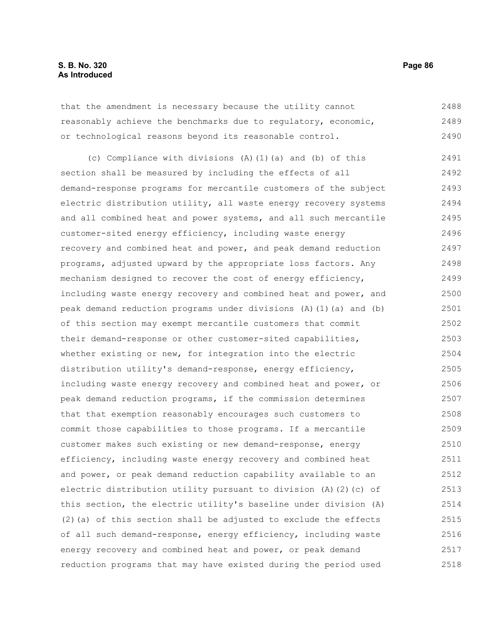that the amendment is necessary because the utility cannot reasonably achieve the benchmarks due to regulatory, economic, or technological reasons beyond its reasonable control. 2488 2489 2490

(c) Compliance with divisions (A)(1)(a) and (b) of this section shall be measured by including the effects of all demand-response programs for mercantile customers of the subject electric distribution utility, all waste energy recovery systems and all combined heat and power systems, and all such mercantile customer-sited energy efficiency, including waste energy recovery and combined heat and power, and peak demand reduction programs, adjusted upward by the appropriate loss factors. Any mechanism designed to recover the cost of energy efficiency, including waste energy recovery and combined heat and power, and peak demand reduction programs under divisions (A)(1)(a) and (b) of this section may exempt mercantile customers that commit their demand-response or other customer-sited capabilities, whether existing or new, for integration into the electric distribution utility's demand-response, energy efficiency, including waste energy recovery and combined heat and power, or peak demand reduction programs, if the commission determines that that exemption reasonably encourages such customers to commit those capabilities to those programs. If a mercantile customer makes such existing or new demand-response, energy efficiency, including waste energy recovery and combined heat and power, or peak demand reduction capability available to an electric distribution utility pursuant to division (A)(2)(c) of this section, the electric utility's baseline under division (A)  $(2)$  (a) of this section shall be adjusted to exclude the effects of all such demand-response, energy efficiency, including waste energy recovery and combined heat and power, or peak demand reduction programs that may have existed during the period used 2491 2492 2493 2494 2495 2496 2497 2498 2499 2500 2501 2502 2503 2504 2505 2506 2507 2508 2509 2510 2511 2512 2513 2514 2515 2516 2517 2518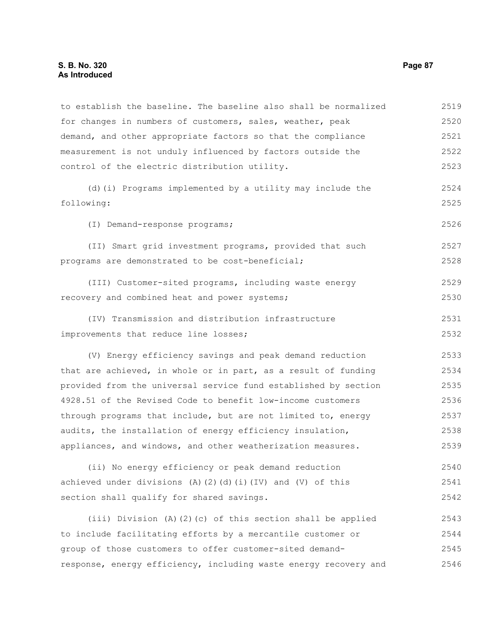| to establish the baseline. The baseline also shall be normalized | 2519 |
|------------------------------------------------------------------|------|
| for changes in numbers of customers, sales, weather, peak        | 2520 |
| demand, and other appropriate factors so that the compliance     | 2521 |
| measurement is not unduly influenced by factors outside the      | 2522 |
| control of the electric distribution utility.                    | 2523 |
| (d) (i) Programs implemented by a utility may include the        | 2524 |
| following:                                                       | 2525 |
| (I) Demand-response programs;                                    | 2526 |
| (II) Smart grid investment programs, provided that such          | 2527 |
| programs are demonstrated to be cost-beneficial;                 | 2528 |
| (III) Customer-sited programs, including waste energy            | 2529 |
| recovery and combined heat and power systems;                    | 2530 |
| (IV) Transmission and distribution infrastructure                | 2531 |
| improvements that reduce line losses;                            | 2532 |
| (V) Energy efficiency savings and peak demand reduction          | 2533 |
| that are achieved, in whole or in part, as a result of funding   | 2534 |
| provided from the universal service fund established by section  | 2535 |
| 4928.51 of the Revised Code to benefit low-income customers      | 2536 |
| through programs that include, but are not limited to, energy    | 2537 |
| audits, the installation of energy efficiency insulation,        | 2538 |
| appliances, and windows, and other weatherization measures.      | 2539 |
| (ii) No energy efficiency or peak demand reduction               | 2540 |
| achieved under divisions (A)(2)(d)(i)(IV) and (V) of this        | 2541 |
| section shall qualify for shared savings.                        | 2542 |
| (iii) Division (A)(2)(c) of this section shall be applied        | 2543 |
| to include facilitating efforts by a mercantile customer or      | 2544 |
| group of those customers to offer customer-sited demand-         | 2545 |

response, energy efficiency, including waste energy recovery and 2546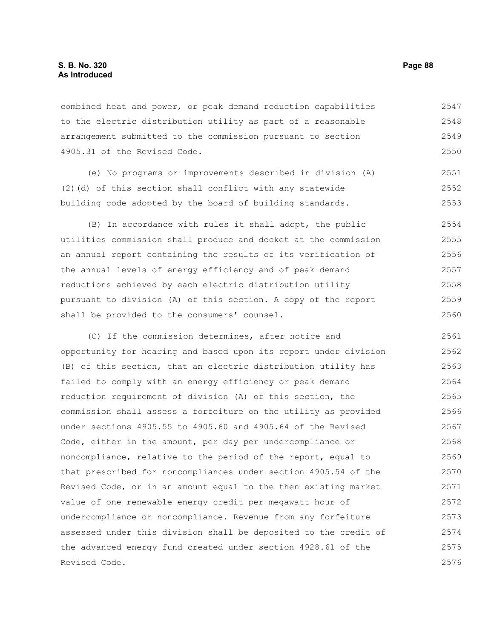combined heat and power, or peak demand reduction capabilities to the electric distribution utility as part of a reasonable arrangement submitted to the commission pursuant to section 4905.31 of the Revised Code. 2547 2548 2549 2550

(e) No programs or improvements described in division (A) (2)(d) of this section shall conflict with any statewide building code adopted by the board of building standards. 2551 2552 2553

(B) In accordance with rules it shall adopt, the public utilities commission shall produce and docket at the commission an annual report containing the results of its verification of the annual levels of energy efficiency and of peak demand reductions achieved by each electric distribution utility pursuant to division (A) of this section. A copy of the report shall be provided to the consumers' counsel. 2554 2555 2556 2557 2558 2559 2560

(C) If the commission determines, after notice and opportunity for hearing and based upon its report under division (B) of this section, that an electric distribution utility has failed to comply with an energy efficiency or peak demand reduction requirement of division (A) of this section, the commission shall assess a forfeiture on the utility as provided under sections 4905.55 to 4905.60 and 4905.64 of the Revised Code, either in the amount, per day per undercompliance or noncompliance, relative to the period of the report, equal to that prescribed for noncompliances under section 4905.54 of the Revised Code, or in an amount equal to the then existing market value of one renewable energy credit per megawatt hour of undercompliance or noncompliance. Revenue from any forfeiture assessed under this division shall be deposited to the credit of the advanced energy fund created under section 4928.61 of the Revised Code. 2561 2562 2563 2564 2565 2566 2567 2568 2569 2570 2571 2572 2573 2574 2575 2576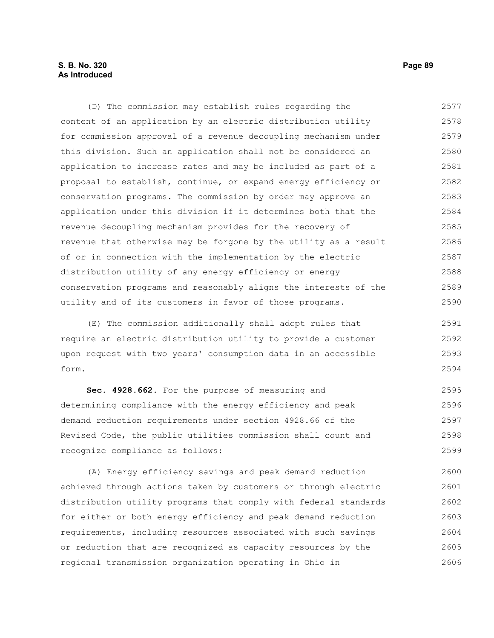## **S. B. No. 320 Page 89 As Introduced**

(D) The commission may establish rules regarding the content of an application by an electric distribution utility for commission approval of a revenue decoupling mechanism under this division. Such an application shall not be considered an application to increase rates and may be included as part of a proposal to establish, continue, or expand energy efficiency or conservation programs. The commission by order may approve an application under this division if it determines both that the revenue decoupling mechanism provides for the recovery of revenue that otherwise may be forgone by the utility as a result of or in connection with the implementation by the electric distribution utility of any energy efficiency or energy conservation programs and reasonably aligns the interests of the utility and of its customers in favor of those programs. 2577 2578 2579 2580 2581 2582 2583 2584 2585 2586 2587 2588 2589 2590

(E) The commission additionally shall adopt rules that require an electric distribution utility to provide a customer upon request with two years' consumption data in an accessible form. 2591 2592 2593 2594

**Sec. 4928.662.** For the purpose of measuring and determining compliance with the energy efficiency and peak demand reduction requirements under section 4928.66 of the Revised Code, the public utilities commission shall count and recognize compliance as follows: 2595 2596 2597 2598 2599

(A) Energy efficiency savings and peak demand reduction achieved through actions taken by customers or through electric distribution utility programs that comply with federal standards for either or both energy efficiency and peak demand reduction requirements, including resources associated with such savings or reduction that are recognized as capacity resources by the regional transmission organization operating in Ohio in 2600 2601 2602 2603 2604 2605 2606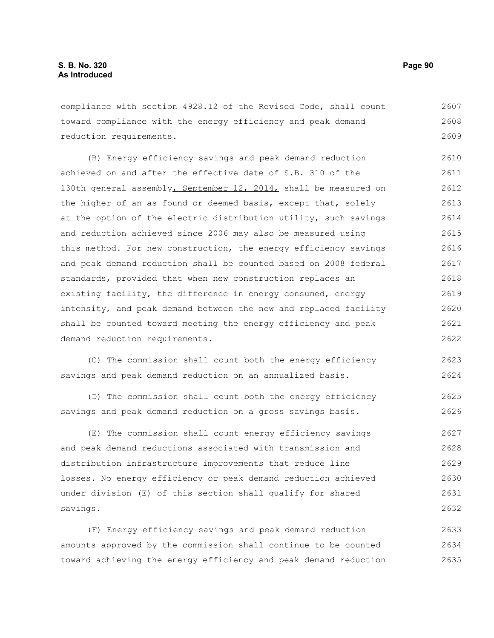compliance with section 4928.12 of the Revised Code, shall count toward compliance with the energy efficiency and peak demand reduction requirements. 2607 2608 2609

(B) Energy efficiency savings and peak demand reduction achieved on and after the effective date of S.B. 310 of the 130th general assembly, September 12, 2014, shall be measured on the higher of an as found or deemed basis, except that, solely at the option of the electric distribution utility, such savings and reduction achieved since 2006 may also be measured using this method. For new construction, the energy efficiency savings and peak demand reduction shall be counted based on 2008 federal standards, provided that when new construction replaces an existing facility, the difference in energy consumed, energy intensity, and peak demand between the new and replaced facility shall be counted toward meeting the energy efficiency and peak demand reduction requirements. 2610 2611 2612 2613 2614 2615 2616 2617 2618 2619 2620 2621 2622

(C) The commission shall count both the energy efficiency savings and peak demand reduction on an annualized basis. 2623 2624

(D) The commission shall count both the energy efficiency savings and peak demand reduction on a gross savings basis. 2625 2626

(E) The commission shall count energy efficiency savings and peak demand reductions associated with transmission and distribution infrastructure improvements that reduce line losses. No energy efficiency or peak demand reduction achieved under division (E) of this section shall qualify for shared savings. 2627 2628 2629 2630 2631 2632

(F) Energy efficiency savings and peak demand reduction amounts approved by the commission shall continue to be counted toward achieving the energy efficiency and peak demand reduction 2633 2634 2635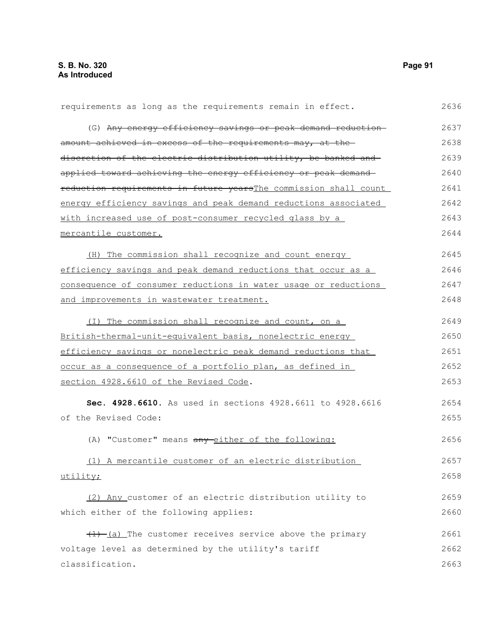requirements as long as the requirements remain in effect. (G) Any energy efficiency savings or peak demand reduction amount achieved in excess of the requirements may, at thediscretion of the electric distribution utility, be banked and applied toward achieving the energy efficiency or peak demand reduction requirements in future yearsThe commission shall count energy efficiency savings and peak demand reductions associated with increased use of post-consumer recycled glass by a mercantile customer. ( H) The commission shall recognize and count energy efficiency savings and peak demand reductions that occur as a consequence of consumer reductions in water usage or reductions and improvements in wastewater treatment. ( I) The commission shall recognize and count, on a British-thermal-unit-equivalent basis, nonelectric energy efficiency savings or nonelectric peak demand reductions that occur as a consequence of a portfolio plan, as defined in section 4928.6610 of the Revised Code. **Sec. 4928.6610.** As used in sections 4928.6611 to 4928.6616 of the Revised Code: (A) "Customer" means any either of the following: (1) A mercantile customer of an electric distribution utility; (2) Any customer of an electric distribution utility to which either of the following applies:  $(1)$   $(a)$  The customer receives service above the primary voltage level as determined by the utility's tariff classification. 2636 2637 2638 2639 2640 2641 2642 2643 2644 2645 2646 2647 2648 2649 2650 2651 2652 2653 2654 2655 2656 2657 2658 2659 2660 2661 2662 2663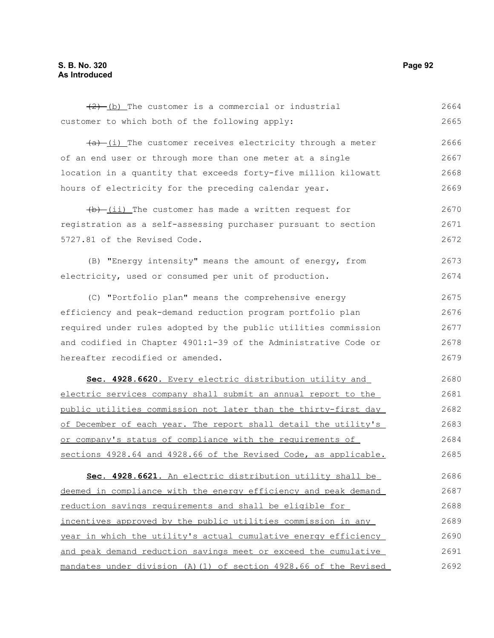$(2)$  (b) The customer is a commercial or industrial customer to which both of the following apply: 2664 2665

 $(a)$  (i) The customer receives electricity through a meter of an end user or through more than one meter at a single location in a quantity that exceeds forty-five million kilowatt hours of electricity for the preceding calendar year. 2666 2667 2668 2669

 $(b)$  (ii) The customer has made a written request for registration as a self-assessing purchaser pursuant to section 5727.81 of the Revised Code. 2670 2671 2672

(B) "Energy intensity" means the amount of energy, from electricity, used or consumed per unit of production. 2673 2674

(C) "Portfolio plan" means the comprehensive energy efficiency and peak-demand reduction program portfolio plan required under rules adopted by the public utilities commission and codified in Chapter 4901:1-39 of the Administrative Code or hereafter recodified or amended. 2675 2676 2677 2678 2679

 **Sec. 4928.6620.** Every electric distribution utility and electric services company shall submit an annual report to the public utilities commission not later than the thirty-first day of December of each year. The report shall detail the utility's or company's status of compliance with the requirements of sections 4928.64 and 4928.66 of the Revised Code, as applicable. 2680 2681 2682 2683 2684 2685

Sec. 4928.6621. An electric distribution utility shall be deemed in compliance with the energy efficiency and peak demand reduction savings requirements and shall be eligible for incentives approved by the public utilities commission in any year in which the utility's actual cumulative energy efficiency and peak demand reduction savings meet or exceed the cumulative mandates under division (A)(1) of section 4928.66 of the Revised 2686 2687 2688 2689 2690 2691 2692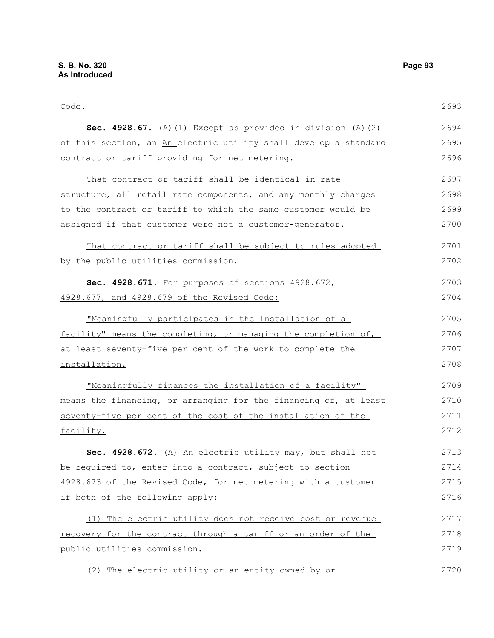| Code.                                                            | 2693 |
|------------------------------------------------------------------|------|
| Sec. 4928.67. $(A)$ (1) Except as provided in division $(A)$ (2) | 2694 |
| of this section, an An electric utility shall develop a standard | 2695 |
| contract or tariff providing for net metering.                   | 2696 |
| That contract or tariff shall be identical in rate               | 2697 |
| structure, all retail rate components, and any monthly charges   | 2698 |
| to the contract or tariff to which the same customer would be    | 2699 |
| assigned if that customer were not a customer-generator.         | 2700 |
| That contract or tariff shall be subject to rules adopted        | 2701 |
| by the public utilities commission.                              | 2702 |
| Sec. 4928.671. For purposes of sections 4928.672,                | 2703 |
| 4928.677, and 4928.679 of the Revised Code:                      | 2704 |
| "Meaningfully participates in the installation of a              | 2705 |
| facility" means the completing, or managing the completion of,   | 2706 |
| at least seventy-five per cent of the work to complete the       | 2707 |
| installation.                                                    | 2708 |
| "Meaningfully finances the installation of a facility"           | 2709 |
| means the financing, or arranging for the financing of, at least | 2710 |
| seventy-five per cent of the cost of the installation of the     | 2711 |
| facility.                                                        | 2712 |
| Sec. 4928.672. (A) An electric utility may, but shall not        | 2713 |
| be required to, enter into a contract, subject to section        | 2714 |
| 4928.673 of the Revised Code, for net metering with a customer   | 2715 |
| if both of the following apply:                                  | 2716 |
| (1) The electric utility does not receive cost or revenue        | 2717 |
| recovery for the contract through a tariff or an order of the    | 2718 |
| public utilities commission.                                     | 2719 |
| The electric utility or an entity owned by or<br>(2)             | 2720 |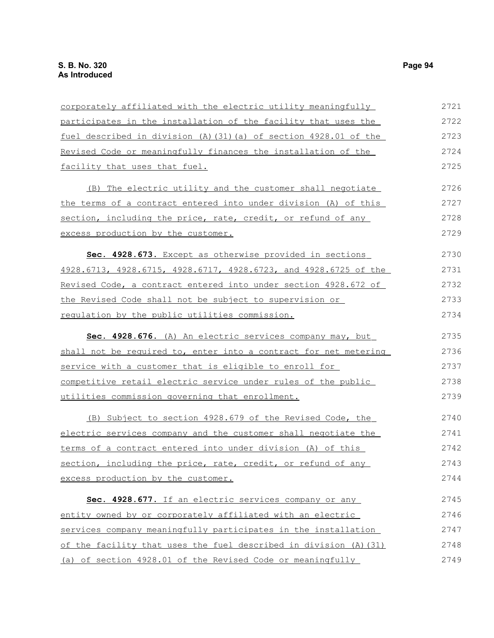| corporately affiliated with the electric utility meaningfully     | 2721 |
|-------------------------------------------------------------------|------|
| participates in the installation of the facility that uses the    | 2722 |
| fuel described in division (A) (31) (a) of section 4928.01 of the | 2723 |
| Revised Code or meaningfully finances the installation of the     | 2724 |
| facility that uses that fuel.                                     | 2725 |
| (B) The electric utility and the customer shall negotiate         | 2726 |
| the terms of a contract entered into under division (A) of this   | 2727 |
| section, including the price, rate, credit, or refund of any      | 2728 |
| excess production by the customer.                                | 2729 |
| Sec. 4928.673. Except as otherwise provided in sections           | 2730 |
| 4928.6713, 4928.6715, 4928.6717, 4928.6723, and 4928.6725 of the  | 2731 |
| Revised Code, a contract entered into under section 4928.672 of   | 2732 |
| the Revised Code shall not be subject to supervision or           | 2733 |
| regulation by the public utilities commission.                    | 2734 |
| Sec. 4928.676. (A) An electric services company may, but          | 2735 |
| shall not be required to, enter into a contract for net metering  | 2736 |
| service with a customer that is eligible to enroll for            | 2737 |
| competitive retail electric service under rules of the public     | 2738 |
| utilities commission governing that enrollment.                   | 2739 |
| (B) Subject to section 4928.679 of the Revised Code, the          | 2740 |
| electric services company and the customer shall negotiate the    | 2741 |
| terms of a contract entered into under division (A) of this       | 2742 |
| section, including the price, rate, credit, or refund of any      | 2743 |
| excess production by the customer.                                | 2744 |
| Sec. 4928.677. If an electric services company or any             | 2745 |
| entity owned by or corporately affiliated with an electric        | 2746 |
| services company meaningfully participates in the installation    | 2747 |
| of the facility that uses the fuel described in division (A) (31) | 2748 |
| (a) of section 4928.01 of the Revised Code or meaningfully        | 2749 |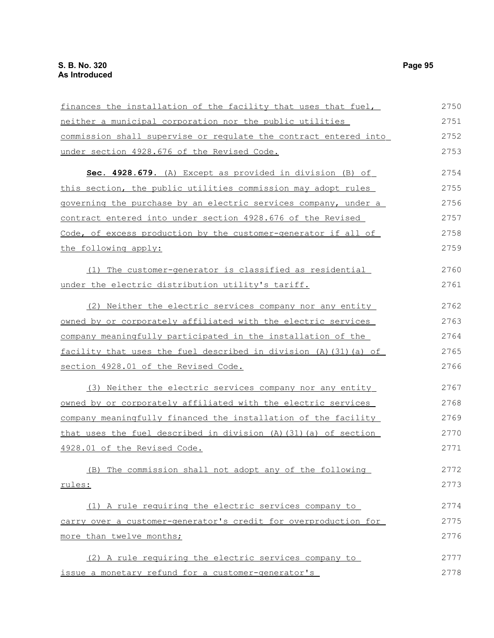| finances the installation of the facility that uses that fuel,         | 2750 |
|------------------------------------------------------------------------|------|
| neither a municipal corporation nor the public utilities               | 2751 |
| commission shall supervise or regulate the contract entered into       | 2752 |
| under section 4928.676 of the Revised Code.                            | 2753 |
| Sec. 4928.679. (A) Except as provided in division (B) of               | 2754 |
| this section, the public utilities commission may adopt rules          | 2755 |
| governing the purchase by an electric services company, under a        | 2756 |
| contract entered into under section 4928.676 of the Revised            | 2757 |
| Code, of excess production by the customer-generator if all of         | 2758 |
| the following apply:                                                   | 2759 |
| (1) The customer-generator is classified as residential                | 2760 |
| under the electric distribution utility's tariff.                      | 2761 |
| (2) Neither the electric services company nor any entity               | 2762 |
| owned by or corporately affiliated with the electric services          | 2763 |
| company meaningfully participated in the installation of the           | 2764 |
| facility that uses the fuel described in division (A) (31) (a) of      | 2765 |
| section 4928.01 of the Revised Code.                                   | 2766 |
| (3) Neither the electric services company nor any entity               | 2767 |
| owned by or corporately affiliated with the electric services          | 2768 |
| company meaningfully financed the installation of the facility         | 2769 |
| that uses the fuel described in division $(A)$ $(31)$ $(a)$ of section | 2770 |
| 4928.01 of the Revised Code.                                           | 2771 |
| (B) The commission shall not adopt any of the following                | 2772 |
| rules:                                                                 | 2773 |
| (1) A rule requiring the electric services company to                  | 2774 |
| carry over a customer-generator's credit for overproduction for        | 2775 |
| more than twelve months;                                               | 2776 |
| (2) A rule requiring the electric services company to                  | 2777 |
| issue a monetary refund for a customer-generator's                     | 2778 |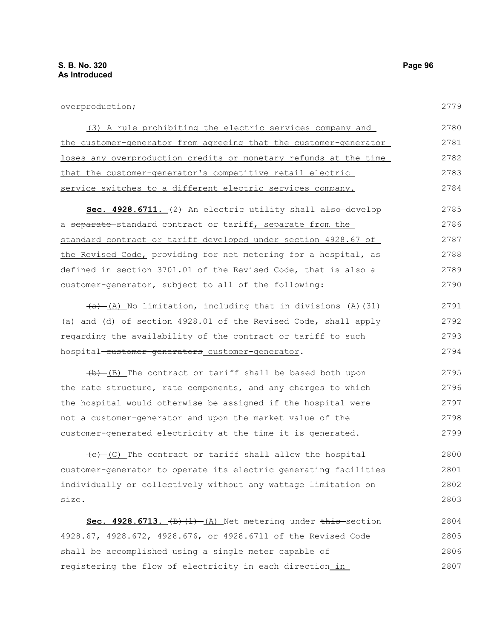## overproduction;

| (3) A rule prohibiting the electric services company and                       | 2780 |
|--------------------------------------------------------------------------------|------|
| the customer-generator from agreeing that the customer-generator               | 2781 |
| loses any overproduction credits or monetary refunds at the time               | 2782 |
| that the customer-generator's competitive retail electric                      | 2783 |
| service switches to a different electric services company.                     | 2784 |
| Sec. 4928.6711. $(2)$ An electric utility shall also-develop                   | 2785 |
| a separate-standard contract or tariff, separate from the                      | 2786 |
| standard contract or tariff developed under section 4928.67 of                 | 2787 |
| the Revised Code, providing for net metering for a hospital, as                | 2788 |
| defined in section 3701.01 of the Revised Code, that is also a                 | 2789 |
| customer-generator, subject to all of the following:                           | 2790 |
| $\frac{a}{b}$ (A) No limitation, including that in divisions (A) (31)          | 2791 |
| (a) and (d) of section 4928.01 of the Revised Code, shall apply                | 2792 |
| regarding the availability of the contract or tariff to such                   | 2793 |
| hospital-customer-generators_customer-generator.                               | 2794 |
| (b) (B) The contract or tariff shall be based both upon                        | 2795 |
| the rate structure, rate components, and any charges to which                  | 2796 |
| the hospital would otherwise be assigned if the hospital were                  | 2797 |
| not a customer-generator and upon the market value of the                      | 2798 |
| customer-generated electricity at the time it is generated.                    | 2799 |
| $\left(\frac{e}{c}\right)$ (C) The contract or tariff shall allow the hospital | 2800 |
| customer-generator to operate its electric generating facilities               | 2801 |
| individually or collectively without any wattage limitation on                 | 2802 |
| size.                                                                          | 2803 |
| Sec. 4928.6713. $(B)$ $(1)$ $(A)$ Net metering under this section              | 2804 |
| 4928.67, 4928.672, 4928.676, or 4928.6711 of the Revised Code                  | 2805 |
| shall be accomplished using a single meter capable of                          | 2806 |
| registering the flow of electricity in each direction_in_                      | 2807 |
|                                                                                |      |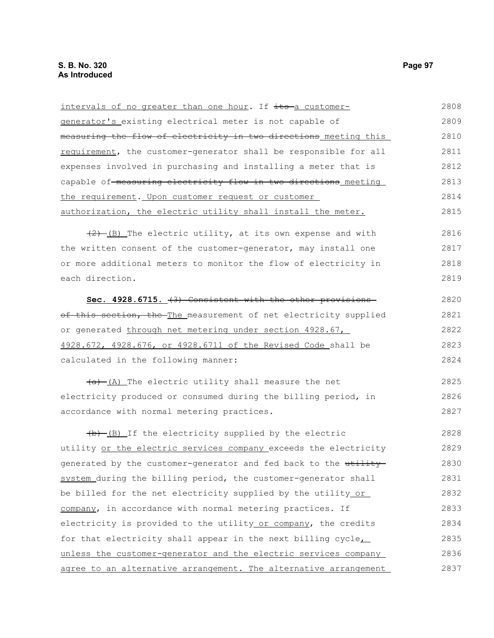| intervals of no greater than one hour. If its a customer-        | 2808 |
|------------------------------------------------------------------|------|
| generator's existing electrical meter is not capable of          | 2809 |
| measuring the flow of electricity in two directions meeting this | 2810 |
| requirement, the customer-generator shall be responsible for all | 2811 |
| expenses involved in purchasing and installing a meter that is   | 2812 |
| capable of measuring electricity flow in two directions meeting  | 2813 |
| the requirement. Upon customer request or customer               | 2814 |
| authorization, the electric utility shall install the meter.     | 2815 |
| $(2)$ (B) The electric utility, at its own expense and with      | 2816 |
| the written consent of the customer-generator, may install one   | 2817 |
| or more additional meters to monitor the flow of electricity in  | 2818 |
| each direction.                                                  | 2819 |
| Sec. $4928.6715.$ $(3)$ Consistent with the other provisions     | 2820 |
| of this section, the The measurement of net electricity supplied | 2821 |
| or generated through net metering under section 4928.67,         | 2822 |
| 4928.672, 4928.676, or 4928.6711 of the Revised Code shall be    | 2823 |
| calculated in the following manner:                              | 2824 |
| $\frac{a}{a}$ (A) The electric utility shall measure the net     | 2825 |
| electricity produced or consumed during the billing period, in   | 2826 |
| accordance with normal metering practices.                       | 2827 |
| $\frac{1}{b}$ (B) If the electricity supplied by the electric    | 2828 |
| utility or the electric services company exceeds the electricity | 2829 |
| generated by the customer-generator and fed back to the utility  | 2830 |
| system during the billing period, the customer-generator shall   | 2831 |
| be billed for the net electricity supplied by the utility or     | 2832 |
| company, in accordance with normal metering practices. If        | 2833 |
| electricity is provided to the utility or company, the credits   | 2834 |
| for that electricity shall appear in the next billing cycle,     | 2835 |
| unless the customer-generator and the electric services company  | 2836 |
| agree to an alternative arrangement. The alternative arrangement | 2837 |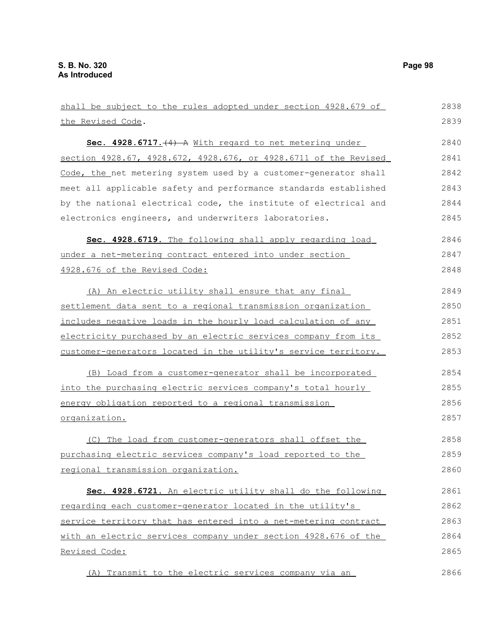| shall be subject to the rules adopted under section 4928.679 of  | 2838 |
|------------------------------------------------------------------|------|
| the Revised Code.                                                | 2839 |
| Sec. 4928.6717. (4) A With regard to net metering under          | 2840 |
| section 4928.67, 4928.672, 4928.676, or 4928.6711 of the Revised | 2841 |
| Code, the net metering system used by a customer-generator shall | 2842 |
| meet all applicable safety and performance standards established | 2843 |
| by the national electrical code, the institute of electrical and | 2844 |
| electronics engineers, and underwriters laboratories.            | 2845 |
| Sec. 4928.6719. The following shall apply regarding load         | 2846 |
| under a net-metering contract entered into under section         | 2847 |
| 4928.676 of the Revised Code:                                    | 2848 |
| (A) An electric utility shall ensure that any final              | 2849 |
| settlement data sent to a regional transmission organization     | 2850 |
| includes negative loads in the hourly load calculation of any    | 2851 |
| electricity purchased by an electric services company from its   | 2852 |
| customer-generators located in the utility's service territory.  | 2853 |
| (B) Load from a customer-generator shall be incorporated         | 2854 |
| into the purchasing electric services company's total hourly     | 2855 |
| energy obligation reported to a regional transmission            | 2856 |
| organization.                                                    | 2857 |
| (C) The load from customer-generators shall offset the           | 2858 |
| purchasing electric services company's load reported to the      | 2859 |
| regional transmission organization.                              | 2860 |
| Sec. 4928.6721. An electric utility shall do the following       | 2861 |
| regarding each customer-generator located in the utility's       | 2862 |
| service territory that has entered into a net-metering contract  | 2863 |
| with an electric services company under section 4928.676 of the  | 2864 |
| Revised Code:                                                    | 2865 |
| (A) Transmit to the electric services company via an             | 2866 |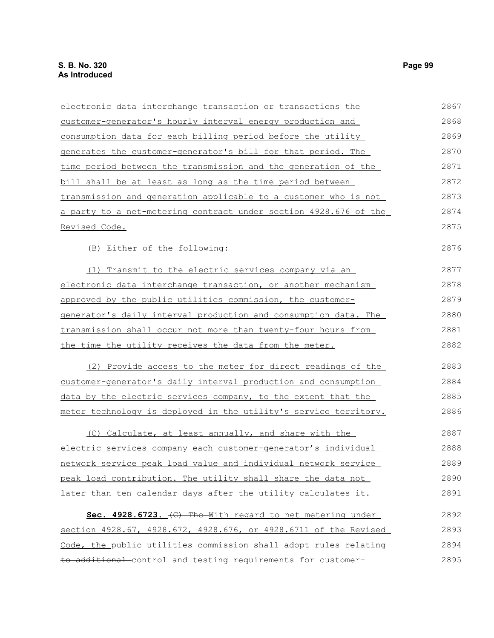| electronic data interchange transaction or transactions the             | 2867 |
|-------------------------------------------------------------------------|------|
| customer-generator's hourly interval energy production and              | 2868 |
| consumption data for each billing period before the utility             | 2869 |
| generates the customer-generator's bill for that period. The            | 2870 |
| time period between the transmission and the generation of the          | 2871 |
| bill shall be at least as long as the time period between               | 2872 |
| transmission and generation applicable to a customer who is not         | 2873 |
| a party to a net-metering contract under section 4928.676 of the        | 2874 |
| <u>Revised Code.</u>                                                    | 2875 |
| (B) Either of the following:                                            | 2876 |
| (1) Transmit to the electric services company via an                    | 2877 |
| electronic data interchange transaction, or another mechanism           | 2878 |
| approved by the public utilities commission, the customer-              | 2879 |
| generator's daily interval production and consumption data. The         | 2880 |
| transmission shall occur not more than twenty-four hours from           | 2881 |
| the time the utility receives the data from the meter.                  | 2882 |
| (2) Provide access to the meter for direct readings of the              | 2883 |
| customer-generator's daily interval production and consumption          | 2884 |
| data by the electric services company, to the extent that the           | 2885 |
| <u>meter technology is deployed in the utility's service territory.</u> | 2886 |
| (C) Calculate, at least annually, and share with the                    | 2887 |
| electric services company each customer-generator's individual          | 2888 |
| <u>network service peak load value and individual network service </u>  | 2889 |
| peak load contribution. The utility shall share the data not            | 2890 |
| later than ten calendar days after the utility calculates it.           | 2891 |
| Sec. 4928.6723. (C) The With regard to net metering under               | 2892 |
| section 4928.67, 4928.672, 4928.676, or 4928.6711 of the Revised        | 2893 |
| Code, the public utilities commission shall adopt rules relating        | 2894 |
| to additional control and testing requirements for customer-            | 2895 |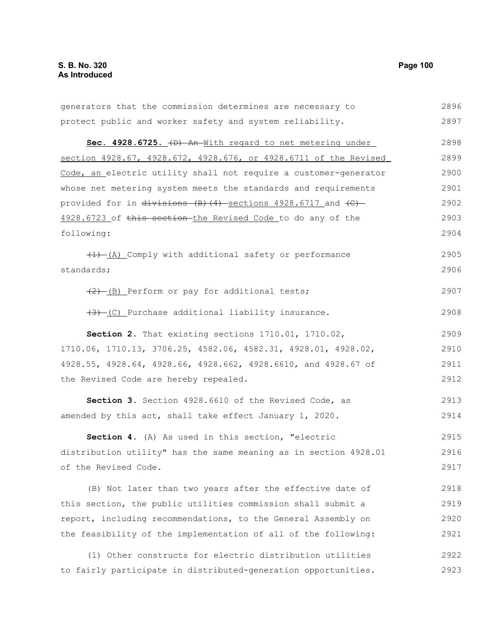generators that the commission determines are necessary to protect public and worker safety and system reliability. **Sec. 4928.6725.** (D) An With regard to net metering under section 4928.67, 4928.672, 4928.676, or 4928.6711 of the Revised Code, an electric utility shall not require a customer-generator whose net metering system meets the standards and requirements provided for in  $d$ ivisions  $(B)$  (4) sections 4928.6717 and  $(C)$ 4928.6723 of this section the Revised Code to do any of the following:  $(1)$  (A) Comply with additional safety or performance standards; (2) (B) Perform or pay for additional tests;  $(3)$  (C) Purchase additional liability insurance. **Section 2.** That existing sections 1710.01, 1710.02, 1710.06, 1710.13, 3706.25, 4582.06, 4582.31, 4928.01, 4928.02, 4928.55, 4928.64, 4928.66, 4928.662, 4928.6610, and 4928.67 of the Revised Code are hereby repealed. **Section 3.** Section 4928.6610 of the Revised Code, as amended by this act, shall take effect January 1, 2020. **Section 4.** (A) As used in this section, "electric distribution utility" has the same meaning as in section 4928.01 of the Revised Code. (B) Not later than two years after the effective date of this section, the public utilities commission shall submit a report, including recommendations, to the General Assembly on the feasibility of the implementation of all of the following: (1) Other constructs for electric distribution utilities to fairly participate in distributed-generation opportunities. 2896 2897 2898 2899 2900 2901 2902 2903 2904 2905 2906 2907 2908 2909 2910 2911 2912 2913 2914 2915 2916 2917 2918 2919 2920 2921 2922 2923